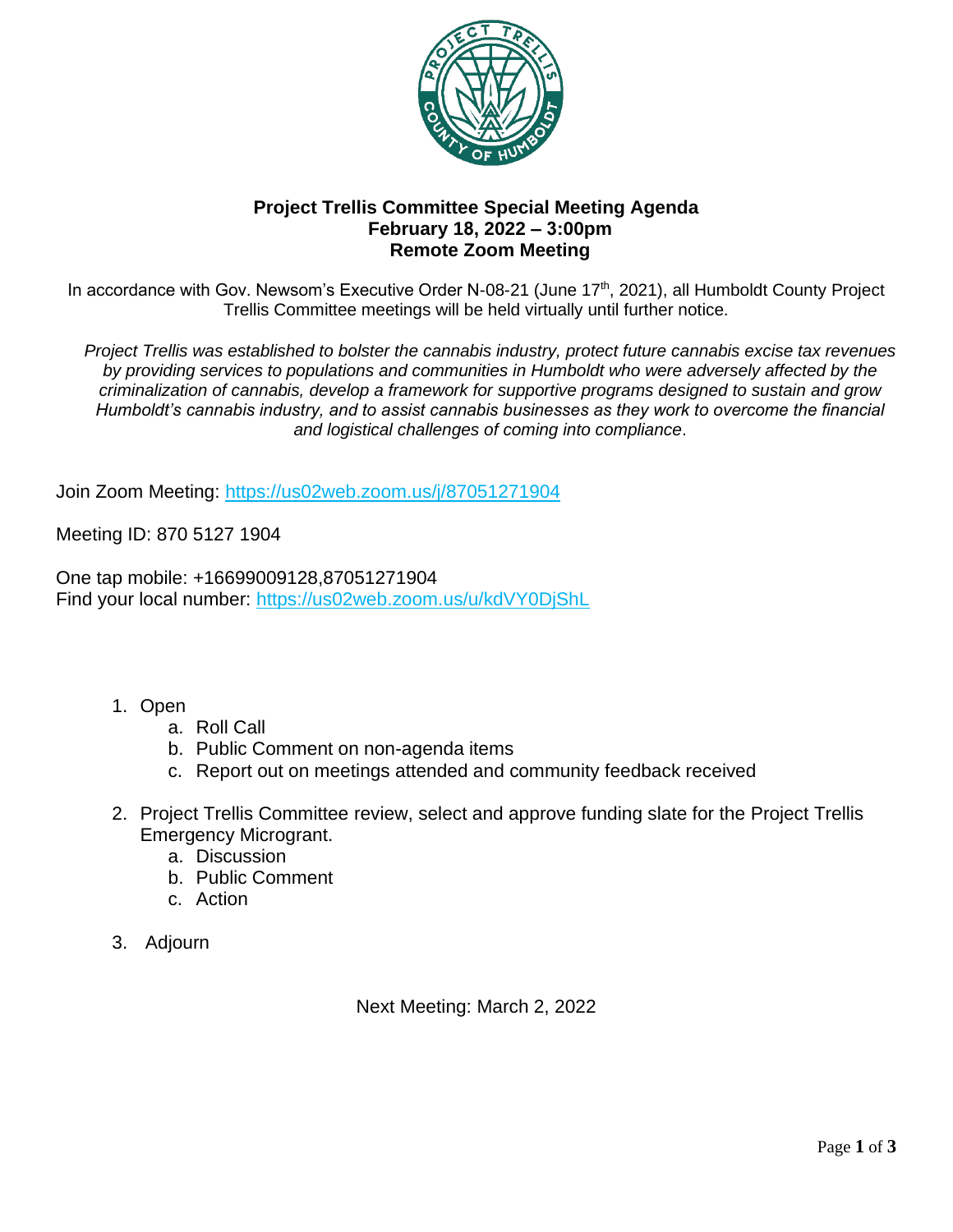

### **Project Trellis Committee Special Meeting Agenda February 18, 2022 – 3:00pm Remote Zoom Meeting**

In accordance with Gov. Newsom's Executive Order N-08-21 (June 17<sup>th</sup>, 2021), all Humboldt County Project Trellis Committee meetings will be held virtually until further notice.

*Project Trellis was established to bolster the cannabis industry, protect future cannabis excise tax revenues by providing services to populations and communities in Humboldt who were adversely affected by the criminalization of cannabis, develop a framework for supportive programs designed to sustain and grow Humboldt's cannabis industry, and to assist cannabis businesses as they work to overcome the financial and logistical challenges of coming into compliance*.

Join Zoom Meeting:<https://us02web.zoom.us/j/87051271904>

Meeting ID: 870 5127 1904

One tap mobile: +16699009128,87051271904 Find your local number: https://us02web.zoom.us/u/kdVY0DiShL

- 1. Open
	- a. Roll Call
	- b. Public Comment on non-agenda items
	- c. Report out on meetings attended and community feedback received
- 2. Project Trellis Committee review, select and approve funding slate for the Project Trellis Emergency Microgrant.
	- a. Discussion
	- b. Public Comment
	- c. Action
- 3. Adjourn

Next Meeting: March 2, 2022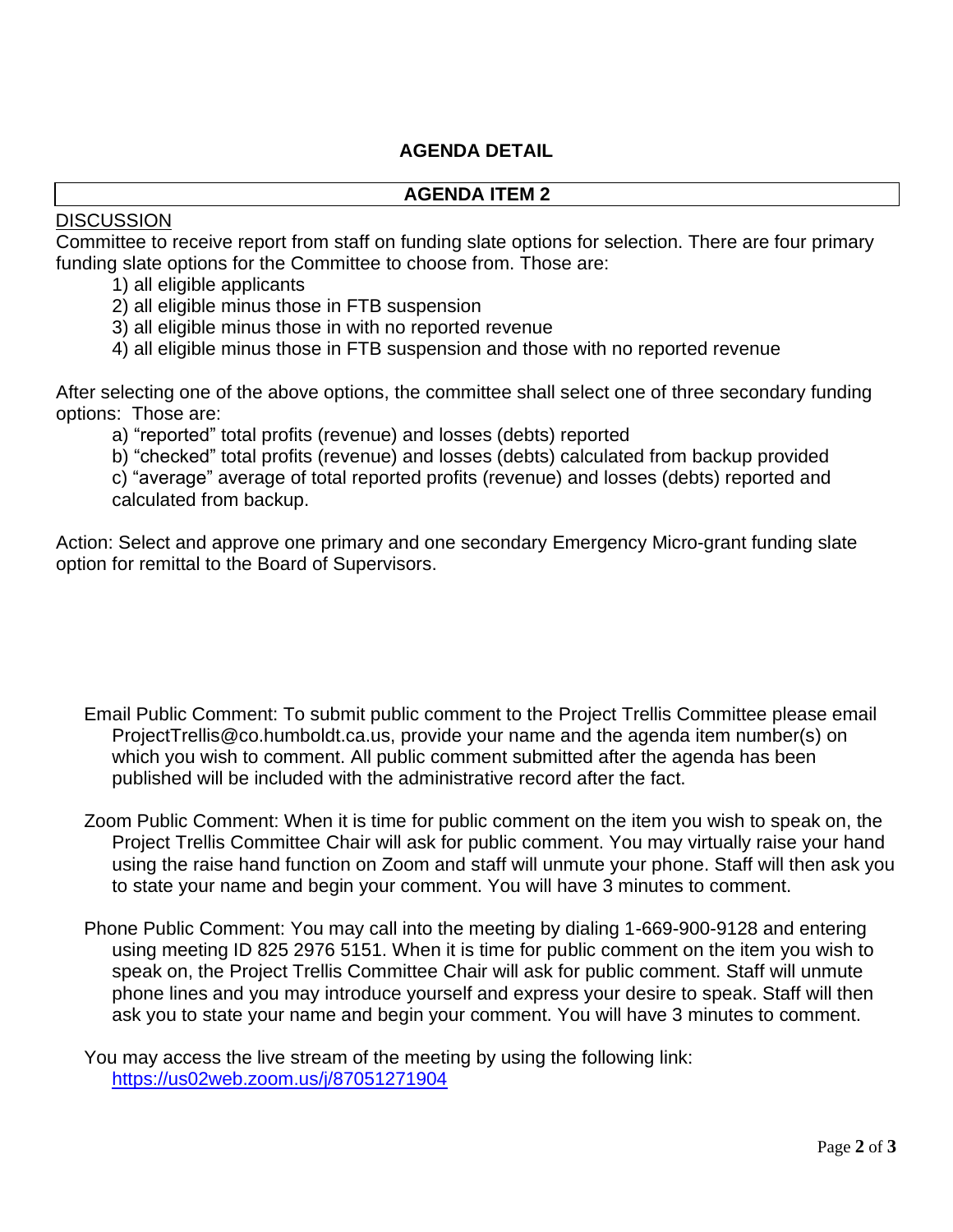## **AGENDA DETAIL**

#### **AGENDA ITEM 2**

#### **DISCUSSION**

Committee to receive report from staff on funding slate options for selection. There are four primary funding slate options for the Committee to choose from. Those are:

- 1) all eligible applicants
- 2) all eligible minus those in FTB suspension
- 3) all eligible minus those in with no reported revenue
- 4) all eligible minus those in FTB suspension and those with no reported revenue

After selecting one of the above options, the committee shall select one of three secondary funding options: Those are:

a) "reported" total profits (revenue) and losses (debts) reported

b) "checked" total profits (revenue) and losses (debts) calculated from backup provided

c) "average" average of total reported profits (revenue) and losses (debts) reported and calculated from backup.

Action: Select and approve one primary and one secondary Emergency Micro-grant funding slate option for remittal to the Board of Supervisors.

- Email Public Comment: To submit public comment to the Project Trellis Committee please email ProjectTrellis@co.humboldt.ca.us, provide your name and the agenda item number(s) on which you wish to comment. All public comment submitted after the agenda has been published will be included with the administrative record after the fact.
- Zoom Public Comment: When it is time for public comment on the item you wish to speak on, the Project Trellis Committee Chair will ask for public comment. You may virtually raise your hand using the raise hand function on Zoom and staff will unmute your phone. Staff will then ask you to state your name and begin your comment. You will have 3 minutes to comment.
- Phone Public Comment: You may call into the meeting by dialing 1-669-900-9128 and entering using meeting ID 825 2976 5151. When it is time for public comment on the item you wish to speak on, the Project Trellis Committee Chair will ask for public comment. Staff will unmute phone lines and you may introduce yourself and express your desire to speak. Staff will then ask you to state your name and begin your comment. You will have 3 minutes to comment.

You may access the live stream of the meeting by using the following link: <https://us02web.zoom.us/j/87051271904>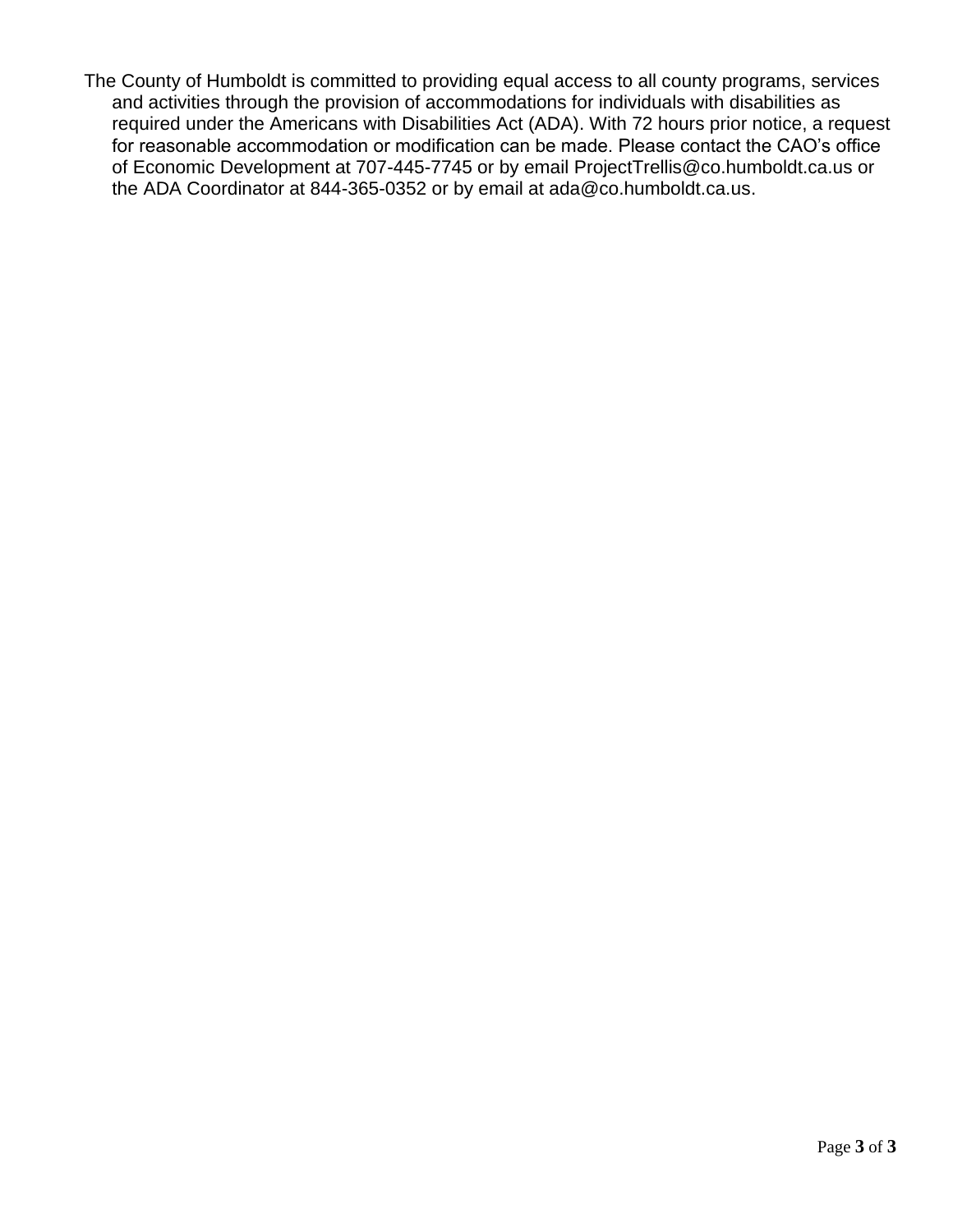The County of Humboldt is committed to providing equal access to all county programs, services and activities through the provision of accommodations for individuals with disabilities as required under the Americans with Disabilities Act (ADA). With 72 hours prior notice, a request for reasonable accommodation or modification can be made. Please contact the CAO's office of Economic Development at 707-445-7745 or by email ProjectTrellis@co.humboldt.ca.us or the ADA Coordinator at 844-365-0352 or by email at ada@co.humboldt.ca.us.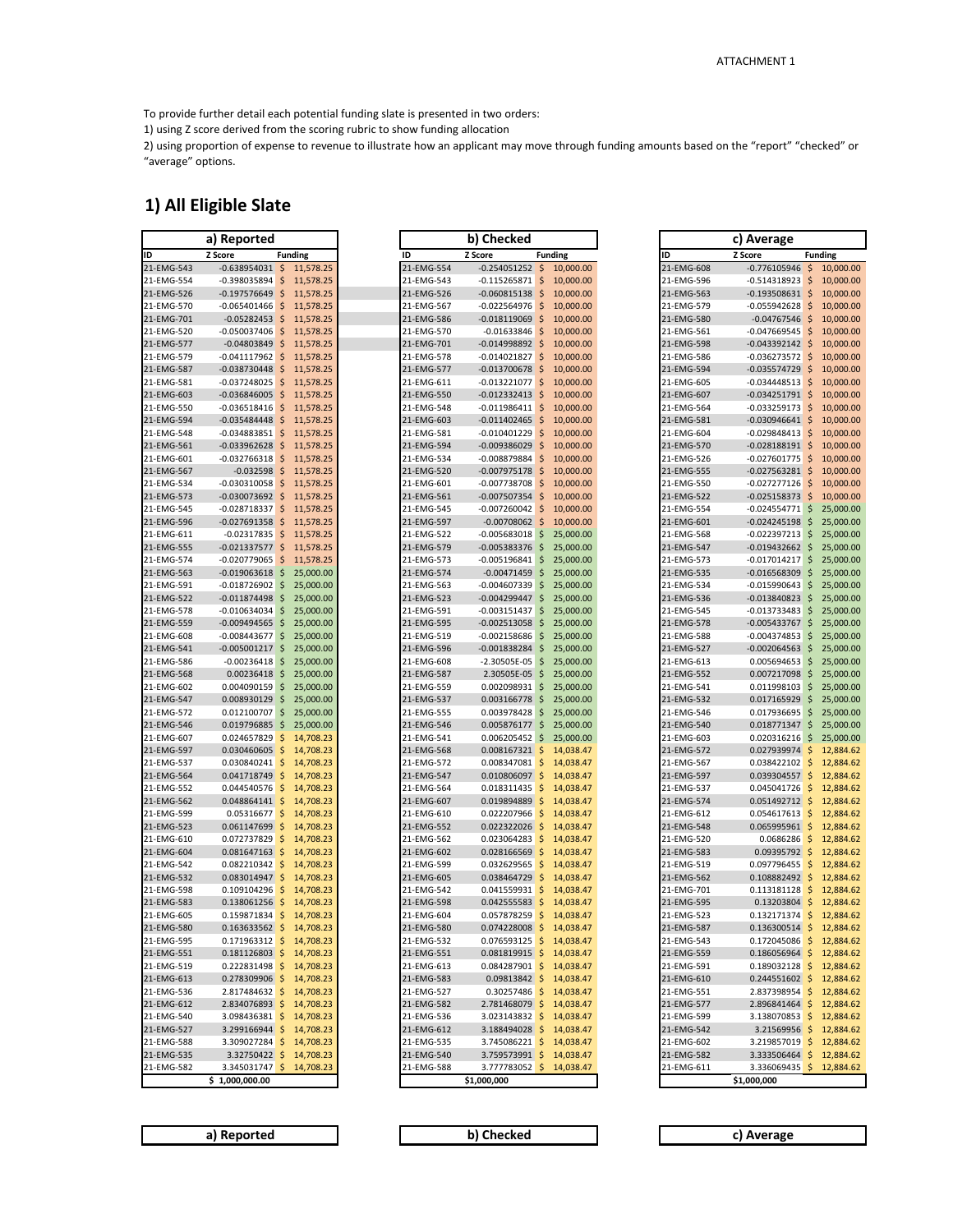To provide further detail each potential funding slate is presented in two orders:

1) using Z score derived from the scoring rubric to show funding allocation

2) using proportion of expense to revenue to illustrate how an applicant may move through funding amounts based on the "report" "checked" or "average" options.

#### **1) All Eligible Slate**

|            | a)<br>Reported     |    |                |
|------------|--------------------|----|----------------|
| ID         | Z Score            |    | <b>Funding</b> |
| 21-EMG-543 | $-0.638954031$     | \$ | 11,578.25      |
| 21-EMG-554 | -0.398035894       | \$ | 11,578.25      |
| 21-EMG-526 | $-0.197576649$     | \$ | 11,578.25      |
| 21-EMG-570 | $-0.065401466$     | \$ | 11,578.25      |
| 21-EMG-701 | $-0.05282453$      | \$ | 11,578.25      |
| 21-EMG-520 | $-0.050037406$     | \$ | 11,578.25      |
| 21-EMG-577 | $-0.04803849$      | \$ | 11,578.25      |
| 21-EMG-579 | $-0.041117962$     | \$ | 11,578.25      |
| 21-EMG-587 | $-0.038730448$     | \$ | 11,578.25      |
| 21-EMG-581 | $-0.037248025$     | \$ | 11,578.25      |
| 21-EMG-603 | $-0.036846005$     | \$ | 11,578.25      |
| 21-EMG-550 | $-0.036518416$     | \$ | 11,578.25      |
| 21-EMG-594 | $-0.035484448$     | \$ | 11,578.25      |
| 21-EMG-548 | $-0.034883851$     | \$ | 11,578.25      |
| 21-EMG-561 | $-0.033962628$     | \$ | 11,578.25      |
| 21-EMG-601 | $-0.032766318$     | \$ | 11,578.25      |
| 21-EMG-567 | $-0.032598$        | \$ | 11,578.25      |
| 21-EMG-534 | $-0.030310058$     | \$ | 11,578.25      |
| 21-EMG-573 | $-0.030073692$     | \$ | 11,578.25      |
| 21-EMG-545 | $-0.028718337$     | \$ | 11,578.25      |
| 21-EMG-596 | $-0.027691358$     | \$ | 11,578.25      |
| 21-EMG-611 | $-0.02317835$      | \$ | 11,578.25      |
| 21-EMG-555 | $-0.021337577$     | \$ |                |
| 21-EMG-574 | $-0.020779065$     | \$ | 11,578.25      |
|            |                    |    | 11,578.25      |
| 21-EMG-563 | $-0.019063618$     | \$ | 25,000.00      |
| 21-EMG-591 | $-0.018726902$     | \$ | 25,000.00      |
| 21-EMG-522 | $-0.011874498$     | \$ | 25,000.00      |
| 21-EMG-578 | $-0.010634034$     | \$ | 25,000.00      |
| 21-EMG-559 | $-0.009494565$     | \$ | 25,000.00      |
| 21-EMG-608 | $-0.008443677$     | \$ | 25,000.00      |
| 21-EMG-541 | $-0.005001217$     | \$ | 25,000.00      |
| 21-EMG-586 | $-0.00236418$      | \$ | 25,000.00      |
| 21-EMG-568 | 0.00236418         | \$ | 25,000.00      |
| 21-EMG-602 | 0.004090159        | \$ | 25,000.00      |
| 21-EMG-547 | 0.008930129        | \$ | 25,000.00      |
| 21-EMG-572 | 0.012100707        | \$ | 25,000.00      |
| 21-EMG-546 | 0.019796885        | \$ | 25,000.00      |
| 21-EMG-607 | 0.024657829        | \$ | 14,708.23      |
| 21-EMG-597 | 0.030460605        | \$ | 14,708.23      |
| 21-EMG-537 | 0.030840241        | \$ | 14,708.23      |
| 21-EMG-564 | 0.041718749        | \$ | 14,708.23      |
| 21-EMG-552 | 0.044540576        | \$ | 14,708.23      |
| 21-EMG-562 | 0.048864141        | \$ | 14,708.23      |
| 21-EMG-599 | 0.05316677         | \$ | 14,708.23      |
| 21-EMG-523 | 0.061147699        | \$ | 14,708.23      |
| 21-EMG-610 | 0.072737829        | \$ | 14,708.23      |
| 21-EMG-604 | 0.081647163        | \$ | 14,708.23      |
| 21-EMG-542 | 0.082210342        | \$ | 14,708.23      |
| 21-EMG-532 | 0.083014947        | \$ | 14,708.23      |
| 21-EMG-598 | 0.109104296        | \$ | 14,708.23      |
| 21-EMG-583 | 0.138061256        | \$ | 14,708.23      |
| 21-EMG-605 | 0.159871834        | \$ | 14,708.23      |
| 21-EMG-580 | 0.163633562        | \$ | 14,708.23      |
| 21-EMG-595 | 0.171963312        | Ş  | 14,708.23      |
| 21-EMG-551 | 0.181126803        | \$ | 14,708.23      |
| 21-EMG-519 | 0.222831498        | \$ | 14,708.23      |
| 21-EMG-613 | 0.278309906        | \$ | 14,708.23      |
| 21-EMG-536 | 2.817484632        | \$ | 14,708.23      |
| 21-EMG-612 | 2.834076893        | \$ | 14,708.23      |
| 21-EMG-540 | 3.098436381        | \$ | 14,708.23      |
| 21-EMG-527 | 3.299166944        |    | 14,708.23      |
| 21-EMG-588 |                    | \$ |                |
| 21-EMG-535 | 3.309027284        | \$ | 14,708.23      |
|            | 3.32750422         | \$ | 14,708.23      |
| 21-EMG-582 | 3.345031747        | \$ | 14,708.23      |
|            | \$<br>1.000.000.00 |    |                |

| a) Reported                                                                | b) Checked                                                         | c) Average                                                               |
|----------------------------------------------------------------------------|--------------------------------------------------------------------|--------------------------------------------------------------------------|
|                                                                            |                                                                    |                                                                          |
| Z Score<br>ID<br><b>Funding</b>                                            | ID<br>Z Score<br><b>Funding</b>                                    | Z Score<br>ID<br>Funding                                                 |
| 21-EMG-543<br>$-0.638954031$ \$<br>11,578.25                               | 21-EMG-554<br>$-0.254051252$ \$<br>10,000.00                       | 21-EMG-608<br>$-0.776105946$<br>$\frac{1}{2}$<br>10,                     |
| \$<br>21-EMG-554<br>$-0.398035894$<br>11,578.25                            | 21-EMG-543<br>\$<br>$-0.115265871$<br>10,000.00                    | 21-EMG-596<br>$\mathsf{S}$<br>10,<br>$-0.514318923$                      |
| 11,578.25<br>21-EMG-526<br>$-0.197576649$<br>\$                            | 21-EMG-526<br>$-0.060815138$<br>10,000.00<br>\$                    | 21-EMG-563<br>$-0.193508631$<br>$\zeta$<br>10,                           |
| $-0.065401466$<br>\$<br>11,578.25<br>21-EMG-570                            | \$<br>21-EMG-567<br>$-0.022564976$<br>10,000.00                    | \$<br>21-EMG-579<br>$-0.055942628$<br>10,                                |
| $-0.05282453$ \$<br>21-EMG-701<br>11,578.25                                | 21-EMG-586<br>$-0.018119069$<br>$\zeta$<br>10,000.00               | 21-EMG-580<br>10,<br>$-0.04767546$<br>\$                                 |
| 11,578.25<br>-0.050037406<br>\$<br>21-EMG-520                              | 10,000.00<br>21-EMG-570<br>$-0.01633846$<br>\$                     | 21-EMG-561<br>10,<br>$-0.047669545$<br>\$                                |
| $-0.04803849$ \$<br>21-EMG-577<br>11,578.25                                | 21-EMG-701<br>$-0.014998892$<br>$\ddot{\varsigma}$<br>10,000.00    | 21-EMG-598<br>$-0.043392142$<br>$\zeta$<br>10,                           |
| \$<br>11,578.25<br>$-0.041117962$<br>21-EMG-579                            | $\zeta$<br>21-EMG-578<br>$-0.014021827$<br>10,000.00               | \$<br>10,<br>21-EMG-586<br>$-0.036273572$                                |
| 21-EMG-587<br>$-0.038730448$ \$<br>11,578.25                               | $\ddot{\varsigma}$<br>21-EMG-577<br>$-0.013700678$<br>10,000.00    | 21-EMG-594<br>10,<br>$-0.035574729$<br>\$.                               |
| $-0.037248025$<br>21-EMG-581<br>\$<br>11,578.25                            | 21-EMG-611<br>$-0.013221077$<br>-\$<br>10,000.00                   | 21-EMG-605<br>\$<br>10,<br>$-0.034448513$                                |
| $-0.036846005$ \$<br>21-EMG-603<br>11,578.25                               | 21-EMG-550<br>-\$<br>$-0.012332413$<br>10,000.00                   | 21-EMG-607<br>$\mathsf{\$}$<br>10,<br>$-0.034251791$                     |
| $\ddot{\mathsf{S}}$<br>11,578.25<br>21-EMG-550<br>$-0.036518416$           | 21-EMG-548<br>$-0.011986411$<br>\$<br>10,000.00                    | 21-EMG-564<br>$-0.033259173$<br>\$<br>10,                                |
| 21-EMG-594<br>$-0.035484448$<br>\$<br>11,578.25                            | 21-EMG-603<br>$-0.011402465$<br>\$<br>10,000.00                    | 21-EMG-581<br>10,<br>$-0.030946641$<br>\$                                |
| 21-EMG-548<br>$-0.034883851$<br>\$<br>11,578.25                            | 21-EMG-581<br>$-0.010401229$<br>\$<br>10,000.00                    | $\mathsf{\$}$<br>10,<br>21-EMG-604<br>$-0.029848413$                     |
| $-0.033962628$ \$<br>11,578.25<br>21-EMG-561                               | $\frac{1}{2}$<br>$-0.009386029$<br>21-EMG-594<br>10,000.00         | 21-EMG-570<br>\$<br>10,<br>$-0.028188191$                                |
| $-0.032766318$ \$<br>21-EMG-601<br>11,578.25                               | $-0.008879884$<br>\$<br>10,000.00<br>21-EMG-534                    | 21-EMG-526<br>$-0.027601775$<br>\$<br>10,                                |
| $-0.032598$ \$<br>21-EMG-567<br>11,578.25                                  | 21-EMG-520<br>$-0.007975178$<br>\$<br>10,000.00                    | 21-EMG-555<br>$-0.027563281$ \$<br>10,                                   |
| $-0.030310058$ \$<br>21-EMG-534<br>11,578.25                               | \$<br>21-EMG-601<br>$-0.007738708$<br>10,000.00                    | \$<br>21-EMG-550<br>$-0.027277126$<br>10,                                |
| $-0.030073692$ \$<br>11,578.25<br>21-EMG-573                               | 21-EMG-561<br>$-0.007507354$<br>-\$<br>10,000.00                   | 21-EMG-522<br>$-0.025158373$<br>$\zeta$<br>10,                           |
| 11,578.25<br>21-EMG-545<br>$-0.028718337$ \$                               | 21-EMG-545<br>$-0.007260042$<br>-\$<br>10,000.00                   | \$<br>25,<br>21-EMG-554<br>$-0.024554771$                                |
| $-0.027691358$ \$<br>11,578.25<br>21-EMG-596                               | 21-EMG-597<br>$-0.00708062$<br>$\zeta$<br>10,000.00                | 21-EMG-601<br>$-0.024245198$<br>25,<br>\$                                |
| $\ddot{\mathsf{S}}$<br>$-0.02317835$<br>11,578.25<br>21-EMG-611            | 21-EMG-522<br>$-0.005683018$<br>\$<br>25,000.00                    | \$<br>21-EMG-568<br>$-0.022397213$<br>25,                                |
| $-0.021337577$ \$<br>11,578.25<br>21-EMG-555                               | 21-EMG-579<br>$-0.005383376$<br>\$<br>25,000.00                    | 21-EMG-547<br>$-0.019432662$<br>\$<br>25,                                |
| $-0.020779065$<br>11,578.25<br>21-EMG-574<br>\$                            | 21-EMG-573<br>25,000.00<br>$-0.005196841$<br>\$                    | 21-EMG-573<br>25,<br>$-0.017014217$<br>\$                                |
| $-0.019063618$<br>25,000.00<br>21-EMG-563<br>-\$                           | 21-EMG-574<br>$-0.00471459$<br>\$<br>25,000.00                     | 21-EMG-535<br>$-0.016568309$<br>\$<br>25,                                |
| $-0.018726902$<br>\$<br>25,000.00<br>21-EMG-591                            | 21-EMG-563<br>$\ddot{\varsigma}$<br>25,000.00<br>$-0.004607339$    | 21-EMG-534<br>\$<br>25,<br>$-0.015990643$                                |
| 25,000.00<br>21-EMG-522<br>$-0.011874498$<br>-\$                           | 21-EMG-523<br>$-0.004299447$<br>-\$<br>25,000.00                   | 21-EMG-536<br>25,<br>$-0.013840823$<br>\$                                |
| $-0.010634034$<br>25,000.00                                                | 21-EMG-591<br>$-0.003151437$ \$<br>25,000.00                       | 21-EMG-545<br>25,                                                        |
| 21-EMG-578<br>\$<br>$-0.009494565$ \$                                      | 21-EMG-595<br>$-0.002513058$                                       | $-0.013733483$<br>\$<br>21-EMG-578                                       |
| 25,000.00<br>21-EMG-559<br>$-0.008443677$<br>\$<br>25,000.00<br>21-EMG-608 | \$<br>25,000.00<br>21-EMG-519<br>$-0.002158686$<br>\$<br>25,000.00 | \$<br>$-0.005433767$<br>25,<br>25,<br>21-EMG-588<br>$-0.004374853$<br>\$ |
| 25,000.00<br>21-EMG-541<br>$-0.005001217$ \$                               | 21-EMG-596<br>$-0.001838284$<br>-\$<br>25,000.00                   | 21-EMG-527<br>25,<br>$-0.002064563$<br>\$                                |
| 25,000.00<br>21-EMG-586<br>$-0.00236418$                                   | 21-EMG-608<br>$-2.30505E-05$<br>25,000.00                          | 21-EMG-613                                                               |
| \$<br>$0.00236418$ \$<br>25,000.00                                         | \$<br>2.30505E-05<br>-\$<br>25,000.00                              | 0.005694653<br>\$<br>25,<br>21-EMG-552<br>\$<br>25,                      |
| 21-EMG-568<br>0.004090159<br>25,000.00                                     | 21-EMG-587<br>\$<br>25,000.00<br>21-EMG-559                        | 0.007217098<br>21-EMG-541<br>\$<br>25,                                   |
| 21-EMG-602<br>\$<br>$0.008930129$ \$<br>25,000.00<br>21-EMG-547            | 0.002098931<br>21-EMG-537<br>0.003166778<br>25,000.00<br>\$        | 0.011998103<br>21-EMG-532<br>0.017165929<br>25,<br>\$                    |
| 25,000.00<br>21-EMG-572<br>0.012100707<br>\$                               | 21-EMG-555<br>0.003978428<br>-\$<br>25,000.00                      | \$<br>21-EMG-546<br>0.017936695<br>25,                                   |
| $0.019796885$ \$<br>25,000.00<br>21-EMG-546                                | 21-EMG-546<br>$0.005876177$ \$<br>25,000.00                        | 21-EMG-540<br>\$<br>25,<br>0.018771347                                   |
| \$<br>14,708.23<br>21-EMG-607<br>0.024657829                               | 21-EMG-541<br>0.006205452<br>-\$<br>25,000.00                      | 21-EMG-603<br>25,<br>0.020316216<br>\$                                   |
| 21-EMG-597<br>0.030460605<br>-\$<br>14,708.23                              | 21-EMG-568<br>0.008167321<br>-\$<br>14,038.47                      | 21-EMG-572<br>0.027939974<br>\$<br>12,                                   |
| $\ddot{\mathsf{S}}$<br>14,708.23<br>0.030840241<br>21-EMG-537              | $\ddot{\mathsf{S}}$<br>21-EMG-572<br>0.008347081<br>14,038.47      | \$<br>21-EMG-567<br>0.038422102<br>12,                                   |
| 0.041718749 \$<br>14,708.23<br>21-EMG-564                                  | 21-EMG-547<br>0.010806097<br>-\$<br>14,038.47                      | 21-EMG-597<br>0.039304557<br>\$<br>12,                                   |
| 14,708.23<br>0.044540576<br>\$<br>21-EMG-552                               | 21-EMG-564<br>0.018311435<br>\$<br>14,038.47                       | 21-EMG-537<br>\$<br>12,<br>0.045041726                                   |
| 21-EMG-562<br>$0.048864141 \pm$<br>14,708.23                               | $\ddot{\mathsf{S}}$<br>21-EMG-607<br>0.019894889<br>14,038.47      | 21-EMG-574<br>0.051492712<br>\$<br>12,                                   |
| $0.05316677$ \$<br>21-EMG-599<br>14,708.23                                 | 21-EMG-610<br>0.022207966<br>-\$<br>14,038.47                      | 21-EMG-612<br>$\ddot{\mathsf{S}}$<br>0.054617613<br>12,                  |
| 14,708.23<br>21-EMG-523<br>$0.061147699$ \$                                | 21-EMG-552<br>0.022322026<br>-\$<br>14,038.47                      | 21-EMG-548<br>12,<br>0.065995961 \$                                      |
| $\ddot{\mathsf{S}}$<br>14,708.23<br>21-EMG-610<br>0.072737829              | 21-EMG-562<br>0.023064283<br>\$<br>14,038.47                       | 21-EMG-520<br>0.0686286<br>\$<br>12,                                     |
| 0.081647163 \$<br>14,708.23<br>21-EMG-604                                  | \$<br>21-EMG-602<br>0.028166569<br>14,038.47                       | \$<br>21-EMG-583<br>0.09395792<br>12,                                    |
| 14,708.23<br>21-EMG-542<br>0.082210342 \$                                  | \$<br>21-EMG-599<br>0.032629565<br>14,038.47                       | 21-EMG-519<br>0.097796455<br>\$.<br>12,                                  |
| 21-EMG-532<br>$0.083014947$ \$<br>14,708.23                                | 21-EMG-605<br>0.038464729<br>\$<br>14,038.47                       | 21-EMG-562<br>12,<br>0.108882492<br>S.                                   |
| 21-EMG-598<br>0.109104296<br>-\$<br>14,708.23                              | 21-EMG-542<br>0.041559931<br>\$<br>14,038.47                       | \$<br>12,<br>21-EMG-701<br>0.113181128                                   |
| $0.138061256$ \$<br>14,708.23<br>21-EMG-583                                | 21-EMG-598<br>$\ddot{\varsigma}$<br>0.042555583<br>14,038.47       | 21-EMG-595<br>$0.13203804$ \$<br>12,                                     |
| 0.159871834 \$ 14,708.23<br>21-EMG-605                                     | 21-EMG-604<br>\$14,038.47<br>0.057878259                           | 21-EMG-523<br>$0.132171374$ \$<br>12,                                    |
| 21-EMG-580<br>$0.163633562$ \$ 14,708.23                                   | 21-EMG-580<br>0.074228008 \$ 14,038.47                             | 21-EMG-587<br>$0.136300514$ \$ 12,                                       |
| 21-EMG-595<br>0.171963312 \$ 14,708.23                                     | 21-EMG-532<br>$0.076593125$ \$ 14,038.47                           | 21-EMG-543<br>$0.172045086$ \$ 12,                                       |
| 21-EMG-551<br>$0.181126803$ \$ 14,708.23                                   | 21-EMG-551<br>0.081819915 \$ 14,038.47                             | 21-EMG-559<br>$0.186056964$ \$ 12,                                       |
| 0.222831498 \$ 14,708.23<br>21-EMG-519                                     | 21-EMG-613<br>0.084287901<br>\$14,038.47                           | 21-EMG-591<br>$0.189032128$ \$ 12,                                       |
| 0.278309906 \$ 14,708.23<br>21-EMG-613                                     | 21-EMG-583<br>$0.09813842 \div 14,038.47$                          | $0.244551602$ \$ 12,<br>21-EMG-610                                       |
| 21-EMG-536<br>2.817484632 \$<br>14,708.23                                  | 21-EMG-527<br>0.30257486<br>\$14,038.47                            | 21-EMG-551<br>$2.837398954$ \$ 12,                                       |
| 2.834076893 \$<br>14,708.23<br>21-EMG-612                                  | 2.781468079 \$ 14,038.47<br>21-EMG-582                             | 21-EMG-577<br>$2.896841464$ \$ 12,                                       |
| 3.098436381 \$<br>14,708.23<br>21-EMG-540                                  | 3.023143832<br>21-EMG-536<br>\$<br>14,038.47                       | 21-EMG-599<br>3.138070853<br>\$<br>12,                                   |
| 21-EMG-527<br>3.299166944 \$<br>14,708.23                                  | 21-EMG-612<br>3.188494028 \$<br>14,038.47                          | 21-EMG-542<br>$3.21569956$ \$ 12,                                        |
| 14,708.23<br>21-EMG-588<br>3.309027284 \$                                  | 21-EMG-535<br>3.745086221 \$ 14,038.47                             | 21-EMG-602<br>3.219857019<br>\$12,                                       |
| 21-EMG-535<br>$3.32750422$ \$<br>14,708.23                                 | 21-EMG-540<br>3.759573991 \$<br>14,038.47                          | 21-EMG-582<br>3.333506464 \$ 12,                                         |
| 21-EMG-582<br>3.345031747 \$<br>14,708.23                                  | 21-EMG-588<br>3.777783052 \$<br>14,038.47                          | 21-EMG-611<br>3.336069435 \$ 12,                                         |
| \$1,000,000.00                                                             | \$1,000,000                                                        | \$1,000,000                                                              |

|                          | a) Reported                         |                                      |                          | b) Checked                                           |                    |                        |                          | c) Average                                           |                                            |                        |
|--------------------------|-------------------------------------|--------------------------------------|--------------------------|------------------------------------------------------|--------------------|------------------------|--------------------------|------------------------------------------------------|--------------------------------------------|------------------------|
| ID                       | Z Score                             | <b>Funding</b>                       | ID                       | Z Score                                              | <b>Funding</b>     |                        | ID                       | Z Score                                              |                                            | <b>Funding</b>         |
| 21-EMG-543               | $-0.638954031$ \$                   | 11,578.25                            | 21-EMG-554               | $-0.254051252$ \$                                    |                    | 10,000.00              | 21-EMG-608               | $-0.776105946$ \$                                    |                                            | 10,000.00              |
| 21-EMG-554               | $-0.398035894$ \$                   | 11,578.25                            | 21-EMG-543               | $-0.115265871$                                       | \$                 | 10,000.00              | 21-EMG-596               | $-0.514318923$                                       | $\ddot{\varsigma}$                         | 10,000.00              |
| 21-EMG-526               | $-0.197576649$ \$                   | 11,578.25                            | 21-EMG-526               | $-0.060815138$                                       | \$                 | 10,000.00              | 21-EMG-563               | $-0.193508631$                                       | $\ddot{\varsigma}$                         | 10,000.00              |
| 21-EMG-570               | $-0.065401466$                      | \$<br>11,578.25                      | 21-EMG-567               | $-0.022564976$                                       | \$                 | 10,000.00              | 21-EMG-579               | $-0.055942628$                                       | \$                                         | 10,000.00              |
| 21-EMG-701               | $-0.05282453$ \$                    | 11,578.25                            | 21-EMG-586               | $-0.018119069$                                       | \$                 | 10,000.00              | 21-EMG-580               | $-0.04767546$                                        | $\ddot{\mathsf{S}}$                        | 10,000.00              |
| 21-EMG-520               | $-0.050037406$ \$                   | 11,578.25                            | 21-EMG-570               | $-0.01633846$                                        | \$                 | 10,000.00              | 21-EMG-561               | $-0.047669545$                                       | $\ddot{\mathsf{S}}$                        | 10,000.00              |
| 21-EMG-577               | $-0.04803849$                       | \$<br>11,578.25                      | 21-EMG-701               | $-0.014998892$                                       | \$                 | 10,000.00              | 21-EMG-598               | $-0.043392142$                                       | $\ddot{\mathsf{S}}$                        | 10,000.00              |
| 21-EMG-579               | $-0.041117962$ \$                   | 11,578.25                            | 21-EMG-578               | $-0.014021827$                                       | \$                 | 10,000.00              | 21-EMG-586               | $-0.036273572$                                       | $\ddot{\mathsf{S}}$                        | 10,000.00              |
| 21-EMG-587               | $-0.038730448$ \$                   | 11,578.25                            | 21-EMG-577               | $-0.013700678$                                       | $\ddot{\varsigma}$ | 10,000.00              | 21-EMG-594               | $-0.035574729$                                       | -\$                                        | 10,000.00              |
| 21-EMG-581               | $-0.037248025$ \$                   | 11,578.25                            | 21-EMG-611               | $-0.013221077$                                       | $\ddot{\varsigma}$ | 10,000.00              | 21-EMG-605               | $-0.034448513$ \$                                    |                                            | 10,000.00              |
| 21-EMG-603<br>21-EMG-550 | $-0.036846005$ \$<br>$-0.036518416$ | 11,578.25<br>11,578.25               | 21-EMG-550<br>21-EMG-548 | $-0.012332413$<br>$-0.011986411$                     | -\$<br>\$          | 10,000.00<br>10,000.00 | 21-EMG-607<br>21-EMG-564 | $-0.034251791$ \$<br>$-0.033259173$                  | $\ddot{\mathsf{S}}$                        | 10,000.00<br>10,000,00 |
| 21-EMG-594               | $-0.035484448$ \$                   | \$<br>11,578.25                      | 21-EMG-603               | $-0.011402465$                                       | \$                 | 10,000.00              | 21-EMG-581               | $-0.030946641$                                       | $\sqrt{5}$                                 | 10,000.00              |
| 21-EMG-548               | $-0.034883851$                      | $\ddot{\mathsf{S}}$<br>11,578.25     | 21-EMG-581               | $-0.010401229$                                       | \$                 | 10,000.00              | 21-EMG-604               | -0.029848413                                         | $\varsigma$                                | 10,000.00              |
| 21-EMG-561               | $-0.033962628$ \$                   | 11,578.25                            | 21-EMG-594               | $-0.009386029$                                       | \$                 | 10,000.00              | 21-EMG-570               | $-0.028188191$ \$                                    |                                            | 10,000.00              |
| 21-EMG-601               | $-0.032766318$ \$                   | 11,578.25                            | 21-EMG-534               | $-0.008879884$                                       | \$                 | 10,000.00              | 21-EMG-526               | $-0.027601775$                                       | $\varsigma$                                | 10,000.00              |
| 21-EMG-567               | $-0.032598$ \$                      | 11,578.25                            | 21-EMG-520               | $-0.007975178$                                       | \$                 | 10,000.00              | 21-EMG-555               | $-0.027563281$ \$                                    |                                            | 10,000.00              |
| 21-EMG-534               | $-0.030310058$ \$                   | 11,578.25                            | 21-EMG-601               | $-0.007738708$                                       | \$                 | 10,000.00              | 21-EMG-550               | $-0.027277126$                                       | $\ddot{\mathsf{S}}$                        | 10,000.00              |
| 21-EMG-573               | $-0.030073692$ \$                   | 11,578.25                            | 21-EMG-561               | $-0.007507354$                                       | \$                 | 10,000.00              | 21-EMG-522               | $-0.025158373$                                       | $\ddot{\mathsf{S}}$                        | 10,000.00              |
| 21-EMG-545               | $-0.028718337$ \$                   | 11,578.25                            | 21-EMG-545               | $-0.007260042$                                       | \$                 | 10,000.00              | 21-EMG-554               | $-0.024554771$ \$                                    |                                            | 25,000.00              |
| 21-EMG-596               | $-0.027691358$ \$                   | 11,578.25                            | 21-EMG-597               | $-0.00708062$                                        | \$                 | 10,000.00              | 21-EMG-601               | $-0.024245198$                                       | $\ddot{\mathsf{S}}$                        | 25,000.00              |
| 21-EMG-611               | $-0.02317835$ \$                    | 11,578.25                            | 21-EMG-522               | $-0.005683018$                                       | \$                 | 25,000.00              | 21-EMG-568               | $-0.022397213$                                       | $\ddot{\varsigma}$                         | 25,000.00              |
| 21-EMG-555               | $-0.021337577$ \$                   | 11,578.25                            | 21-EMG-579               | $-0.005383376$                                       | \$                 | 25,000.00              | 21-EMG-547               | $-0.019432662$                                       | $\ddot{\varsigma}$                         | 25,000.00              |
| 21-EMG-574               | $-0.020779065$                      | $\sqrt{5}$<br>11,578.25              | 21-EMG-573               | $-0.005196841$                                       | \$                 | 25,000.00              | 21-EMG-573               | $-0.017014217$ \$                                    |                                            | 25,000.00              |
| 21-EMG-563               | $-0.019063618$ \$                   | 25,000.00                            | 21-EMG-574               | $-0.00471459$                                        | \$                 | 25,000.00              | 21-EMG-535               | $-0.016568309$                                       | $\ddot{\varsigma}$                         | 25,000.00              |
| 21-EMG-591               | $-0.018726902$                      | \$<br>25,000.00                      | 21-EMG-563               | $-0.004607339$                                       | \$                 | 25,000.00              | 21-EMG-534               | $-0.015990643$                                       | $\ddot{\mathsf{S}}$                        | 25,000.00              |
| 21-EMG-522               | $-0.011874498$ \$                   | 25,000.00                            | 21-EMG-523               | $-0.004299447$                                       | \$                 | 25,000.00              | 21-EMG-536               | $-0.013840823$                                       | -\$                                        | 25,000.00              |
| 21-EMG-578               | $-0.010634034$ \$                   | 25,000.00                            | 21-EMG-591               | $-0.003151437$                                       | $\ddot{\varsigma}$ | 25,000.00              | 21-EMG-545               | $-0.013733483$ \$                                    |                                            | 25,000.00              |
| 21-EMG-559               | $-0.009494565$                      | -\$<br>25,000.00                     | 21-EMG-595               | $-0.002513058$                                       | \$                 | 25,000.00              | 21-EMG-578               | $-0.005433767$                                       | -\$                                        | 25,000.00<br>25,000.00 |
| 21-EMG-608               | $-0.008443677$ \$                   | 25,000.00                            | 21-EMG-519               | $-0.002158686$                                       | \$                 | 25,000.00              | 21-EMG-588               | $-0.004374853$                                       | $\ddot{\mathsf{S}}$                        |                        |
| 21-EMG-541<br>21-EMG-586 | $-0.005001217$ \$<br>$-0.00236418$  | 25,000.00<br>25,000.00<br>\$         | 21-EMG-596<br>21-EMG-608 | $-0.001838284$<br>$-2.30505E-05$                     | \$<br>\$           | 25,000.00<br>25,000.00 | 21-EMG-527<br>21-EMG-613 | $-0.002064563$<br>0.005694653                        | $\ddot{\varsigma}$<br>-\$                  | 25,000.00<br>25,000.00 |
| 21-EMG-568               | $0.00236418$ \$                     | 25,000.00                            | 21-EMG-587               | 2.30505E-05                                          | \$                 | 25,000.00              | 21-EMG-552               | 0.007217098                                          | $\ddot{\varsigma}$                         | 25,000.00              |
| 21-EMG-602               | 0.004090159                         | $\ddot{\mathsf{S}}$<br>25,000.00     | 21-EMG-559               | 0.002098931                                          | \$                 | 25,000.00              | 21-EMG-541               | 0.011998103                                          | $\ddot{\mathsf{S}}$                        | 25,000.00              |
| 21-EMG-547               | 0.008930129                         | -\$<br>25,000.00                     | 21-EMG-537               | 0.003166778                                          | \$                 | 25,000.00              | 21-EMG-532               | 0.017165929                                          | -\$                                        | 25,000.00              |
| 21-EMG-572               | 0.012100707 \$                      | 25,000.00                            | 21-EMG-555               | 0.003978428                                          | \$                 | 25,000.00              | 21-EMG-546               | 0.017936695                                          | $\ddot{\mathsf{S}}$                        | 25,000.00              |
| 21-EMG-546               | 0.019796885                         | -\$<br>25,000.00                     | 21-EMG-546               | 0.005876177                                          | \$                 | 25,000.00              | 21-EMG-540               | 0.018771347                                          | -\$                                        | 25,000.00              |
| 21-EMG-607               | 0.024657829                         | $\ddot{\mathsf{S}}$<br>14,708.23     | 21-EMG-541               | $0.006205452$ \$                                     |                    | 25,000.00              | 21-EMG-603               | $0.020316216$ \$                                     |                                            | 25,000.00              |
| 21-EMG-597               | $0.030460605$ \$                    | 14,708.23                            | 21-EMG-568               | 0.008167321                                          | \$                 | 14,038.47              | 21-EMG-572               | $0.027939974$ \$                                     |                                            | 12,884.62              |
| 21-EMG-537               | 0.030840241                         | \$<br>14,708.23                      | 21-EMG-572               | 0.008347081                                          | \$                 | 14,038.47              | 21-EMG-567               | 0.038422102                                          | $\ddot{\mathsf{S}}$                        | 12,884.62              |
| 21-EMG-564               | $0.041718749$ \$                    | 14,708.23                            | 21-EMG-547               | 0.010806097                                          | \$                 | 14,038.47              | 21-EMG-597               | $0.039304557$ \$                                     |                                            | 12,884.62              |
| 21-EMG-552               | 0.044540576                         | $\ddot{\mathsf{S}}$<br>14,708.23     | 21-EMG-564               | 0.018311435                                          | \$                 | 14,038.47              | 21-EMG-537               | 0.045041726                                          | $\ddot{\mathsf{S}}$                        | 12,884.62              |
| 21-EMG-562               | $0.048864141$ \$                    | 14,708.23                            | 21-EMG-607               | 0.019894889                                          | \$                 | 14,038.47              | 21-EMG-574               | 0.051492712                                          | \$                                         | 12,884.62              |
| 21-EMG-599               | $0.05316677$ \$                     | 14,708.23                            | 21-EMG-610               | 0.022207966                                          | \$                 | 14,038.47              | 21-EMG-612               | $0.054617613$ \$                                     |                                            | 12,884.62              |
| 21-EMG-523               | $0.061147699$ \$                    | 14,708.23                            | 21-EMG-552               | 0.022322026                                          | \$                 | 14,038.47              | 21-EMG-548               | $0.065995961$ \$                                     |                                            | 12,884.62              |
| 21-EMG-610               | 0.072737829                         | -\$<br>14,708.23                     | 21-EMG-562               | 0.023064283                                          | \$                 | 14,038.47              | 21-EMG-520<br>21-EMG-583 | 0.0686286                                            | -\$                                        | 12,884.62              |
| 21-EMG-604<br>21-EMG-542 | 0.081647163<br>0.082210342          | 14,708.23<br>-\$<br>\$<br>14,708.23  | 21-EMG-602<br>21-EMG-599 | 0.028166569<br>0.032629565                           | \$<br>\$           | 14,038.47<br>14,038.47 | 21-EMG-519               | 0.09395792<br>0.097796455                            | $\ddot{\mathsf{S}}$<br>$\ddot{\mathsf{S}}$ | 12,884.62<br>12,884.62 |
| 21-EMG-532               | $0.083014947$ \$                    | 14,708.23                            | 21-EMG-605               | 0.038464729                                          | \$                 | 14,038.47              | 21-EMG-562               | 0.108882492                                          | -\$                                        | 12,884.62              |
| 21-EMG-598               | 0.109104296                         | -\$<br>14,708.23                     | 21-EMG-542               | 0.041559931                                          | \$                 | 14,038.47              | 21-EMG-701               | 0.113181128                                          | \$                                         | 12,884.62              |
| 21-EMG-583               | $0.138061256$ \$                    | 14,708.23                            | 21-EMG-598               | 0.042555583                                          | \$                 | 14,038.47              | 21-EMG-595               | $0.13203804$ \$                                      |                                            | 12,884.62              |
| 21-EMG-605               | $0.159871834$ \$                    | 14,708.23                            | 21-EMG-604               | 0.057878259 \$ 14,038.47                             |                    |                        | 21-EMG-523               | 0.132171374 \$ 12,884.62                             |                                            |                        |
| 21-EMG-580               | $0.163633562$ \$                    | 14,708.23                            | 21-EMG-580               | 0.074228008 \$ 14,038.47                             |                    |                        | 21-EMG-587               | $0.136300514$ \$ 12,884.62                           |                                            |                        |
| 21-EMG-595               | $0.171963312$ \$                    | 14,708.23                            | 21-EMG-532               | $0.076593125$ \$ 14,038.47                           |                    |                        | 21-EMG-543               | $0.172045086$ \$ 12,884.62                           |                                            |                        |
| 21-EMG-551               | $0.181126803$ \$                    | 14,708.23                            | 21-EMG-551               | $0.081819915$ \$                                     |                    | 14,038.47              | 21-EMG-559               | $0.186056964$ \$                                     |                                            | 12,884.62              |
| 21-EMG-519               | $0.222831498$ \$                    | 14,708.23                            | 21-EMG-613               | $0.084287901$ \$ 14,038.47                           |                    |                        | 21-EMG-591               | $0.189032128$ \$ 12,884.62                           |                                            |                        |
| 21-EMG-613               | $0.278309906$ \$                    | 14,708.23                            | 21-EMG-583               | $0.09813842 \frac{1}{5}$                             |                    | 14,038.47              | 21-EMG-610               | $0.244551602$ \$ 12,884.62                           |                                            |                        |
| 21-EMG-536               | 2.817484632 \$                      | 14,708.23                            | 21-EMG-527               | 0.30257486 \$ 14,038.47                              |                    |                        | 21-EMG-551               | 2.837398954 \$ 12,884.62                             |                                            |                        |
| 21-EMG-612               | 2.834076893 \$                      | 14,708.23                            | 21-EMG-582               | 2.781468079 \$ 14,038.47                             |                    |                        | 21-EMG-577               | 2.896841464 \$ 12,884.62                             |                                            |                        |
| 21-EMG-540               | 3.098436381 \$                      | 14,708.23                            | 21-EMG-536               | 3.023143832 \$ 14,038.47                             |                    |                        | 21-EMG-599               | 3.138070853 \$ 12,884.62                             |                                            |                        |
| 21-EMG-527               | 3.299166944 \$                      | 14,708.23                            | 21-EMG-612               | 3.188494028 \$ 14,038.47                             |                    |                        | 21-EMG-542               | 3.21569956 \$ 12,884.62                              |                                            |                        |
| 21-EMG-588<br>21-EMG-535 | 3.309027284 \$                      | 14,708.23<br>3.32750422 \$ 14,708.23 | 21-EMG-535<br>21-EMG-540 | 3.745086221 \$ 14,038.47                             |                    |                        | 21-EMG-602<br>21-EMG-582 | 3.219857019 \$ 12,884.62                             |                                            |                        |
| 21-EMG-582               | 3.345031747 \$ 14,708.23            |                                      | 21-EMG-588               | 3.759573991 \$ 14,038.47<br>3.777783052 \$ 14,038.47 |                    |                        | 21-EMG-611               | 3.333506464 \$ 12,884.62<br>3.336069435 \$ 12,884.62 |                                            |                        |
|                          | \$1,000,000.00                      |                                      |                          | \$1,000,000                                          |                    |                        |                          | \$1,000,000                                          |                                            |                        |
|                          |                                     |                                      |                          |                                                      |                    |                        |                          |                                                      |                                            |                        |

**a) Reported b) Checked c) Average**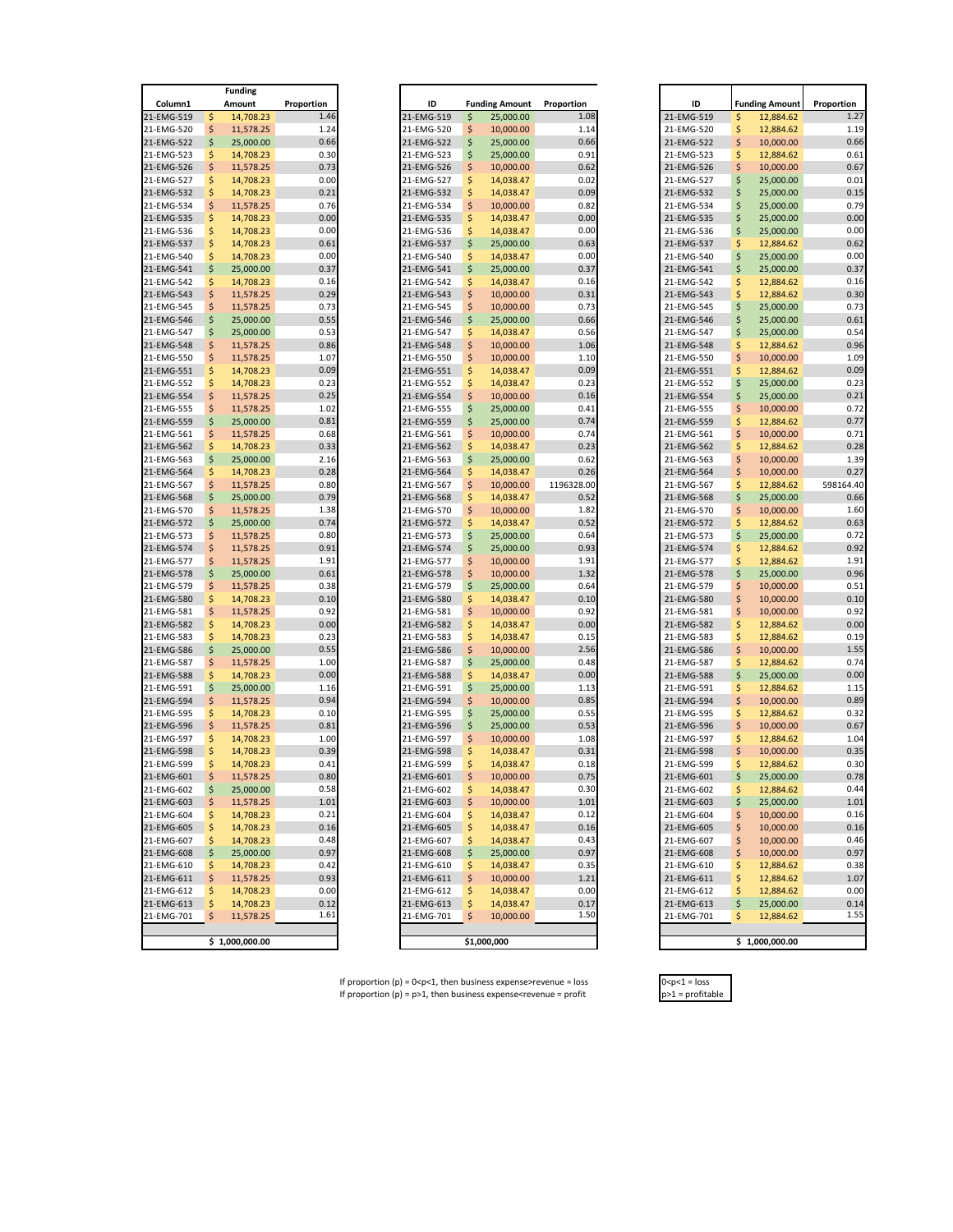If proportion (p) =  $0 < p < 1$ , then business expense>revenue = loss  $0 < p < 1$  = loss <br>If proportion (p) =  $p > 1$ , then business expense<revenue = profit  $p > 1$  = profitable If proportion  $(p) = p > 1$ , then business expense<revenue = profit

| <b>Funding</b>           |          |                        |                  |  |  |  |  |  |  |  |
|--------------------------|----------|------------------------|------------------|--|--|--|--|--|--|--|
| Column1                  |          | Amount                 | Proportion       |  |  |  |  |  |  |  |
| 21-EMG-519               | \$       | 14,708.23              | 1.4              |  |  |  |  |  |  |  |
| 21-EMG-520               | \$       | 11,578.25              | 1.2              |  |  |  |  |  |  |  |
| 21-EMG-522               | \$       | 25,000.00              | 0.6              |  |  |  |  |  |  |  |
| 21-EMG-523<br>21-EMG-526 | \$<br>\$ | 14,708.23<br>11,578.25 | 0.3<br>0.7       |  |  |  |  |  |  |  |
| 21-EMG-527               | \$       | 14,708.23              | 0.0              |  |  |  |  |  |  |  |
| 21-EMG-532               | \$       | 14,708.23              | $0.\overline{0}$ |  |  |  |  |  |  |  |
| 21-EMG-534               | \$       | 11,578.25              | 0.7              |  |  |  |  |  |  |  |
| 21-EMG-535               | \$       | 14,708.23              | 0.0              |  |  |  |  |  |  |  |
| 21-EMG-536               | \$       | 14,708.23              | 0.0              |  |  |  |  |  |  |  |
| 21-EMG-537               | \$       | 14,708.23              | 0.6              |  |  |  |  |  |  |  |
| 21-EMG-540               | \$       | 14,708.23              | 0.0              |  |  |  |  |  |  |  |
| 21-EMG-541               | \$       | 25,000.00              | 0.3              |  |  |  |  |  |  |  |
| 21-EMG-542               | \$       | 14,708.23              | 0.2              |  |  |  |  |  |  |  |
| 21-EMG-543               | \$       | 11,578.25              | 0.2              |  |  |  |  |  |  |  |
| 21-EMG-545               | \$       | 11,578.25              | 0.7<br>0.5       |  |  |  |  |  |  |  |
| 21-EMG-546<br>21-EMG-547 | \$<br>\$ | 25,000.00              | 0.5              |  |  |  |  |  |  |  |
| 21-EMG-548               | \$       | 25,000.00<br>11,578.25 | $0.\delta$       |  |  |  |  |  |  |  |
| 21-EMG-550               | \$       | 11,578.25              | 1.(              |  |  |  |  |  |  |  |
| 21-EMG-551               | \$       | 14,708.23              | 0.0              |  |  |  |  |  |  |  |
| 21-EMG-552               | \$       | 14,708.23              | 0.2              |  |  |  |  |  |  |  |
| 21-EMG-554               | \$       | 11,578.25              | 0.2              |  |  |  |  |  |  |  |
| 21-EMG-555               | \$       | 11,578.25              | 1.0              |  |  |  |  |  |  |  |
| 21-EMG-559               | \$       | 25,000.00              | $0.\delta$       |  |  |  |  |  |  |  |
| 21-EMG-561               | \$       | 11,578.25              | 0.6              |  |  |  |  |  |  |  |
| 21-EMG-562               | \$       | 14,708.23              | 0.3              |  |  |  |  |  |  |  |
| 21-EMG-563               | \$       | 25,000.00              | 2.1              |  |  |  |  |  |  |  |
| 21-EMG-564               | \$       | 14,708.23              | 0.2              |  |  |  |  |  |  |  |
| 21-EMG-567               | \$       | 11,578.25              | 0.8              |  |  |  |  |  |  |  |
| 21-EMG-568               | \$       | 25,000.00              | 0.7<br>1.3       |  |  |  |  |  |  |  |
| 21-EMG-570<br>21-EMG-572 | \$<br>\$ | 11,578.25<br>25,000.00 | 0.7              |  |  |  |  |  |  |  |
| 21-EMG-573               | \$       | 11,578.25              | 0.8              |  |  |  |  |  |  |  |
| 21-EMG-574               | \$       | 11,578.25              | 0.9              |  |  |  |  |  |  |  |
| 21-EMG-577               | \$       | 11,578.25              | 1.9              |  |  |  |  |  |  |  |
| 21-EMG-578               | \$       | 25,000.00              | 0.6              |  |  |  |  |  |  |  |
| 21-EMG-579               | \$       | 11,578.25              | 0.3              |  |  |  |  |  |  |  |
| 21-EMG-580               | \$       | 14,708.23              | 0.2              |  |  |  |  |  |  |  |
| 21-EMG-581               | \$       | 11,578.25              | 0.9              |  |  |  |  |  |  |  |
| 21-EMG-582               | \$       | 14,708.23              | 0.0              |  |  |  |  |  |  |  |
| 21-EMG-583               | \$       | 14,708.23              | 0.2              |  |  |  |  |  |  |  |
| 21-EMG-586               | \$       | 25,000.00              | 0.5              |  |  |  |  |  |  |  |
| 21-EMG-587               | \$       | 11,578.25              | 1.0              |  |  |  |  |  |  |  |
| 21-EMG-588<br>21-EMG-591 | \$<br>\$ | 14,708.23              | 0.0              |  |  |  |  |  |  |  |
| 21-EMG-594               | \$       | 25,000.00<br>11,578.25 | 1.1<br>0.9       |  |  |  |  |  |  |  |
| 21-EMG-595               | \$       | 14,708.23              | 0.1              |  |  |  |  |  |  |  |
| 21-EMG-596               | \$       | 11,578.25              | $0.\delta$       |  |  |  |  |  |  |  |
| 21-EMG-597               | \$       | 14,708.23              | 1.0              |  |  |  |  |  |  |  |
| 21-EMG-598               | \$       | 14,708.23              | 0.3              |  |  |  |  |  |  |  |
| 21-EMG-599               | \$       | 14,708.23              | 0.4              |  |  |  |  |  |  |  |
| 21-EMG-601               | \$       | 11,578.25              | $0.\delta$       |  |  |  |  |  |  |  |
| 21-EMG-602               | \$       | 25,000.00              | 0.5              |  |  |  |  |  |  |  |
| 21-EMG-603               | \$       | 11,578.25              | 1.0              |  |  |  |  |  |  |  |
| 21-EMG-604               | \$       | 14,708.23              | 0.2              |  |  |  |  |  |  |  |
| 21-EMG-605               | \$       | 14,708.23              | 0.2              |  |  |  |  |  |  |  |
| 21-EMG-607               | \$       | 14,708.23              | 0.4              |  |  |  |  |  |  |  |
| 21-EMG-608               | \$       | 25,000.00              | 0.9              |  |  |  |  |  |  |  |
| 21-EMG-610               | \$<br>\$ | 14,708.23<br>11,578.25 | 0.4<br>0.9       |  |  |  |  |  |  |  |
| 21-EMG-611<br>21-EMG-612 | \$       | 14,708.23              | 0.0              |  |  |  |  |  |  |  |
| 21-EMG-613               | \$       | 14,708.23              | 0.1              |  |  |  |  |  |  |  |
| 21-EMG-701               | \$       | 11,578.25              | 1.6              |  |  |  |  |  |  |  |
|                          |          |                        |                  |  |  |  |  |  |  |  |
|                          | \$       | 1,000,000.00           |                  |  |  |  |  |  |  |  |
|                          |          |                        |                  |  |  |  |  |  |  |  |

|          | <b>Funding</b> |            |
|----------|----------------|------------|
|          | Amount         | Proportion |
|          | 14,708.23      | 1.46       |
|          | 11,578.25      | 1.24       |
|          | 25,000.00      | 0.66       |
|          | 14,708.23      | 0.30       |
|          | 11,578.25      | 0.73       |
|          | 14,708.23      | 0.00       |
|          | 14,708.23      | 0.21       |
|          | 11,578.25      | 0.76       |
|          | 14,708.23      | 0.00       |
|          | 14,708.23      | 0.00       |
| \$<br>\$ | 14,708.23      | 0.61       |
|          | 14,708.23      | 0.00       |
|          | 25,000.00      | 0.37       |
|          | 14,708.23      | 0.16       |
|          | 11,578.25      | 0.29       |
|          | 11,578.25      | 0.73       |
|          | 25,000.00      | 0.55       |
|          | 25,000.00      | 0.53       |
|          | 11,578.25      | 0.86       |
|          | 11,578.25      | 1.07       |
|          | 14,708.23      | 0.09       |
|          |                | 0.23       |
|          | 14,708.23      | 0.25       |
|          | 11,578.25      |            |
|          | 11,578.25      | 1.02       |
|          | 25,000.00      | 0.81       |
|          | 11,578.25      | 0.68       |
|          | 14,708.23      | 0.33       |
|          | 25,000.00      | 2.16       |
|          | 14,708.23      | 0.28       |
|          | 11,578.25      | 0.80       |
|          | 25,000.00      | 0.79       |
|          | 11,578.25      | 1.38       |
|          | 25,000.00      | 0.74       |
|          | 11,578.25      | 0.80       |
|          | 11,578.25      | 0.91       |
|          |                | 1.91       |
|          | 11,578.25      |            |
|          | 25,000.00      | 0.61       |
|          | 11,578.25      | 0.38       |
|          | 14,708.23      | 0.10       |
|          | 11,578.25      | 0.92       |
|          | 14,708.23      | 0.00       |
|          | 14,708.23      | 0.23       |
| \$       | 25,000.00      | 0.55       |
|          | 11,578.25      | 1.00       |
|          | 14,708.23      | 0.00       |
|          | 25,000.00      | 1.16       |
|          | 11,578.25      | 0.94       |
|          | 14,708.23      | 0.10       |
|          |                | 0.81       |
| \$       | 11,578.25      |            |
| \$       | 14,708.23      | 1.00       |
|          | 14,708.23      | 0.39       |
|          | 14,708.23      | 0.41       |
|          | 11,578.25      | 0.80       |
| \$       | 25,000.00      | 0.58       |
| \$       | 11,578.25      | 1.01       |
| \$       | 14,708.23      | 0.21       |
|          | 14,708.23      | 0.16       |
|          | 14,708.23      | 0.48       |
| \$       | 25,000.00      | 0.97       |
| \$       | 14,708.23      | 0.42       |
| \$       | 11,578.25      | 0.93       |
|          |                |            |
| \$       | 14,708.23      | 0.00       |
|          | 14,708.23      | 0.12       |
| \$       | 11,578.25      | 1.61       |
|          |                |            |
|          | \$1,000,000.00 |            |

e de la provincia de la provincia de la provincia de la provincia de la provincia de la provincia de la provincia de la provincia de la provincia de la provincia de la provincia de la provincia de la provincia de la provin

| Column1<br>21-EMG-519<br>21-EMG-520<br>21-EMG-522<br>21-EMG-523<br>21-EMG-526<br>21-EMG-527 | \$<br>Ś | Amount<br>14,708.23 | Proportion<br>1.46 | ID         |    | <b>Funding Amount</b> | Proportion  | ID         |    | <b>Funding Amount</b> | Proportion |
|---------------------------------------------------------------------------------------------|---------|---------------------|--------------------|------------|----|-----------------------|-------------|------------|----|-----------------------|------------|
|                                                                                             |         |                     |                    |            |    |                       |             |            |    |                       |            |
|                                                                                             |         |                     |                    | 21-EMG-519 | \$ | 25,000.00             | 1.08        | 21-EMG-519 | \$ | 12,884.62             |            |
|                                                                                             |         | 11,578.25           | 1.24               | 21-EMG-520 | \$ | 10,000.00             | 1.14        | 21-EMG-520 | \$ | 12,884.62             |            |
|                                                                                             | Ś       | 25,000.00           | 0.66               | 21-EMG-522 | \$ | 25,000.00             | 0.66        | 21-EMG-522 | \$ | 10,000.00             |            |
|                                                                                             | \$      | 14,708.23           | 0.30               | 21-EMG-523 | \$ | 25,000.00             | 0.91        | 21-EMG-523 | \$ | 12,884.62             |            |
|                                                                                             |         | 11,578.25           | 0.73               | 21-EMG-526 | Ś  | 10,000.00             | 0.62        | 21-EMG-526 | \$ | 10,000.00             |            |
|                                                                                             | Ś       | 14,708.23           | 0.00               | 21-EMG-527 | \$ | 14,038.47             | 0.02        | 21-EMG-527 | \$ | 25,000.00             |            |
| 21-EMG-532                                                                                  | \$      | 14,708.23           | 0.21               | 21-EMG-532 | \$ | 14,038.47             | 0.09        | 21-EMG-532 | \$ | 25,000.00             |            |
| 21-EMG-534                                                                                  | S       | 11,578.25           | 0.76               | 21-EMG-534 | \$ | 10,000.00             | 0.82        | 21-EMG-534 | \$ | 25,000.00             |            |
|                                                                                             |         |                     | 0.00               |            |    |                       | 0.00        |            |    |                       |            |
| 21-EMG-535                                                                                  | \$      | 14,708.23           |                    | 21-EMG-535 | \$ | 14,038.47             |             | 21-EMG-535 | \$ | 25,000.00             |            |
| 21-EMG-536                                                                                  |         | 14,708.23           | 0.00               | 21-EMG-536 | Ś  | 14,038.47             | 0.00        | 21-EMG-536 | \$ | 25,000.00             |            |
| 21-EMG-537                                                                                  | Ś       | 14,708.23           | 0.61               | 21-EMG-537 | \$ | 25,000.00             | 0.63        | 21-EMG-537 | \$ | 12,884.62             |            |
| 21-EMG-540                                                                                  |         | 14,708.23           | 0.00               | 21-EMG-540 | \$ | 14,038.47             | 0.00        | 21-EMG-540 | \$ | 25,000.00             |            |
| 21-EMG-541                                                                                  |         | 25,000.00           | 0.37               | 21-EMG-541 | \$ | 25,000.00             | 0.37        | 21-EMG-541 | \$ | 25,000.00             |            |
| 21-EMG-542                                                                                  | \$      | 14,708.23           | 0.16               | 21-EMG-542 | \$ | 14,038.47             | 0.16        | 21-EMG-542 | \$ | 12,884.62             |            |
| 21-EMG-543                                                                                  | \$      | 11,578.25           | 0.29               | 21-EMG-543 | \$ | 10,000.00             | 0.31        | 21-EMG-543 | \$ | 12,884.62             |            |
| 21-EMG-545                                                                                  | \$      | 11,578.25           | 0.73               | 21-EMG-545 | \$ | 10,000.00             | 0.73        | 21-EMG-545 | \$ | 25,000.00             |            |
| 21-EMG-546                                                                                  | Ś       | 25,000.00           | 0.55               | 21-EMG-546 | \$ | 25,000.00             | 0.66        | 21-EMG-546 | \$ | 25,000.00             |            |
|                                                                                             |         |                     |                    |            |    |                       |             |            |    |                       |            |
| 21-EMG-547                                                                                  | \$      | 25,000.00           | 0.53               | 21-EMG-547 | \$ | 14,038.47             | 0.56        | 21-EMG-547 | \$ | 25,000.00             |            |
| 21-EMG-548                                                                                  | Ś       | 11,578.25           | 0.86               | 21-EMG-548 | Ś  | 10,000.00             | 1.06        | 21-EMG-548 | \$ | 12,884.62             |            |
| 21-EMG-550                                                                                  | \$      | 11,578.25           | 1.07               | 21-EMG-550 | \$ | 10,000.00             | 1.10        | 21-EMG-550 | \$ | 10,000.00             |            |
| 21-EMG-551                                                                                  | Ś       | 14,708.23           | 0.09               | 21-EMG-551 | \$ | 14,038.47             | 0.09        | 21-EMG-551 | \$ | 12,884.62             |            |
| 21-EMG-552                                                                                  | S       | 14,708.23           | 0.23               | 21-EMG-552 | Ś  | 14,038.47             | 0.23        | 21-EMG-552 | \$ | 25,000.00             |            |
| 21-EMG-554                                                                                  | Ś       | 11,578.25           | 0.25               | 21-EMG-554 | \$ | 10,000.00             | 0.16        | 21-EMG-554 | \$ | 25,000.00             |            |
| 21-EMG-555                                                                                  |         | 11,578.25           | 1.02               | 21-EMG-555 | \$ | 25,000.00             | 0.41        | 21-EMG-555 | \$ | 10,000.00             |            |
| 21-EMG-559                                                                                  | \$      | 25,000.00           | 0.81               | 21-EMG-559 | \$ | 25,000.00             | 0.74        | 21-EMG-559 | \$ | 12,884.62             |            |
|                                                                                             |         |                     |                    |            |    |                       |             |            |    |                       |            |
| 21-EMG-561                                                                                  | \$      | 11,578.25           | 0.68               | 21-EMG-561 | \$ | 10,000.00             | 0.74        | 21-EMG-561 | \$ | 10,000.00             |            |
| 21-EMG-562                                                                                  |         | 14,708.23           | 0.33               | 21-EMG-562 | \$ | 14,038.47             | 0.23        | 21-EMG-562 | \$ | 12,884.62             |            |
| 21-EMG-563                                                                                  | \$      | 25,000.00           | 2.16               | 21-EMG-563 | \$ | 25,000.00             | 0.62        | 21-EMG-563 | \$ | 10,000.00             |            |
| 21-EMG-564                                                                                  | \$      | 14,708.23           | 0.28               | 21-EMG-564 | \$ | 14,038.47             | 0.26        | 21-EMG-564 | \$ | 10,000.00             |            |
| 21-EMG-567                                                                                  |         | 11,578.25           | 0.80               | 21-EMG-567 | \$ | 10,000.00             | 1196328.00  | 21-EMG-567 | \$ | 12,884.62             | 598164.40  |
| 21-EMG-568                                                                                  | \$      | 25,000.00           | 0.79               | 21-EMG-568 | \$ | 14,038.47             | 0.52        | 21-EMG-568 | \$ | 25,000.00             |            |
| 21-EMG-570                                                                                  | S       | 11,578.25           | 1.38               | 21-EMG-570 | Ś  | 10,000.00             | 1.82        | 21-EMG-570 | \$ | 10,000.00             |            |
| 21-EMG-572                                                                                  |         | 25,000.00           | 0.74               | 21-EMG-572 | \$ | 14,038.47             | 0.52        | 21-EMG-572 | \$ | 12,884.62             |            |
| 21-EMG-573                                                                                  |         |                     | 0.80               |            |    | 25,000.00             |             |            | \$ |                       |            |
|                                                                                             | \$      | 11,578.25           |                    | 21-EMG-573 | \$ |                       | 0.64        | 21-EMG-573 |    | 25,000.00             |            |
| 21-EMG-574                                                                                  | Ś       | 11,578.25           | 0.91               | 21-EMG-574 | \$ | 25,000.00             | 0.93        | 21-EMG-574 | \$ | 12,884.62             |            |
| 21-EMG-577                                                                                  | \$      | 11,578.25           | 1.91               | 21-EMG-577 | \$ | 10,000.00             | 1.91        | 21-EMG-577 | \$ | 12,884.62             |            |
| 21-EMG-578                                                                                  | \$      | 25,000.00           | 0.61               | 21-EMG-578 | \$ | 10,000.00             | 1.32        | 21-EMG-578 | \$ | 25,000.00             |            |
| 21-EMG-579                                                                                  | \$      | 11,578.25           | 0.38               | 21-EMG-579 | \$ | 25,000.00             | 0.64        | 21-EMG-579 | \$ | 10,000.00             |            |
| 21-EMG-580                                                                                  | \$      | 14,708.23           | 0.10               | 21-EMG-580 | \$ | 14,038.47             | 0.10        | 21-EMG-580 | \$ | 10,000.00             |            |
| 21-EMG-581                                                                                  | \$      | 11,578.25           | 0.92               | 21-EMG-581 | \$ | 10,000.00             | 0.92        | 21-EMG-581 | \$ | 10,000.00             |            |
| 21-EMG-582                                                                                  | S       | 14,708.23           | 0.00               | 21-EMG-582 | \$ | 14,038.47             | 0.00        | 21-EMG-582 | \$ | 12,884.62             |            |
| 21-EMG-583                                                                                  | \$      | 14,708.23           | 0.23               | 21-EMG-583 | Ś  | 14,038.47             | 0.15        | 21-EMG-583 | \$ | 12,884.62             |            |
|                                                                                             |         |                     |                    |            |    |                       |             |            |    |                       |            |
| 21-EMG-586                                                                                  | \$      | 25,000.00           | 0.55               | 21-EMG-586 | \$ | 10,000.00             | 2.56        | 21-EMG-586 | \$ | 10,000.00             |            |
| 21-EMG-587                                                                                  | S       | 11,578.25           | 1.00               | 21-EMG-587 | \$ | 25,000.00             | 0.48        | 21-EMG-587 | \$ | 12,884.62             |            |
| 21-EMG-588                                                                                  | \$      | 14,708.23           | 0.00               | 21-EMG-588 | \$ | 14,038.47             | 0.00        | 21-EMG-588 | \$ | 25,000.00             |            |
| 21-EMG-591                                                                                  | Ś       | 25,000.00           | 1.16               | 21-EMG-591 | \$ | 25,000.00             | 1.13        | 21-EMG-591 | \$ | 12,884.62             |            |
| 21-EMG-594                                                                                  | \$      | 11,578.25           | 0.94               | 21-EMG-594 | Ś  | 10,000.00             | 0.85        | 21-EMG-594 | \$ | 10,000.00             |            |
| 21-EMG-595                                                                                  | S       | 14,708.23           | 0.10               | 21-EMG-595 | \$ | 25,000.00             | 0.55        | 21-EMG-595 | \$ | 12,884.62             |            |
| 21-EMG-596                                                                                  | \$      | 11,578.25           | 0.81               | 21-EMG-596 | \$ | 25,000.00             | 0.53        | 21-EMG-596 | \$ | 10,000.00             |            |
| 21-EMG-597                                                                                  | \$      | 14,708.23           | 1.00               | 21-EMG-597 | \$ | 10,000.00             | 1.08        | 21-EMG-597 | \$ | 12,884.62             |            |
| 21-EMG-598                                                                                  |         | 14,708.23           | 0.39               | 21-EMG-598 | \$ | 14,038.47             | 0.31        | 21-EMG-598 | \$ | 10,000.00             |            |
| 21-EMG-599                                                                                  |         |                     | 0.41               |            |    |                       |             |            |    |                       |            |
|                                                                                             |         | 14,708.23           |                    | 21-EMG-599 |    | 14,038.47             | 0.18        | 21-EMG-599 | \$ | 12,884.62             |            |
| 21-EMG-601                                                                                  |         | 11,578.25           | 0.80               | 21-EMG-601 | \$ | 10,000.00             | 0.75        | 21-EMG-601 | \$ | 25,000.00             |            |
| 21-EMG-602                                                                                  | Ş       | 25,000.00           | U.58               | 21-EMG-602 | 5  | 14,038.47             | <b>0.30</b> | 21-EMG-602 | S  | 12,884.62             |            |
| 21-EMG-603                                                                                  | Ş       | 11,578.25           | 1.01               | 21-EMG-603 | Ş  | 10,000.00             | 1.01        | 21-EMG-603 | \$ | 25,000.00             |            |
| 21-EMG-604                                                                                  | S       | 14,708.23           | 0.21               | 21-EMG-604 | \$ | 14,038.47             | 0.12        | 21-EMG-604 | \$ | 10,000.00             |            |
| 21-EMG-605                                                                                  |         | 14,708.23           | 0.16               | 21-EMG-605 | \$ | 14,038.47             | 0.16        | 21-EMG-605 | \$ | 10,000.00             |            |
| 21-EMG-607                                                                                  |         | 14,708.23           | 0.48               | 21-EMG-607 | S  | 14,038.47             | 0.43        | 21-EMG-607 | \$ | 10,000.00             |            |
| 21-EMG-608                                                                                  |         | 25,000.00           | 0.97               | 21-EMG-608 | \$ | 25,000.00             | 0.97        | 21-EMG-608 | \$ | 10,000.00             |            |
|                                                                                             | S       |                     | 0.42               | 21-EMG-610 | S  |                       |             | 21-EMG-610 |    |                       |            |
| 21-EMG-610                                                                                  |         | 14,708.23           |                    |            |    | 14,038.47             | 0.35        |            | Ş  | 12,884.62             |            |
| 21-EMG-611                                                                                  | Ş       | 11,578.25           | 0.93               | 21-EMG-611 | \$ | 10,000.00             | 1.21        | 21-EMG-611 | \$ | 12,884.62             |            |
| 21-EMG-612                                                                                  | S       | 14,708.23           | 0.00               | 21-EMG-612 | \$ | 14,038.47             | 0.00        | 21-EMG-612 | Ş  | 12,884.62             |            |
| 21-EMG-613                                                                                  | Ś       | 14,708.23           | 0.12               | 21-EMG-613 | \$ | 14,038.47             | 0.17        | 21-EMG-613 | \$ | 25,000.00             |            |
| 21-EMG-701                                                                                  | S       | 11,578.25           | 1.61               | 21-EMG-701 | Ś  | 10,000.00             | 1.50        | 21-EMG-701 | \$ | 12,884.62             |            |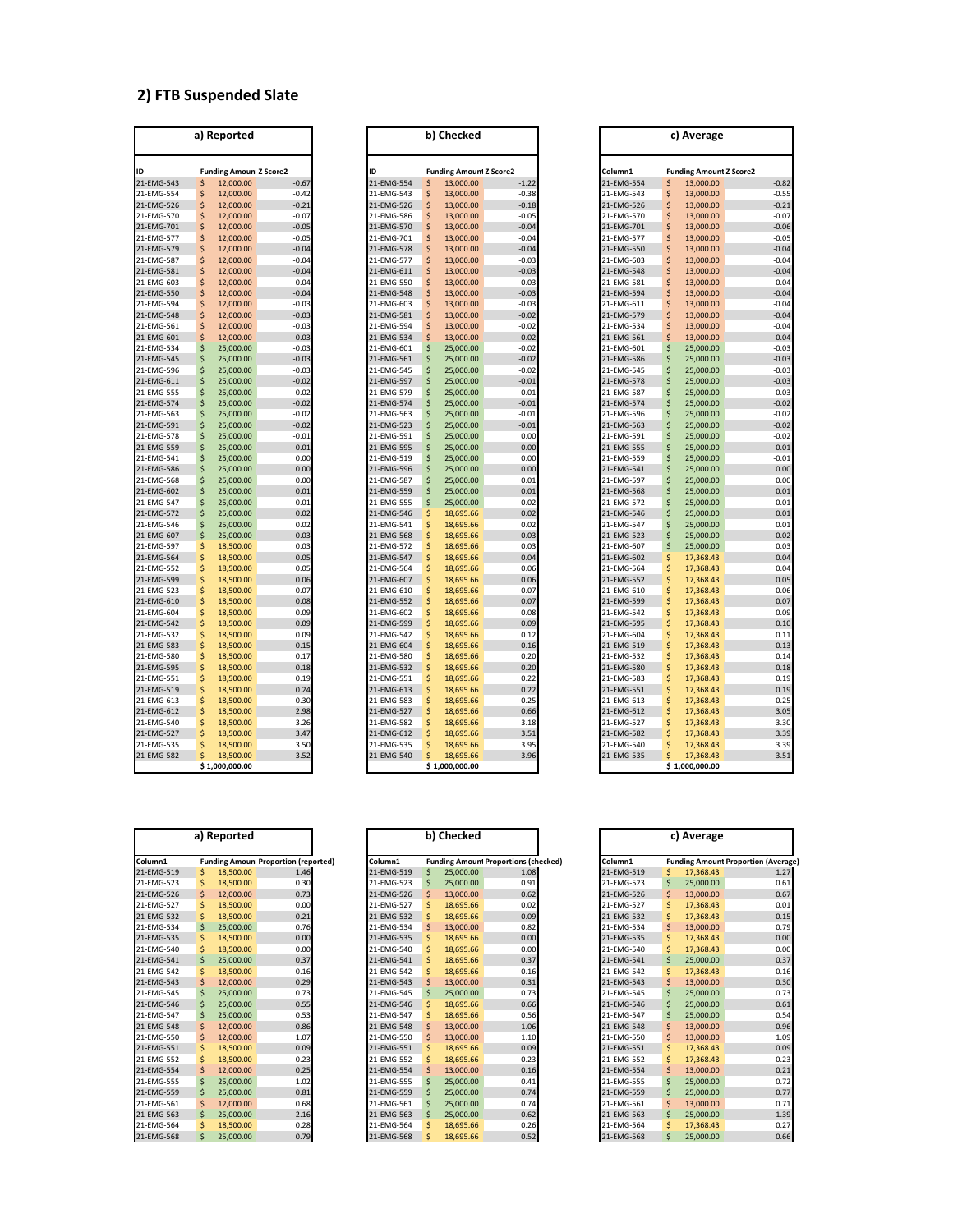#### **2) FTB Suspended Slate**

|            |    | a) Reported                   |         |
|------------|----|-------------------------------|---------|
| ID         |    | <b>Funding Amoun Z Score2</b> |         |
| 21-EMG-543 | \$ | 12,000.00                     | $-0.67$ |
| 21-EMG-554 | \$ | 12,000.00                     | $-0.42$ |
| 21-EMG-526 | \$ | 12,000.00                     | $-0.21$ |
| 21-EMG-570 | \$ | 12,000.00                     | $-0.07$ |
| 21-EMG-701 | \$ | 12,000.00                     | $-0.05$ |
| 21-EMG-577 | \$ | 12,000.00                     | $-0.05$ |
| 21-EMG-579 | \$ | 12,000.00                     | $-0.04$ |
| 21-EMG-587 | \$ | 12,000.00                     | $-0.04$ |
| 21-EMG-581 | \$ | 12,000.00                     | $-0.04$ |
| 21-EMG-603 | \$ | 12,000.00                     | $-0.04$ |
| 21-EMG-550 | \$ | 12,000.00                     | $-0.04$ |
| 21-EMG-594 | \$ | 12,000.00                     | $-0.03$ |
| 21-EMG-548 | \$ | 12,000.00                     | $-0.03$ |
| 21-EMG-561 | \$ | 12,000.00                     | $-0.03$ |
| 21-EMG-601 | \$ | 12,000.00                     | $-0.03$ |
| 21-EMG-534 | \$ | 25,000.00                     | $-0.03$ |
| 21-EMG-545 | \$ | 25,000.00                     | $-0.03$ |
| 21-EMG-596 | \$ | 25,000.00                     | $-0.03$ |
| 21-EMG-611 | \$ | 25,000.00                     | $-0.02$ |
| 21-EMG-555 | \$ | 25,000.00                     | $-0.02$ |
| 21-EMG-574 | \$ | 25,000.00                     | $-0.02$ |
| 21-EMG-563 | \$ | 25,000.00                     | $-0.02$ |
| 21-EMG-591 | \$ | 25,000.00                     | $-0.02$ |
| 21-EMG-578 | \$ | 25,000.00                     | $-0.01$ |
| 21-EMG-559 | \$ | 25,000.00                     | $-0.01$ |
| 21-EMG-541 | \$ | 25,000.00                     | 0.00    |
| 21-EMG-586 | \$ | 25,000.00                     | 0.00    |
| 21-EMG-568 | \$ | 25,000.00                     | 0.00    |
| 21-EMG-602 | \$ | 25,000.00                     | 0.01    |
| 21-EMG-547 | \$ | 25,000.00                     | 0.01    |
| 21-EMG-572 | \$ | 25,000.00                     | 0.02    |
| 21-EMG-546 | ş  | 25,000.00                     | 0.02    |
| 21-EMG-607 | \$ | 25,000.00                     | 0.03    |
| 21-EMG-597 | \$ | 18,500.00                     | 0.03    |
| 21-EMG-564 | \$ | 18,500.00                     | 0.05    |
| 21-EMG-552 | \$ | 18,500.00                     | 0.05    |
| 21-EMG-599 | \$ | 18,500.00                     | 0.06    |
| 21-EMG-523 | \$ | 18,500.00                     | 0.07    |
| 21-EMG-610 | \$ | 18,500.00                     | 0.08    |
| 21-EMG-604 | \$ | 18,500.00                     | 0.09    |
| 21-EMG-542 | \$ | 18,500.00                     | 0.09    |
| 21-EMG-532 | \$ | 18,500.00                     | 0.09    |
| 21-EMG-583 | \$ | 18,500.00                     | 0.15    |
| 21-EMG-580 | \$ | 18,500.00                     | 0.17    |
| 21-EMG-595 | \$ | 18,500.00                     | 0.18    |
| 21-EMG-551 | \$ | 18,500.00                     | 0.19    |
| 21-EMG-519 | \$ | 18,500.00                     | 0.24    |
| 21-EMG-613 | \$ | 18,500.00                     | 0.30    |
| 21-EMG-612 | \$ | 18,500.00                     | 2.98    |
| 21-EMG-540 |    | 18,500.00                     | 3.26    |
| 21-EMG-527 | \$ | 18,500.00                     | 3.47    |
| 21-EMG-535 | \$ | 18,500.00                     | 3.50    |
| 21-EMG-582 | \$ | 18,500.00                     | 3.52    |

|                          |          | a) Reported                   |              |                          |        | b) Checked                     |              |                          |          | c) Average                     |
|--------------------------|----------|-------------------------------|--------------|--------------------------|--------|--------------------------------|--------------|--------------------------|----------|--------------------------------|
| ID                       |          | <b>Funding Amoun Z Score2</b> |              | ID                       |        | <b>Funding Amount Z Score2</b> |              | Column1                  |          | <b>Funding Amount Z Score2</b> |
| 21-EMG-543               | Ś        | 12,000.00                     | $-0.67$      | 21-EMG-554               | Ś      | 13,000.00                      | $-1.22$      | 21-EMG-554               | Ś        | 13,000.00                      |
| 21-EMG-554               | \$       | 12,000.00                     | $-0.42$      | 21-EMG-543               | Ś      | 13,000.00                      | $-0.38$      | 21-EMG-543               | \$       | 13,000,00                      |
| 21-EMG-526               | \$       | 12,000.00                     | $-0.21$      | 21-EMG-526               | \$     | 13,000.00                      | $-0.18$      | 21-EMG-526               | \$       | 13,000.00                      |
| 21-EMG-570               | \$       | 12,000.00                     | $-0.07$      | 21-EMG-586               | Ś      | 13,000.00                      | $-0.05$      | 21-EMG-570               | \$       | 13,000.00                      |
| 21-EMG-701               | \$       | 12,000.00                     | $-0.05$      | 21-EMG-570               | S      | 13,000.00                      | $-0.04$      | 21-EMG-701               | \$       | 13,000.00                      |
| 21-EMG-577               | \$       | 12,000.00                     | $-0.05$      | 21-EMG-701               | Ś      | 13,000.00                      | $-0.04$      | 21-EMG-577               | \$       | 13,000.00                      |
| 21-EMG-579               | Ś.       | 12,000.00                     | $-0.04$      | 21-EMG-578               | Ś      | 13,000.00                      | $-0.04$      | 21-EMG-550               | \$       | 13,000.00                      |
| 21-EMG-587               | \$       | 12,000.00                     | $-0.04$      | 21-EMG-577               | Ś      | 13,000.00                      | $-0.03$      | 21-EMG-603               | \$       | 13,000.00                      |
| 21-EMG-581               | \$       | 12,000.00                     | $-0.04$      | 21-EMG-611               | \$     | 13,000.00                      | $-0.03$      | 21-EMG-548               | \$       | 13,000.00                      |
| 21-EMG-603               | \$       | 12,000.00                     | $-0.04$      | 21-EMG-550               | Ś      | 13,000.00                      | $-0.03$      | 21-EMG-581               | \$       | 13,000.00                      |
| 21-EMG-550               | \$       | 12,000.00                     | $-0.04$      | 21-EMG-548               | Ś      | 13,000.00                      | $-0.03$      | 21-EMG-594               | \$       | 13,000.00                      |
| 21-EMG-594               | \$       | 12,000.00                     | $-0.03$      | 21-EMG-603               | Ś      | 13,000.00                      | $-0.03$      | 21-EMG-611               | \$       | 13,000.00                      |
| 21-EMG-548               | \$       | 12,000.00                     | $-0.03$      | 21-EMG-581               | Ś      | 13,000.00                      | $-0.02$      | 21-EMG-579               | \$       | 13,000.00                      |
| 21-EMG-561               | \$       | 12,000.00                     | $-0.03$      | 21-EMG-594               | Ś      | 13,000.00                      | $-0.02$      | 21-EMG-534               | \$       | 13,000.00                      |
| 21-EMG-601               | \$       | 12,000.00                     | $-0.03$      | 21-EMG-534               | Ś      | 13,000.00                      | $-0.02$      | 21-EMG-561               | \$       | 13,000.00                      |
| 21-EMG-534               | \$       | 25,000.00                     | $-0.03$      | 21-EMG-601               | Ś      | 25,000.00                      | $-0.02$      | 21-EMG-601               | \$       | 25,000.00                      |
| 21-EMG-545               | \$       | 25,000.00                     | $-0.03$      | 21-EMG-561               | Ś      | 25,000.00                      | $-0.02$      | 21-EMG-586               | \$       | 25,000.00                      |
| 21-EMG-596               | \$       | 25,000.00                     | $-0.03$      | 21-EMG-545               | Ś      | 25,000.00                      | $-0.02$      | 21-EMG-545               | \$       | 25,000.00                      |
| 21-EMG-611               | \$       | 25,000.00                     | $-0.02$      | 21-EMG-597               | \$     | 25,000.00                      | $-0.01$      | 21-EMG-578               | \$       | 25,000.00                      |
| 21-EMG-555               | \$       | 25,000.00                     | $-0.02$      | 21-EMG-579               | Ś      | 25,000.00                      | $-0.01$      | 21-EMG-587               | \$       | 25,000.00                      |
| 21-EMG-574               | Ś        | 25,000.00                     | $-0.02$      | 21-EMG-574               | Ś      | 25,000.00                      | $-0.01$      | 21-EMG-574               | \$       | 25,000.00                      |
| 21-EMG-563               | Ś.       | 25,000,00                     | $-0.02$      | 21-EMG-563               | Ś      | 25.000.00                      | $-0.01$      | 21-EMG-596               | \$       | 25,000.00                      |
| 21-EMG-591               | \$       | 25,000.00                     | $-0.02$      | 21-EMG-523               | \$     | 25,000.00                      | $-0.01$      | 21-EMG-563               | \$       | 25,000.00                      |
| 21-EMG-578               | \$       | 25,000.00                     | $-0.01$      | 21-EMG-591               | Ś      | 25,000.00                      | 0.00         | 21-EMG-591               | \$       | 25,000.00                      |
| 21-EMG-559               | \$       | 25,000.00                     | $-0.01$      | 21-EMG-595               | \$     | 25,000.00                      | 0.00         | 21-EMG-555               | \$       | 25,000.00                      |
| 21-EMG-541               | \$       | 25,000.00                     | 0.00         | 21-EMG-519               | Ś      | 25,000.00                      | 0.00         | 21-EMG-559               | \$       | 25,000.00                      |
| 21-EMG-586               | \$       | 25,000.00                     | 0.00         | 21-EMG-596               | Ś      | 25,000.00                      | 0.00         | 21-EMG-541               | \$       | 25,000.00                      |
| 21-EMG-568               | \$       | 25,000.00                     | 0.00         | 21-EMG-587               | Ś      | 25.000.00                      | 0.01         | 21-EMG-597               | \$       | 25,000.00                      |
| 21-EMG-602               | \$       | 25,000.00                     | 0.01         | 21-EMG-559               | \$     | 25,000.00                      | 0.01         | 21-EMG-568               | \$       | 25,000.00                      |
| 21-EMG-547               | \$       | 25,000.00                     | 0.01         | 21-EMG-555               | \$     | 25,000.00                      | 0.02         | 21-EMG-572               | \$       | 25,000.00                      |
| 21-EMG-572               | \$       | 25,000.00                     | 0.02         | 21-EMG-546               | Ś      | 18,695.66                      | 0.02         | 21-EMG-546               | \$       | 25,000.00                      |
| 21-EMG-546               | \$       | 25,000.00                     | 0.02         | 21-EMG-541               | S      | 18,695.66                      | 0.02         | 21-EMG-547               | \$       | 25,000.00                      |
| 21-EMG-607               | Ś        | 25,000.00                     | 0.03         | 21-EMG-568               | Ś      | 18,695.66                      | 0.03         | 21-EMG-523               | \$       | 25,000.00                      |
| 21-EMG-597               | \$       | 18,500.00                     | 0.03         | 21-EMG-572               | Ś      | 18,695.66                      | 0.03         | 21-EMG-607               | \$       | 25,000.00                      |
| 21-EMG-564               | \$       | 18,500.00                     | 0.05         | 21-EMG-547               | Ś      | 18,695.66                      | 0.04         | 21-EMG-602               | \$       | 17,368.43                      |
| 21-EMG-552               | \$       | 18,500.00                     | 0.05         | 21-EMG-564               | S      | 18,695.66                      | 0.06         | 21-EMG-564               | \$       | 17,368.43                      |
| 21-EMG-599               | \$       | 18,500.00                     | 0.06         | 21-EMG-607               | S      | 18,695.66                      | 0.06         | 21-EMG-552               | \$       | 17,368.43                      |
| 21-EMG-523               | \$       | 18,500.00                     | 0.07         | 21-EMG-610               | Ś      | 18,695.66                      | 0.07         | 21-EMG-610               | \$       | 17,368.43                      |
| 21-EMG-610               | \$       | 18,500.00                     | 0.08         | 21-EMG-552               | Ś      | 18,695.66                      | 0.07         | 21-EMG-599               | \$       | 17,368.43                      |
| 21-EMG-604               | \$       | 18,500.00                     | 0.09         | 21-EMG-602               | Ś      | 18,695.66                      | 0.08         | 21-EMG-542               | \$       | 17,368.43                      |
| 21-EMG-542               | \$       | 18,500.00                     | 0.09         | 21-EMG-599               | Ś      | 18,695.66                      | 0.09         | 21-EMG-595               | \$       | 17,368.43                      |
| 21-EMG-532               | \$       | 18,500.00                     | 0.09         | 21-EMG-542               | S      | 18,695.66                      | 0.12         | 21-EMG-604               | \$       | 17,368.43                      |
| 21-EMG-583               | \$       | 18,500.00                     | 0.15         | 21-EMG-604               | Ś<br>Ś | 18,695.66                      | 0.16         | 21-EMG-519               | \$<br>\$ | 17,368.43                      |
| 21-EMG-580<br>21-EMG-595 | \$<br>\$ | 18,500.00                     | 0.17<br>0.18 | 21-EMG-580<br>21-EMG-532 | Ś      | 18,695.66                      | 0.20<br>0.20 | 21-EMG-532<br>21-EMG-580 | \$       | 17,368.43                      |
| 21-EMG-551               | \$       | 18,500.00<br>18,500.00        | 0.19         | 21-EMG-551               | Ś      | 18,695.66<br>18,695.66         | 0.22         | 21-EMG-583               | \$       | 17,368.43<br>17,368.43         |
| 21-EMG-519               | \$       | 18,500.00                     | 0.24         | 21-EMG-613               | Ś      | 18,695.66                      | 0.22         | 21-EMG-551               | Ś        | 17,368.43                      |
| 21-EMG-613               | Ś        | 18,500.00                     | 0.3C         | 21-EMG-583               | Ś      | 18,695.66                      | 0.25         | 21-EMG-613               | \$       | 17,368.43                      |
| 21-EMG-612               | \$       | 18,500.00                     | 2.98         | 21-EMG-527               | S      | 18,695.66                      | 0.66         | 21-EMG-612               | \$       | 17,368.43                      |
| 21-EMG-540               | \$       | 18,500.00                     | 3.26         | 21-EMG-582               | S      | 18,695.66                      | 3.18         | 21-EMG-527               | \$       | 17,368.43                      |
| 21-EMG-527               | Ś        | 18,500.00                     | 3.47         | 21-EMG-612               | Ś      | 18,695.66                      | 3.51         | 21-EMG-582               | \$       | 17,368.43                      |
| 21-EMG-535               | Ś        | 18,500.00                     | 3.50         | 21-EMG-535               | Ś      | 18,695.66                      | 3.95         | 21-EMG-540               | \$       | 17,368.43                      |
| 21-EMG-582               | Ś        | 18,500.00                     | 3.52         | 21-EMG-540               | Ś      | 18,695.66                      | 3.96         | 21-EMG-535               | \$       | 17,368.43                      |
|                          |          |                               |              |                          |        |                                |              |                          |          |                                |

| a) Reported              |          |                               |                 |                          | b) Checked |                                | c) Average   |                          |          |                                |                    |
|--------------------------|----------|-------------------------------|-----------------|--------------------------|------------|--------------------------------|--------------|--------------------------|----------|--------------------------------|--------------------|
| ID                       |          | <b>Funding Amoun Z Score2</b> |                 | ID                       |            | <b>Funding Amount Z Score2</b> |              | Column1                  |          | <b>Funding Amount Z Score2</b> |                    |
| 21-EMG-543               | \$       | 12,000.00                     | $-0.67$         | 21-EMG-554               | \$         | 13,000.00                      | $-1.22$      | 21-EMG-554               | \$       | 13,000.00                      | $-0.82$            |
| 21-EMG-554               | Ś        | 12,000.00                     | $-0.42$         | 21-EMG-543               | \$         | 13,000.00                      | $-0.38$      | 21-EMG-543               | \$       | 13,000.00                      | $-0.55$            |
| 21-EMG-526               | Ś        | 12,000.00                     | $-0.21$         | 21-EMG-526               | \$         | 13,000.00                      | $-0.18$      | 21-EMG-526               | \$       | 13,000.00                      | $-0.21$            |
| 21-EMG-570               | Ś        | 12,000.00                     | $-0.07$         | 21-EMG-586               | \$         | 13,000.00                      | $-0.05$      | 21-EMG-570               | \$       | 13,000.00                      | $-0.07$            |
| 21-EMG-701               | Ś        | 12,000.00                     | $-0.05$         | 21-EMG-570               | \$         | 13,000.00                      | $-0.04$      | 21-EMG-701               | \$       | 13,000.00                      | $-0.06$            |
| 21-EMG-577               | S        | 12,000.00                     | $-0.05$         | 21-EMG-701               | Ś          | 13,000.00                      | $-0.04$      | 21-EMG-577               | \$       | 13,000.00                      | $-0.05$            |
| 21-EMG-579               | Ś        | 12,000.00                     | $-0.04$         | 21-EMG-578               | Ś          | 13,000.00                      | $-0.04$      | 21-EMG-550               | \$       | 13,000.00                      | $-0.04$            |
| 21-EMG-587               | S        | 12,000.00                     | $-0.04$         | 21-EMG-577               | Ś          | 13,000.00                      | $-0.03$      | 21-EMG-603               | \$       | 13,000.00                      | $-0.04$            |
| 21-EMG-581               | Ś        | 12,000.00                     | $-0.04$         | 21-EMG-611               | Ś          | 13,000.00                      | $-0.03$      | 21-EMG-548               | \$       | 13,000.00                      | $-0.04$            |
| 21-EMG-603               | \$       | 12,000.00                     | $-0.04$         | 21-EMG-550               | Ś          | 13,000.00                      | $-0.03$      | 21-EMG-581               | \$       | 13,000.00                      | $-0.04$            |
| 21-EMG-550               | Ś        | 12,000.00                     | $-0.04$         | 21-EMG-548               | Ś          | 13,000.00                      | $-0.03$      | 21-EMG-594               | \$       | 13,000.00                      | $-0.04$            |
| 21-EMG-594               | S        | 12,000.00                     | $-0.03$         | 21-EMG-603               | Ś          | 13,000.00                      | $-0.03$      | 21-EMG-611               | \$       | 13,000.00                      | $-0.04$            |
| 21-EMG-548               | Ś        | 12,000.00                     | $-0.03$         | 21-EMG-581               | Ś          | 13,000.00                      | $-0.02$      | 21-EMG-579               | \$       | 13,000.00                      | $-0.04$            |
| 21-EMG-561               | \$       | 12,000.00                     | $-0.03$         | 21-EMG-594               | Ś          | 13,000.00                      | $-0.02$      | 21-EMG-534               | \$       | 13,000.00                      | $-0.04$            |
| 21-EMG-601               | Ś        | 12,000.00                     | $-0.03$         | 21-EMG-534               | S          | 13,000.00                      | $-0.02$      | 21-EMG-561               | \$       | 13,000.00                      | $-0.04$            |
| 21-EMG-534               | \$       | 25,000.00                     | $-0.03$         | 21-EMG-601               | Ś          | 25,000.00                      | $-0.02$      | 21-EMG-601               | \$       | 25,000.00                      | $-0.03$            |
| 21-EMG-545               | \$       | 25,000.00                     | $-0.03$         | 21-EMG-561               | \$         | 25,000.00                      | $-0.02$      | 21-EMG-586               | \$       | 25,000.00                      | $-0.03$            |
| 21-EMG-596               | \$       | 25,000.00                     | $-0.03$         | 21-EMG-545               | \$         | 25,000.00                      | $-0.02$      | 21-EMG-545               | \$       | 25,000.00                      | $-0.03$            |
| 21-EMG-611               | \$       | 25,000.00                     | $-0.02$         | 21-EMG-597               | \$         | 25,000.00                      | $-0.01$      | 21-EMG-578               | \$       | 25,000.00                      | $-0.03$            |
| 21-EMG-555               | Ś        | 25,000.00                     | $-0.02$         | 21-EMG-579               | Ś          | 25,000.00                      | $-0.01$      | 21-EMG-587               | \$       | 25,000.00                      | $-0.03$            |
| 21-EMG-574               | S        | 25,000.00                     | $-0.02$         | 21-EMG-574               | Ś          | 25,000.00                      | $-0.01$      | 21-EMG-574               | \$       | 25,000.00                      | $-0.02$            |
| 21-EMG-563               | Ś        | 25,000.00                     | $-0.02$         | 21-EMG-563               | \$         | 25,000.00                      | $-0.01$      | 21-EMG-596               | \$       | 25,000.00                      | $-0.02$            |
| 21-EMG-591               | S        | 25,000.00                     | $-0.02$         | 21-EMG-523               | \$         | 25,000.00                      | $-0.01$      | 21-EMG-563               | \$       | 25,000.00                      | $-0.02$            |
| 21-EMG-578               | Ś        | 25,000.00                     | $-0.01$         | 21-EMG-591               | \$<br>Ś    | 25,000.00                      | 0.00         | 21-EMG-591               | \$       | 25,000.00                      | $-0.02$            |
| 21-EMG-559               | Ś<br>Ś   | 25,000.00                     | $-0.01$<br>0.00 | 21-EMG-595               | \$         | 25,000.00                      | 0.00         | 21-EMG-555               | \$<br>\$ | 25,000.00                      | $-0.01$<br>$-0.01$ |
| 21-EMG-541               |          | 25,000.00                     |                 | 21-EMG-519               |            | 25,000.00                      | 0.00         | 21-EMG-559               |          | 25,000.00                      | 0.00               |
| 21-EMG-586<br>21-EMG-568 | \$<br>\$ | 25,000.00<br>25,000.00        | 0.00<br>0.00    | 21-EMG-596<br>21-EMG-587 | \$<br>\$   | 25,000.00<br>25,000.00         | 0.00<br>0.01 | 21-EMG-541<br>21-EMG-597 | \$       | 25,000.00<br>25,000.00         | 0.00               |
| 21-EMG-602               | Ś        | 25,000.00                     | 0.01            | 21-EMG-559               | Ś          | 25,000.00                      | 0.01         | 21-EMG-568               | \$<br>\$ | 25,000.00                      | 0.01               |
| 21-EMG-547               | Ś        | 25,000.00                     | 0.01            | 21-EMG-555               | \$         | 25,000.00                      | 0.02         | 21-EMG-572               | \$       | 25,000.00                      | 0.01               |
| 21-EMG-572               | \$       | 25,000.00                     | 0.02            | 21-EMG-546               | \$         | 18,695.66                      | 0.02         | 21-EMG-546               | \$       | 25,000.00                      | 0.01               |
| 21-EMG-546               | \$       | 25,000.00                     | 0.02            | 21-EMG-541               | Ś          | 18,695.66                      | 0.02         | 21-EMG-547               | \$       | 25,000.00                      | 0.01               |
| 21-EMG-607               | \$       | 25,000.00                     | 0.03            | 21-EMG-568               | Ś          | 18,695.66                      | 0.03         | 21-EMG-523               | \$       | 25,000.00                      | 0.02               |
| 21-EMG-597               | \$       | 18,500.00                     | 0.03            | 21-EMG-572               | \$         | 18,695.66                      | 0.03         | 21-EMG-607               | \$       | 25,000.00                      | 0.03               |
| 21-EMG-564               | \$       | 18,500.00                     | 0.05            | 21-EMG-547               | \$         | 18,695.66                      | 0.04         | 21-EMG-602               | \$       | 17,368.43                      | 0.04               |
| 21-EMG-552               | \$       | 18,500.00                     | 0.05            | 21-EMG-564               | Ś          | 18,695.66                      | 0.06         | 21-EMG-564               | \$       | 17,368.43                      | 0.04               |
| 21-EMG-599               | \$       | 18,500.00                     | 0.06            | 21-EMG-607               | \$         | 18,695.66                      | 0.06         | 21-EMG-552               | \$       | 17,368.43                      | 0.05               |
| 21-EMG-523               | Ś        | 18,500.00                     | 0.07            | 21-EMG-610               | Ś          | 18,695.66                      | 0.07         | 21-EMG-610               | \$       | 17,368.43                      | 0.06               |
| 21-EMG-610               | Ś        | 18,500.00                     | 0.08            | 21-EMG-552               | Ś          | 18,695.66                      | 0.07         | 21-EMG-599               | \$       | 17,368.43                      | 0.07               |
| 21-EMG-604               |          | 18,500.00                     | 0.09            | 21-EMG-602               |            | 18,695.66                      | 0.08         | 21-EMG-542               | \$       | 17,368.43                      | 0.09               |
| 21-EMG-542               | Ś        | 18,500.00                     | 0.09            | 21-EMG-599               | \$         | 18,695.66                      | 0.09         | 21-EMG-595               | \$       | 17,368.43                      | 0.10               |
| 21-EMG-532               | S        | 18,500.00                     | 0.09            | 21-EMG-542               | Ś          | 18,695.66                      | 0.12         | 21-EMG-604               | \$       | 17,368.43                      | 0.11               |
| 21-EMG-583               | Ś        | 18,500.00                     | 0.15            | 21-EMG-604               | Ś          | 18,695.66                      | 0.16         | 21-EMG-519               | \$       | 17,368.43                      | 0.13               |
| 21-EMG-580               | S        | 18,500.00                     | 0.17            | 21-EMG-580               |            | 18,695.66                      | 0.20         | 21-EMG-532               | \$       | 17,368.43                      | 0.14               |
| 21-EMG-595               | \$       | 18,500.00                     | 0.18            | 21-EMG-532               | Ś          | 18,695.66                      | 0.20         | 21-EMG-580               | \$.      | 17,368.43                      | 0.18               |
| 21-EMG-551               | Ś        | 18,500.00                     | 0.19            | 21-EMG-551               |            | 18,695.66                      | 0.22         | 21-EMG-583               | \$       | 17,368.43                      | 0.19               |
| 21-EMG-519               | Ś        | 18,500.00                     | 0.24            | 21-EMG-613               | S          | 18,695.66                      | 0.22         | 21-EMG-551               | \$       | 17,368.43                      | 0.19               |
| 21-EMG-613               | Ś        | 18,500.00                     | 0.30            | 21-EMG-583               |            | 18,695.66                      | 0.25         | 21-EMG-613               | \$       | 17,368.43                      | 0.25               |
| 21-EMG-612               | Ś        | 18,500.00                     | 2.98            | 21-EMG-527               | Ś          | 18,695.66                      | 0.66         | 21-EMG-612               | \$       | 17,368.43                      | 3.05               |
| 21-EMG-540               | S        | 18,500.00                     | 3.26            | 21-EMG-582               |            | 18,695.66                      | 3.18         | 21-EMG-527               | Ś        | 17,368.43                      | 3.30               |
| 21-EMG-527               | Ś        | 18,500.00                     | 3.47            | 21-EMG-612               |            | 18,695.66                      | 3.51         | 21-EMG-582               | \$       | 17,368.43                      | 3.39               |
| 21-EMG-535               |          | 18,500.00                     | 3.50            | 21-EMG-535               |            | 18,695.66                      | 3.95         | 21-EMG-540               | Ś        | 17,368.43                      | 3.39               |
| 21-EMG-582               |          | 18,500.00                     | 3.52            | 21-EMG-540               | Ś          | 18,695.66                      | 3.96         | 21-EMG-535               | Ś        | 17,368.43                      | 3.51               |
|                          |          | \$1,000,000.00                |                 |                          |            | \$1,000,000.00                 |              |                          |          | \$1,000,000.00                 |                    |

| a) Reported                                          |    |           |      |  |  |  |  |  |  |  |  |
|------------------------------------------------------|----|-----------|------|--|--|--|--|--|--|--|--|
| Column1<br><b>Funding Amoun Proportion (reported</b> |    |           |      |  |  |  |  |  |  |  |  |
| 21-EMG-519                                           | \$ | 18.500.00 | 1.46 |  |  |  |  |  |  |  |  |
| 21-EMG-523                                           | \$ | 18,500.00 | 0.30 |  |  |  |  |  |  |  |  |
| 21-EMG-526                                           | \$ | 12,000.00 | 0.73 |  |  |  |  |  |  |  |  |
| 21-EMG-527                                           | \$ | 18.500.00 | 0.00 |  |  |  |  |  |  |  |  |
| 21-EMG-532                                           | \$ | 18,500.00 | 0.21 |  |  |  |  |  |  |  |  |
| 21-EMG-534                                           | \$ | 25,000.00 | 0.76 |  |  |  |  |  |  |  |  |
| 21-EMG-535                                           | \$ | 18,500.00 | 0.00 |  |  |  |  |  |  |  |  |
| 21-EMG-540                                           | \$ | 18.500.00 | 0.00 |  |  |  |  |  |  |  |  |
| 21-EMG-541                                           | \$ | 25,000.00 | 0.37 |  |  |  |  |  |  |  |  |
| 21-EMG-542                                           | \$ | 18,500.00 | 0.16 |  |  |  |  |  |  |  |  |
| 21-EMG-543                                           | \$ | 12,000.00 | 0.29 |  |  |  |  |  |  |  |  |
| 21-EMG-545                                           | \$ | 25.000.00 | 0.73 |  |  |  |  |  |  |  |  |
| 21-EMG-546                                           | \$ | 25,000.00 | 0.55 |  |  |  |  |  |  |  |  |
| 21-EMG-547                                           | \$ | 25,000.00 | 0.53 |  |  |  |  |  |  |  |  |
| 21-EMG-548                                           | \$ | 12,000.00 | 0.86 |  |  |  |  |  |  |  |  |
| 21-EMG-550                                           | \$ | 12,000.00 | 1.07 |  |  |  |  |  |  |  |  |
| 21-EMG-551                                           | \$ | 18,500.00 | 0.09 |  |  |  |  |  |  |  |  |
| 21-EMG-552                                           | \$ | 18,500.00 | 0.23 |  |  |  |  |  |  |  |  |
| 21-EMG-554                                           | \$ | 12,000.00 | 0.25 |  |  |  |  |  |  |  |  |
| 21-EMG-555                                           | \$ | 25,000.00 | 1.02 |  |  |  |  |  |  |  |  |
| 21-EMG-559                                           | \$ | 25,000.00 | 0.81 |  |  |  |  |  |  |  |  |
| 21-EMG-561                                           | \$ | 12.000.00 | 0.68 |  |  |  |  |  |  |  |  |
| 21-EMG-563                                           | \$ | 25,000.00 | 2.16 |  |  |  |  |  |  |  |  |
| 21-EMG-564                                           | \$ | 18.500.00 | 0.28 |  |  |  |  |  |  |  |  |
| 21-FMG-568                                           | ć  | 25,000,00 | n 79 |  |  |  |  |  |  |  |  |

|            |   | a) Reported |                                            |            |   | b) Checked |                                             |            |    | c) Average |                                            |
|------------|---|-------------|--------------------------------------------|------------|---|------------|---------------------------------------------|------------|----|------------|--------------------------------------------|
| Column1    |   |             | <b>Funding Amoun Proportion (reported)</b> | Column1    |   |            | <b>Funding Amount Proportions (checked)</b> | Column1    |    |            | <b>Funding Amount Proportion (Average)</b> |
| 21-EMG-519 | S | 18,500.00   | 1.46                                       | 21-EMG-519 | Ś | 25,000.00  | 1.08                                        | 21-EMG-519 | \$ | 17.368.43  | 1.27                                       |
| 21-EMG-523 |   | 18,500.00   | 0.30                                       | 21-EMG-523 |   | 25,000.00  | 0.91                                        | 21-EMG-523 | Ś  | 25,000.00  | 0.61                                       |
| 21-EMG-526 |   | 12,000,00   | 0.73                                       | 21-EMG-526 |   | 13,000.00  | 0.62                                        | 21-EMG-526 | Ś  | 13,000,00  | 0.67                                       |
| 21-EMG-527 |   | 18,500,00   | 0.00                                       | 21-EMG-527 |   | 18.695.66  | 0.02                                        | 21-EMG-527 | Ś  | 17.368.43  | 0.01                                       |
| 21-EMG-532 |   | 18,500.00   | 0.21                                       | 21-EMG-532 |   | 18,695.66  | 0.09                                        | 21-EMG-532 | S  | 17,368.43  | 0.15                                       |
| 21-EMG-534 |   | 25,000.00   | 0.76                                       | 21-EMG-534 |   | 13,000.00  | 0.82                                        | 21-EMG-534 | Ś  | 13,000.00  | 0.79                                       |
| 21-EMG-535 |   | 18,500.00   | 0.00                                       | 21-EMG-535 |   | 18,695.66  | 0.00                                        | 21-EMG-535 | Ś  | 17,368.43  | 0.00                                       |
| 21-EMG-540 |   | 18,500.00   | 0.00                                       | 21-EMG-540 |   | 18,695.66  | 0.00                                        | 21-EMG-540 | S  | 17.368.43  | 0.00                                       |
| 21-EMG-541 |   | 25,000.00   | 0.37                                       | 21-EMG-541 |   | 18,695.66  | 0.37                                        | 21-EMG-541 | Ś  | 25,000.00  | 0.37                                       |
| 21-EMG-542 |   | 18,500.00   | 0.16                                       | 21-EMG-542 |   | 18.695.66  | 0.16                                        | 21-EMG-542 | Ś  | 17.368.43  | 0.16                                       |
| 21-EMG-543 |   | 12,000,00   | 0.29                                       | 21-EMG-543 |   | 13,000,00  | 0.31                                        | 21-EMG-543 | Ś  | 13,000,00  | 0.30                                       |
| 21-EMG-545 |   | 25.000.00   | 0.73                                       | 21-EMG-545 |   | 25,000.00  | 0.73                                        | 21-EMG-545 | Ś  | 25,000,00  | 0.73                                       |
| 21-EMG-546 |   | 25,000,00   | 0.55                                       | 21-EMG-546 |   | 18.695.66  | 0.66                                        | 21-EMG-546 | Ś  | 25,000,00  | 0.61                                       |
| 21-EMG-547 |   | 25,000.00   | 0.53                                       | 21-EMG-547 |   | 18,695.66  | 0.56                                        | 21-EMG-547 | Ś  | 25,000.00  | 0.54                                       |
| 21-EMG-548 |   | 12,000.00   | 0.86                                       | 21-EMG-548 |   | 13,000.00  | 1.06                                        | 21-EMG-548 | Ś  | 13,000.00  | 0.96                                       |
| 21-EMG-550 |   | 12,000.00   | 1.07                                       | 21-EMG-550 | S | 13,000.00  | 1.10                                        | 21-EMG-550 | \$ | 13,000.00  | 1.09                                       |
| 21-EMG-551 |   | 18,500.00   | 0.09                                       | 21-EMG-551 |   | 18,695.66  | 0.09                                        | 21-EMG-551 | Ś  | 17,368.43  | 0.09                                       |
| 21-EMG-552 |   | 18,500.00   | 0.23                                       | 21-EMG-552 |   | 18.695.66  | 0.23                                        | 21-EMG-552 | S  | 17.368.43  | 0.23                                       |
| 21-EMG-554 |   | 12,000,00   | 0.25                                       | 21-EMG-554 |   | 13,000.00  | 0.16                                        | 21-EMG-554 | Ś  | 13,000.00  | 0.21                                       |
| 21-EMG-555 |   | 25,000.00   | 1.02                                       | 21-EMG-555 |   | 25,000.00  | 0.41                                        | 21-EMG-555 | Ś  | 25,000.00  | 0.72                                       |
| 21-EMG-559 |   | 25,000,00   | 0.81                                       | 21-EMG-559 |   | 25,000.00  | 0.74                                        | 21-EMG-559 | Š. | 25,000,00  | 0.77                                       |
| 21-EMG-561 |   | 12,000,00   | 0.68                                       | 21-EMG-561 |   | 25,000,00  | 0.74                                        | 21-EMG-561 | Ś  | 13,000,00  | 0.71                                       |
| 21-EMG-563 |   | 25,000.00   | 2.16                                       | 21-EMG-563 |   | 25,000.00  | 0.62                                        | 21-EMG-563 | S  | 25,000.00  | 1.39                                       |
| 21-EMG-564 |   | 18,500.00   | 0.28                                       | 21-EMG-564 |   | 18,695.66  | 0.26                                        | 21-EMG-564 | Ś  | 17,368.43  | 0.27                                       |
| 21-EMG-568 |   | 25,000.00   | 0.79                                       | 21-EMG-568 |   | 18,695.66  | 0.52                                        | 21-EMG-568 | Ś  | 25,000.00  | 0.66                                       |

| c) Average |    |           |                                            |  |  |  |  |  |  |
|------------|----|-----------|--------------------------------------------|--|--|--|--|--|--|
| Column1    |    |           | <b>Funding Amount Proportion (Average)</b> |  |  |  |  |  |  |
| 21-EMG-519 | \$ | 17.368.43 | 1.27                                       |  |  |  |  |  |  |
| 21-EMG-523 | \$ | 25.000.00 | 0.61                                       |  |  |  |  |  |  |
| 21-EMG-526 | \$ | 13.000.00 | 0.67                                       |  |  |  |  |  |  |
| 21-EMG-527 | \$ | 17.368.43 | 0.01                                       |  |  |  |  |  |  |
| 21-EMG-532 | \$ | 17,368.43 | 0.15                                       |  |  |  |  |  |  |
| 21-EMG-534 | Ś  | 13,000.00 | 0.79                                       |  |  |  |  |  |  |
| 21-EMG-535 | \$ | 17.368.43 | 0.00                                       |  |  |  |  |  |  |
| 21-EMG-540 | \$ | 17.368.43 | 0.00                                       |  |  |  |  |  |  |
| 21-EMG-541 | \$ | 25.000.00 | 0.37                                       |  |  |  |  |  |  |
| 21-EMG-542 | \$ | 17,368.43 | 0.16                                       |  |  |  |  |  |  |
| 21-EMG-543 | Ś  | 13.000.00 | 0.30                                       |  |  |  |  |  |  |
| 21-EMG-545 | \$ | 25.000.00 | 0.73                                       |  |  |  |  |  |  |
| 21-EMG-546 | \$ | 25.000.00 | 0.61                                       |  |  |  |  |  |  |
| 21-EMG-547 | \$ | 25,000.00 | 0.54                                       |  |  |  |  |  |  |
| 21-EMG-548 | \$ | 13,000.00 | 0.96                                       |  |  |  |  |  |  |
| 21-EMG-550 | Ś  | 13,000.00 | 1.09                                       |  |  |  |  |  |  |
| 21-EMG-551 | \$ | 17.368.43 | 0.09                                       |  |  |  |  |  |  |
| 21-EMG-552 | \$ | 17,368.43 | 0.23                                       |  |  |  |  |  |  |
| 21-EMG-554 | \$ | 13,000.00 | 0.21                                       |  |  |  |  |  |  |
| 21-EMG-555 | \$ | 25,000.00 | 0.72                                       |  |  |  |  |  |  |
| 21-EMG-559 | \$ | 25.000.00 | 0.77                                       |  |  |  |  |  |  |
| 21-EMG-561 | \$ | 13.000.00 | 0.71                                       |  |  |  |  |  |  |
| 21-EMG-563 | \$ | 25,000.00 | 1.39                                       |  |  |  |  |  |  |
| 21-EMG-564 | \$ | 17,368.43 | 0.27                                       |  |  |  |  |  |  |
| 21-EMG-568 | \$ | 25,000.00 | 0.66                                       |  |  |  |  |  |  |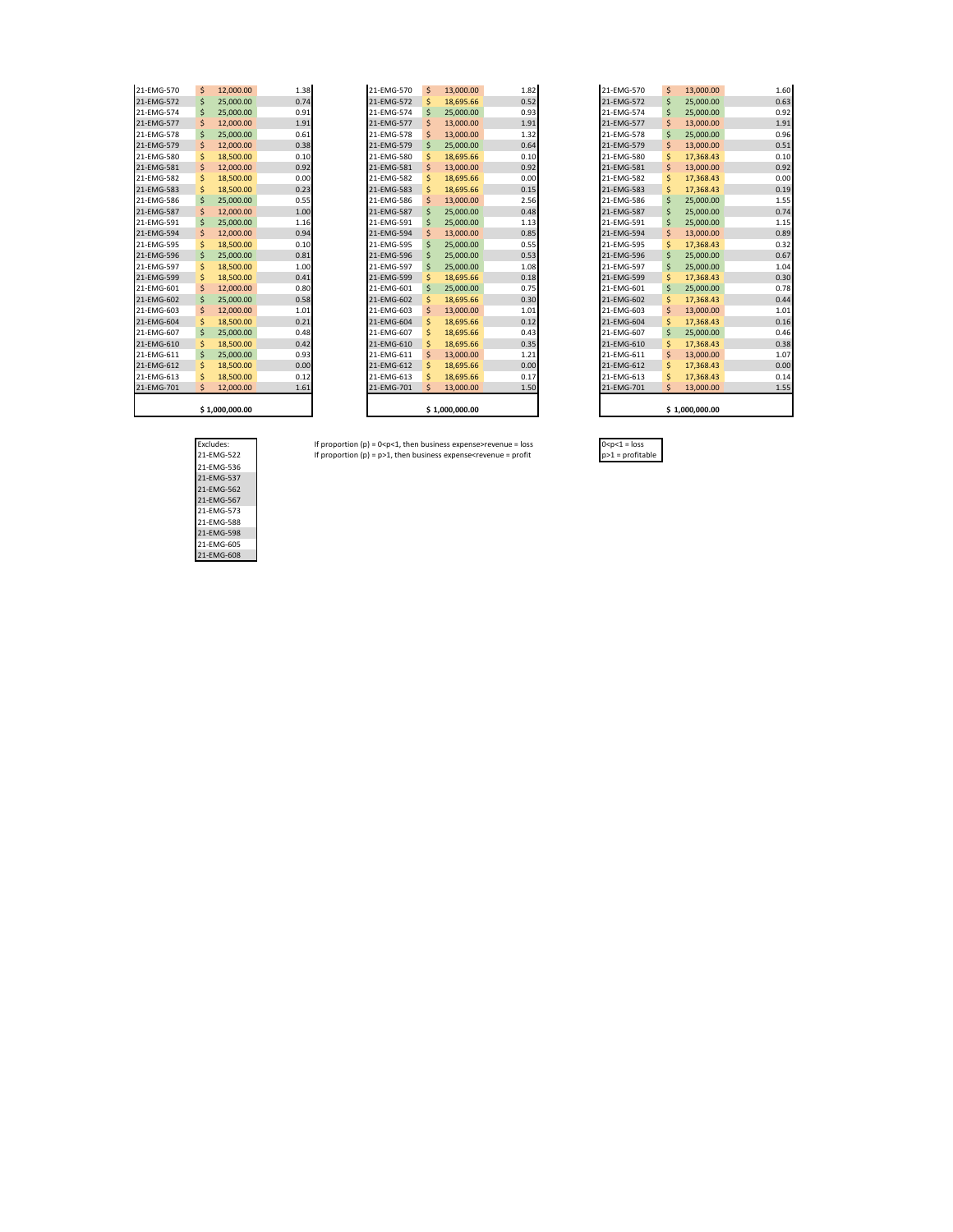| 21-EMG-570 | \$<br>12,000.00 | 1              |
|------------|-----------------|----------------|
| 21-EMG-572 | \$<br>25,000.00 | 0              |
| 21-EMG-574 | \$<br>25,000.00 | 0              |
| 21-EMG-577 | \$<br>12,000.00 | $\mathbf{1}$   |
| 21-EMG-578 | \$<br>25.000.00 | 0              |
| 21-EMG-579 | \$<br>12,000.00 | $\overline{0}$ |
| 21-EMG-580 | \$<br>18,500.00 | 0              |
| 21-EMG-581 | \$<br>12,000.00 | 0              |
| 21-EMG-582 | \$<br>18,500.00 | 0              |
| 21-EMG-583 | \$<br>18,500.00 | 0              |
| 21-EMG-586 | \$<br>25,000.00 | 0              |
| 21-EMG-587 | \$<br>12,000.00 | $\mathbf{1}$   |
| 21-EMG-591 | \$<br>25,000.00 | 1              |
| 21-EMG-594 | \$<br>12,000.00 | 0              |
| 21-EMG-595 | \$<br>18,500.00 | 0              |
| 21-EMG-596 | \$<br>25,000.00 | 0              |
| 21-EMG-597 | \$<br>18,500.00 | 1              |
| 21-EMG-599 | \$<br>18,500.00 | $\overline{0}$ |
| 21-EMG-601 | \$<br>12,000.00 | 0              |
| 21-EMG-602 | \$<br>25,000.00 | 0              |
| 21-EMG-603 | \$<br>12,000.00 | 1              |
| 21-EMG-604 | \$<br>18,500.00 | 0              |
| 21-EMG-607 | \$<br>25,000.00 | 0              |
| 21-EMG-610 | \$<br>18,500.00 | 0              |
| 21-EMG-611 | \$<br>25,000.00 | 0              |
| 21-EMG-612 | \$<br>18,500.00 | $\overline{0}$ |
| 21-EMG-613 | \$<br>18,500.00 | 0              |
| 21-EMG-701 | \$<br>12,000.00 | $\mathbf{1}$   |
|            | 510000000       |                |

| 21-EMG-570 | \$ | 13,000.00 | 1.82 |
|------------|----|-----------|------|
| 21-EMG-572 | \$ | 18,695.66 | 0.52 |
| 21-EMG-574 | Ś  | 25.000.00 | 0.93 |
| 21-EMG-577 | \$ | 13.000.00 | 1.91 |
| 21-EMG-578 | Ś  | 13.000.00 | 1.32 |
| 21-EMG-579 | \$ | 25,000.00 | 0.64 |
| 21-EMG-580 | Ś  | 18,695.66 | 0.10 |
| 21-EMG-581 | \$ | 13,000.00 | 0.92 |
| 21-EMG-582 | Ś  | 18,695.66 | 0.00 |
| 21-EMG-583 | Ś  | 18,695.66 | 0.15 |
| 21-EMG-586 | Ś  | 13.000.00 | 2.56 |
| 21-EMG-587 | \$ | 25.000.00 | 0.48 |
| 21-EMG-591 | \$ | 25.000.00 | 1.13 |
| 21-EMG-594 | \$ | 13.000.00 | 0.85 |
| 21-EMG-595 | Ś  | 25,000.00 | 0.55 |
| 21-EMG-596 | \$ | 25,000.00 | 0.53 |
| 21-EMG-597 | Ś  | 25,000.00 | 1.08 |
| 21-EMG-599 | Ś  | 18,695.66 | 0.18 |
| 21-EMG-601 | Ś  | 25,000.00 | 0.75 |
| 21-EMG-602 | Ś  | 18,695.66 | 0.30 |
| 21-EMG-603 | Ś  | 13.000.00 | 1.01 |
| 21-EMG-604 | Ś  | 18.695.66 | 0.12 |
| 21-EMG-607 | Ś  | 18.695.66 | 0.43 |
| 21-EMG-610 | Ś  | 18,695.66 | 0.35 |
| 21-EMG-611 | \$ | 13,000.00 | 1.21 |
| 21-EMG-612 | \$ | 18,695.66 | 0.00 |
| 21-EMG-613 | Ś  | 18.695.66 | 0.17 |
| 21-EMG-701 | Ś  | 13,000.00 | 1.50 |

| 21-EMG-570 | \$ | 12,000.00      | 1.38 | 21-EMG-570 | Ś | 13,000.00      | 1.82 | 21-EMG-570 | Ŝ  | 13,000.00      | 1.60 |
|------------|----|----------------|------|------------|---|----------------|------|------------|----|----------------|------|
| 21-EMG-572 | S  | 25,000.00      | 0.74 | 21-EMG-572 |   | 18,695.66      | 0.52 | 21-EMG-572 | S  | 25,000.00      | 0.63 |
| 21-EMG-574 |    | 25,000.00      | 0.91 | 21-EMG-574 |   | 25,000.00      | 0.93 | 21-EMG-574 | S  | 25,000.00      | 0.92 |
| 21-EMG-577 |    | 12,000.00      | 1.91 | 21-EMG-577 |   | 13,000.00      | 1.91 | 21-EMG-577 | S  | 13,000.00      | 1.91 |
| 21-EMG-578 |    | 25,000.00      | 0.61 | 21-EMG-578 |   | 13,000.00      | 1.32 | 21-EMG-578 | S  | 25,000.00      | 0.96 |
| 21-EMG-579 |    | 12,000.00      | 0.38 | 21-EMG-579 |   | 25,000.00      | 0.64 | 21-EMG-579 | S  | 13,000.00      | 0.51 |
| 21-EMG-580 |    | 18,500.00      | 0.10 | 21-EMG-580 |   | 18,695.66      | 0.10 | 21-EMG-580 | S  | 17,368.43      | 0.10 |
| 21-EMG-581 |    | 12,000.00      | 0.92 | 21-EMG-581 |   | 13,000.00      | 0.92 | 21-EMG-581 | S  | 13,000.00      | 0.92 |
| 21-EMG-582 |    | 18,500.00      | 0.00 | 21-EMG-582 |   | 18,695.66      | 0.00 | 21-EMG-582 | S  | 17,368.43      | 0.00 |
| 21-EMG-583 |    | 18,500,00      | 0.23 | 21-EMG-583 |   | 18,695.66      | 0.15 | 21-EMG-583 | S  | 17,368.43      | 0.19 |
| 21-EMG-586 |    | 25,000.00      | 0.55 | 21-EMG-586 |   | 13,000.00      | 2.56 | 21-EMG-586 | Ŝ  | 25,000.00      | 1.55 |
| 21-EMG-587 |    | 12,000.00      | 1.00 | 21-EMG-587 |   | 25,000.00      | 0.48 | 21-EMG-587 | S  | 25,000.00      | 0.74 |
| 21-EMG-591 |    | 25,000.00      | 1.16 | 21-EMG-591 |   | 25,000.00      | 1.13 | 21-EMG-591 | S  | 25,000.00      | 1.15 |
| 21-EMG-594 |    | 12,000.00      | 0.94 | 21-EMG-594 |   | 13,000.00      | 0.85 | 21-EMG-594 | S  | 13,000.00      | 0.89 |
| 21-EMG-595 | s  | 18,500.00      | 0.10 | 21-EMG-595 |   | 25,000.00      | 0.55 | 21-EMG-595 | S  | 17,368.43      | 0.32 |
| 21-EMG-596 |    | 25,000.00      | 0.81 | 21-EMG-596 |   | 25,000.00      | 0.53 | 21-EMG-596 | S  | 25,000.00      | 0.67 |
| 21-EMG-597 |    | 18,500.00      | 1.00 | 21-EMG-597 |   | 25,000.00      | 1.08 | 21-EMG-597 | S  | 25,000.00      | 1.04 |
| 21-EMG-599 |    | 18,500.00      | 0.41 | 21-EMG-599 |   | 18,695.66      | 0.18 | 21-EMG-599 | Ś  | 17,368.43      | 0.30 |
| 21-EMG-601 | S  | 12,000.00      | 0.80 | 21-EMG-601 |   | 25,000.00      | 0.75 | 21-EMG-601 | Ŝ  | 25,000.00      | 0.78 |
| 21-EMG-602 |    | 25,000.00      | 0.58 | 21-EMG-602 |   | 18,695.66      | 0.30 | 21-EMG-602 | \$ | 17,368.43      | 0.44 |
| 21-EMG-603 |    | 12,000,00      | 1.01 | 21-EMG-603 |   | 13,000.00      | 1.01 | 21-EMG-603 | S  | 13,000.00      | 1.01 |
| 21-EMG-604 |    | 18,500,00      | 0.21 | 21-EMG-604 |   | 18,695.66      | 0.12 | 21-EMG-604 | Ś  | 17,368.43      | 0.16 |
| 21-EMG-607 |    | 25,000,00      | 0.48 | 21-EMG-607 |   | 18,695.66      | 0.43 | 21-EMG-607 | Ŝ  | 25,000,00      | 0.46 |
| 21-EMG-610 |    | 18,500.00      | 0.42 | 21-EMG-610 |   | 18,695.66      | 0.35 | 21-EMG-610 | S  | 17,368.43      | 0.38 |
| 21-EMG-611 | s  | 25,000.00      | 0.93 | 21-EMG-611 |   | 13,000.00      | 1.21 | 21-EMG-611 | S  | 13,000.00      | 1.07 |
| 21-EMG-612 |    | 18,500.00      | 0.00 | 21-EMG-612 |   | 18,695.66      | 0.00 | 21-EMG-612 | S  | 17,368.43      | 0.00 |
| 21-EMG-613 |    | 18,500.00      | 0.12 | 21-EMG-613 |   | 18,695.66      | 0.17 | 21-EMG-613 | S  | 17,368.43      | 0.14 |
| 21-EMG-701 |    | 12,000.00      | 1.61 | 21-EMG-701 |   | 13,000.00      | 1.50 | 21-EMG-701 | S  | 13,000.00      | 1.55 |
|            |    |                |      |            |   |                |      |            |    |                |      |
|            |    | \$1,000,000.00 |      |            |   | \$1,000,000.00 |      |            |    | \$1,000,000.00 |      |

Excludes: If proportion (p) = 0<p<1, then business expense>revenue = loss 0<p<1 = loss 21-EMG-522 If proportion (p) = p>1, then business expense<revenue = profit p>1 = profitable

| Excludes:  |  |
|------------|--|
| 21-EMG-522 |  |
| 21-EMG-536 |  |
| 21-FMG-537 |  |
| 21-EMG-562 |  |
| 21-EMG-567 |  |
| 21-EMG-573 |  |
| 21-FMG-588 |  |
| 21-EMG-598 |  |
| 21-EMG-605 |  |
| 21-EMG-608 |  |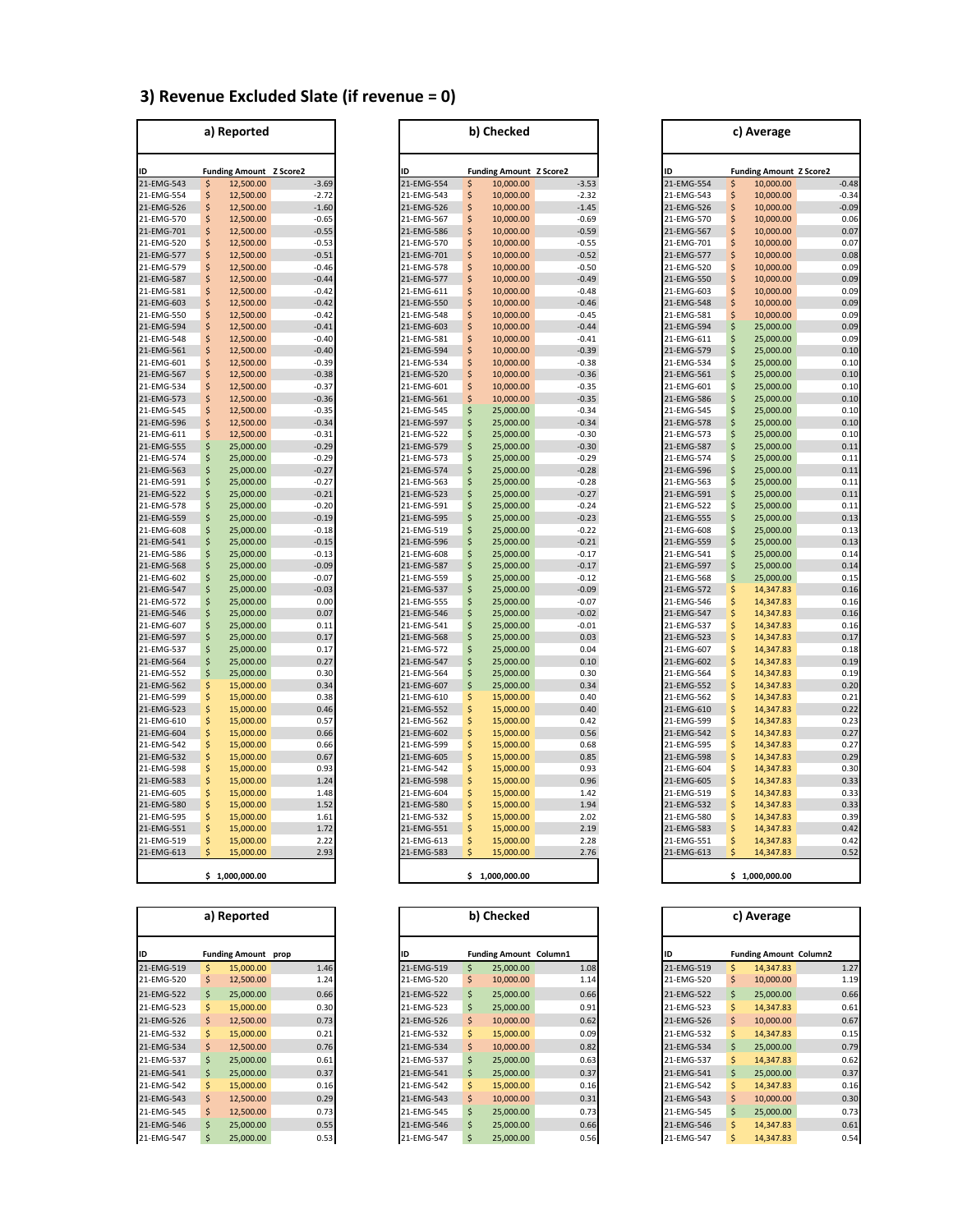# **3) Revenue Excluded Slate (if revenue = 0)**

|            |               | a) Reported           |          |
|------------|---------------|-----------------------|----------|
| ID         |               | <b>Funding Amount</b> | Z Score2 |
| 21-EMG-543 | \$            | 12,500.00             | $-3.69$  |
| 21-EMG-554 | \$            | 12,500.00             | $-2.72$  |
| 21-EMG-526 | \$            | 12,500.00             | $-1.60$  |
| 21-EMG-570 | \$            | 12,500.00             | $-0.65$  |
| 21-EMG-701 | \$            | 12,500.00             | $-0.55$  |
| 21-EMG-520 | \$            | 12,500.00             | $-0.53$  |
| 21-EMG-577 | \$            | 12,500.00             | $-0.51$  |
| 21-EMG-579 | \$            | 12,500.00             | $-0.46$  |
| 21-EMG-587 | $\frac{1}{2}$ | 12,500.00             | $-0.44$  |
| 21-EMG-581 | \$            | 12,500.00             | $-0.42$  |
| 21-EMG-603 | \$            | 12,500.00             | $-0.42$  |
| 21-EMG-550 | \$            | 12,500.00             | $-0.42$  |
| 21-EMG-594 | \$            | 12,500.00             | $-0.41$  |
| 21-EMG-548 | $\frac{1}{2}$ | 12,500.00             | $-0.40$  |
| 21-EMG-561 | \$            | 12,500.00             | $-0.40$  |
| 21-EMG-601 | \$            | 12,500.00             | $-0.39$  |
| 21-EMG-567 | \$            | 12,500.00             | $-0.38$  |
| 21-EMG-534 | \$            | 12,500.00             | $-0.37$  |
| 21-EMG-573 | \$            | 12,500.00             | $-0.36$  |
| 21-EMG-545 | \$            | 12,500.00             | $-0.35$  |
| 21-EMG-596 | \$            | 12,500.00             | $-0.34$  |
| 21-EMG-611 | \$            | 12,500.00             | $-0.31$  |
| 21-EMG-555 | \$            | 25,000.00             | $-0.29$  |
| 21-EMG-574 | \$            | 25,000.00             | $-0.29$  |
| 21-EMG-563 | \$            | 25,000.00             | $-0.27$  |
| 21-EMG-591 | \$            | 25,000.00             | $-0.27$  |
| 21-EMG-522 | \$            | 25,000.00             | $-0.21$  |
| 21-EMG-578 | \$            | 25,000.00             | $-0.20$  |
| 21-EMG-559 | \$            | 25,000.00             | $-0.19$  |
| 21-EMG-608 | \$            | 25,000.00             | $-0.18$  |
| 21-EMG-541 | \$            | 25,000.00             | $-0.15$  |
| 21-EMG-586 | \$            | 25,000.00             | $-0.13$  |
| 21-EMG-568 | \$            | 25,000.00             | $-0.09$  |
| 21-EMG-602 | \$            | 25,000.00             | $-0.07$  |
| 21-EMG-547 | \$            | 25,000.00             | $-0.03$  |
| 21-EMG-572 | \$            | 25,000.00             | 0.00     |
| 21-EMG-546 | \$            | 25,000.00             | 0.07     |
| 21-EMG-607 | \$            | 25,000.00             | 0.11     |
| 21-EMG-597 | \$            | 25,000.00             | 0.17     |
| 21-EMG-537 | \$            | 25,000.00             | 0.17     |
| 21-EMG-564 | \$            | 25,000.00             | 0.27     |
| 21-EMG-552 | \$            | 25,000.00             | 0.30     |
| 21-EMG-562 | \$            | 15,000.00             | 0.34     |
| 21-EMG-599 |               | 15,000.00             | 0.38     |
| 21-EMG-523 | \$            | 15,000.00             | 0.46     |
| 21-EMG-610 | \$            | 15,000.00             | 0.57     |
| 21-EMG-604 | \$            | 15,000.00             | 0.66     |
| 21-EMG-542 |               | 15,000.00             | 0.66     |
| 21-EMG-532 | .<br>\$       | 15,000.00             | 0.67     |
| 21-EMG-598 | $\frac{1}{5}$ | 15,000.00             | 0.93     |
| 21-EMG-583 | \$            | 15,000.00             | 1.24     |
| 21-EMG-605 | \$            | 15,000.00             | 1.48     |
| 21-EMG-580 | \$            | 15,000.00             | 1.52     |
| 21-EMG-595 |               | 15,000.00             | 1.61     |
| 21-EMG-551 | \$            | 15,000.00             | 1.72     |
| 21-EMG-519 | \$            | 15,000.00             | 2.22     |
| 21-EMG-613 | \$            | 15,000.00             | 2.93     |
|            |               |                       |          |

| a) Reported              |         | b) Checked                     |                    |                          |          |                                | c) Average         |  |                          |          |                                |              |  |
|--------------------------|---------|--------------------------------|--------------------|--------------------------|----------|--------------------------------|--------------------|--|--------------------------|----------|--------------------------------|--------------|--|
| ID                       |         | <b>Funding Amount Z Score2</b> |                    | ID                       |          | <b>Funding Amount Z Score2</b> |                    |  |                          |          | <b>Funding Amount Z Score2</b> |              |  |
| 21-EMG-543               | Ŝ       | 12,500.00                      | $-3.69$            | 21-EMG-554               | Ş        | 10,000.00                      | $-3.53$            |  | 21-EMG-554               | \$       | 10,000.00                      | $-0.48$      |  |
| 21-EMG-554               | \$      | 12,500.00                      | $-2.72$            | 21-EMG-543               | \$       | 10,000.00                      | $-2.32$            |  | 21-EMG-543               | \$       | 10,000.00                      | $-0.34$      |  |
| 21-EMG-526               | Ś       | 12,500.00                      | $-1.60$            | 21-EMG-526               | \$       | 10,000.00                      | $-1.45$            |  | 21-EMG-526               | \$       | 10,000.00                      | $-0.09$      |  |
| 21-EMG-570               | \$      | 12,500.00                      | $-0.65$            | 21-EMG-567               | \$       | 10,000.00                      | $-0.69$            |  | 21-EMG-570               | \$       | 10,000.00                      | 0.06         |  |
| 21-EMG-701               | \$      | 12,500.00                      | $-0.55$            | 21-EMG-586               | \$       | 10,000.00                      | $-0.59$            |  | 21-EMG-567               | \$       | 10,000.00                      | 0.07         |  |
| 21-EMG-520               | \$      | 12,500.00                      | $-0.53$            | 21-EMG-570               | \$       | 10,000.00                      | $-0.55$            |  | 21-EMG-701               | \$       | 10,000.00                      | 0.07         |  |
| 21-EMG-577               | Ś       | 12,500.00                      | $-0.51$            | 21-EMG-701               | \$       | 10,000.00                      | $-0.52$            |  | 21-EMG-577               | \$       | 10,000.00                      | 0.08         |  |
| 21-EMG-579               | Ś       | 12,500.00                      | $-0.46$            | 21-EMG-578               | \$       | 10,000.00                      | $-0.50$            |  | 21-EMG-520               | \$       | 10,000.00                      | 0.09         |  |
| 21-EMG-587               | \$      | 12,500.00                      | $-0.44$            | 21-EMG-577               | \$       | 10,000.00                      | $-0.49$            |  | 21-EMG-550               | \$       | 10,000.00                      | 0.09         |  |
| 21-EMG-581               | Ŝ       | 12,500.00                      | $-0.42$            | 21-EMG-611               | \$       | 10,000.00                      | $-0.48$            |  | 21-EMG-603               | \$       | 10,000.00                      | 0.09         |  |
| 21-EMG-603               | \$      | 12,500.00                      | $-0.42$            | 21-EMG-550               | \$       | 10,000.00                      | $-0.46$            |  | 21-EMG-548               | \$       | 10,000.00                      | 0.09         |  |
| 21-EMG-550               | Ś       | 12,500.00                      | $-0.42$            | 21-EMG-548               | \$       | 10,000.00                      | $-0.45$            |  | 21-EMG-581               | \$       | 10,000.00                      | 0.09         |  |
| 21-EMG-594               | \$      | 12,500.00                      | $-0.41$            | 21-EMG-603               | \$       | 10,000.00                      | $-0.44$            |  | 21-EMG-594               | \$       | 25,000.00                      | 0.09         |  |
| 21-EMG-548               | Ś       | 12,500.00                      | $-0.40$            | 21-EMG-581               | \$       | 10,000.00                      | $-0.41$            |  | 21-EMG-611               | \$       | 25,000.00                      | 0.09         |  |
| 21-EMG-561               | \$      | 12,500.00                      | $-0.40$            | 21-EMG-594               | \$       | 10,000.00                      | $-0.39$            |  | 21-EMG-579               | \$       | 25,000.00                      | 0.10         |  |
| 21-EMG-601               | Ś       | 12,500.00                      | $-0.39$            | 21-EMG-534               | \$       | 10,000.00                      | $-0.38$            |  | 21-EMG-534               | \$       | 25,000.00                      | 0.10         |  |
| 21-EMG-567               | Ś       | 12,500.00                      | $-0.38$            | 21-EMG-520               | \$       | 10,000.00                      | $-0.36$            |  | 21-EMG-561               | \$       | 25,000.00                      | 0.10         |  |
| 21-EMG-534               | \$      | 12,500.00                      | $-0.37$            | 21-EMG-601               | \$       | 10,000.00                      | $-0.35$            |  | 21-EMG-601               | \$       | 25,000.00                      | 0.10         |  |
| 21-EMG-573               | Ś       | 12,500.00                      | $-0.36$            | 21-EMG-561               | \$       | 10,000.00                      | $-0.35$            |  | 21-EMG-586               | \$       | 25,000.00                      | 0.10         |  |
| 21-EMG-545               | \$<br>Ś | 12,500.00                      | $-0.35$            | 21-EMG-545               | \$       | 25,000.00                      | $-0.34$            |  | 21-EMG-545               | \$       | 25,000.00                      | 0.10         |  |
| 21-EMG-596<br>21-EMG-611 | Ś       | 12,500.00<br>12,500.00         | $-0.34$<br>$-0.31$ | 21-EMG-597<br>21-EMG-522 | \$       | 25,000.00<br>25,000.00         | $-0.34$<br>$-0.30$ |  | 21-EMG-578<br>21-EMG-573 | \$<br>\$ | 25,000.00<br>25,000.00         | 0.10<br>0.10 |  |
| 21-EMG-555               | Ś       | 25,000.00                      | $-0.29$            | 21-EMG-579               | \$<br>\$ | 25,000.00                      | $-0.30$            |  | 21-EMG-587               | \$       | 25,000.00                      | 0.11         |  |
| 21-EMG-574               | \$      | 25,000.00                      | $-0.29$            | 21-EMG-573               | \$       | 25,000.00                      | $-0.29$            |  | 21-EMG-574               | \$       | 25,000.00                      | 0.11         |  |
| 21-EMG-563               | Ś       | 25,000.00                      | $-0.27$            | 21-EMG-574               | \$       | 25,000.00                      | $-0.28$            |  | 21-EMG-596               | \$       | 25,000.00                      | 0.11         |  |
| 21-EMG-591               | \$      | 25,000.00                      | $-0.27$            | 21-EMG-563               | \$       | 25,000.00                      | $-0.28$            |  | 21-EMG-563               | \$       | 25,000.00                      | 0.11         |  |
| 21-EMG-522               | \$      | 25,000.00                      | $-0.21$            | 21-EMG-523               | \$       | 25,000.00                      | $-0.27$            |  | 21-EMG-591               | \$       | 25,000.00                      | 0.11         |  |
| 21-EMG-578               | Ś       | 25,000.00                      | $-0.20$            | 21-EMG-591               | \$       | 25,000.00                      | $-0.24$            |  | 21-EMG-522               | \$       | 25,000.00                      | 0.11         |  |
| 21-EMG-559               | \$      | 25,000.00                      | $-0.19$            | 21-EMG-595               | \$       | 25,000.00                      | $-0.23$            |  | 21-EMG-555               | \$       | 25,000.00                      | 0.13         |  |
| 21-EMG-608               | \$      | 25,000.00                      | $-0.18$            | 21-EMG-519               | \$       | 25,000.00                      | $-0.22$            |  | 21-EMG-608               | \$       | 25,000.00                      | 0.13         |  |
| 21-EMG-541               | \$      | 25,000.00                      | $-0.15$            | 21-EMG-596               | \$       | 25,000.00                      | $-0.21$            |  | 21-EMG-559               | \$       | 25,000.00                      | 0.13         |  |
| 21-EMG-586               | Ś       | 25,000.00                      | $-0.13$            | 21-EMG-608               | \$       | 25,000.00                      | $-0.17$            |  | 21-EMG-541               | \$       | 25,000.00                      | 0.14         |  |
| 21-EMG-568               | \$      | 25,000.00                      | $-0.09$            | 21-EMG-587               | \$       | 25,000.00                      | $-0.17$            |  | 21-EMG-597               | \$       | 25,000.00                      | 0.14         |  |
| 21-EMG-602               | \$      | 25,000.00                      | $-0.07$            | 21-EMG-559               | \$       | 25,000.00                      | $-0.12$            |  | 21-EMG-568               | \$       | 25,000.00                      | 0.15         |  |
| 21-EMG-547               | Ś       | 25,000.00                      | $-0.03$            | 21-EMG-537               | \$       | 25,000.00                      | $-0.09$            |  | 21-EMG-572               | \$       | 14,347.83                      | 0.16         |  |
| 21-EMG-572               | Ś       | 25,000.00                      | 0.00               | 21-EMG-555               | \$       | 25,000.00                      | $-0.07$            |  | 21-EMG-546               | \$       | 14,347.83                      | 0.16         |  |
| 21-EMG-546               | Ś       | 25,000.00                      | 0.07               | 21-EMG-546               | \$       | 25,000.00                      | $-0.02$            |  | 21-EMG-547               | \$       | 14,347.83                      | 0.16         |  |
| 21-EMG-607               | \$      | 25,000.00                      | 0.11               | 21-EMG-541               | \$       | 25,000.00                      | $-0.01$            |  | 21-EMG-537               | \$       | 14,347.83                      | 0.16         |  |
| 21-EMG-597               | \$      | 25,000.00                      | 0.17               | 21-EMG-568               | \$       | 25,000.00                      | 0.03               |  | 21-EMG-523               | \$       | 14,347.83                      | 0.1          |  |
| 21-EMG-537               | \$      | 25,000.00                      | 0.17               | 21-EMG-572               | \$       | 25,000.00                      | 0.04               |  | 21-EMG-607               | \$       | 14,347.83                      | 0.18         |  |
| 21-EMG-564               | Ś       | 25,000.00                      | 0.27               | 21-EMG-547               | \$       | 25,000.00                      | 0.10               |  | 21-EMG-602               | \$       | 14,347.83                      | 0.19         |  |
| 21-EMG-552               | \$      | 25,000.00                      | 0.30<br>0.34       | 21-EMG-564               | \$<br>\$ | 25,000.00                      | 0.30<br>0.34       |  | 21-EMG-564               | \$<br>\$ | 14,347.83                      | 0.19<br>0.20 |  |
| 21-EMG-562<br>21-EMG-599 | \$<br>Ś | 15,000.00<br>15,000.00         | 0.38               | 21-EMG-607<br>21-EMG-610 | \$       | 25,000.00<br>15,000.00         | 0.40               |  | 21-EMG-552<br>21-EMG-562 | \$       | 14,347.83<br>14,347.83         | 0.21         |  |
| 21-EMG-523               | \$      | 15,000.00                      | 0.46               | 21-EMG-552               | \$       | 15,000.00                      | 0.40               |  | 21-EMG-610               | \$       | 14,347.83                      | 0.22         |  |
| 21-EMG-610               | Ś       | 15,000.00                      | 0.57               | 21-EMG-562               | \$       | 15,000.00                      | 0.42               |  | 21-EMG-599               | \$       | 14,347.83                      | 0.23         |  |
| 21-EMG-604               | \$      | 15,000.00                      | 0.66               | 21-EMG-602               | \$       | 15,000.00                      | 0.56               |  | 21-EMG-542               | \$       | 14,347.83                      | 0.27         |  |
| 21-EMG-542               | Ś       | 15,000.00                      | 0.66               | 21-EMG-599               | \$       | 15,000.00                      | 0.68               |  | 21-EMG-595               | \$       | 14,347.83                      | 0.27         |  |
| 21-EMG-532               | \$      | 15,000.00                      | 0.67               | 21-EMG-605               | \$       | 15,000.00                      | 0.85               |  | 21-EMG-598               | \$       | 14,347.83                      | 0.29         |  |
| 21-EMG-598               | Ś       | 15,000.00                      | 0.93               | 21-EMG-542               | \$       | 15,000.00                      | 0.93               |  | 21-EMG-604               | \$       | 14,347.83                      | 0.30         |  |
| 21-EMG-583               | \$      | 15,000.00                      | 1.24               | 21-EMG-598               | \$       | 15,000.00                      | 0.96               |  | 21-EMG-605               | \$       | 14,347.83                      | 0.33         |  |
| 21-EMG-605               | \$      | 15,000.00                      | 1.48               | 21-EMG-604               | \$       | 15,000.00                      | 1.42               |  | 21-EMG-519               | \$       | 14,347.83                      | 0.33         |  |
| 21-EMG-580               | Ś       | 15,000.00                      | 1.52               | 21-EMG-580               | \$       | 15,000.00                      | 1.94               |  | 21-EMG-532               | \$       | 14,347.83                      | 0.33         |  |
| 21-EMG-595               | Ś       | 15,000.00                      | 1.61               | 21-EMG-532               | \$       | 15,000.00                      | 2.02               |  | 21-EMG-580               | Ś        | 14,347.83                      | 0.39         |  |
| 21-EMG-551               | \$      | 15,000.00                      | 1.72               | 21-EMG-551               | \$       | 15,000.00                      | 2.19               |  | 21-EMG-583               | \$       | 14,347.83                      | 0.42         |  |
| 21-EMG-519               | \$      | 15,000.00                      | 2.22               | 21-EMG-613               | \$       | 15,000.00                      | 2.28               |  | 21-EMG-551               | \$       | 14,347.83                      | 0.42         |  |
| 21-EMG-613               | Ś       | 15,000.00                      | 2.93               | 21-EMG-583               | Ś.       | 15,000.00                      | 2.76               |  | 21-EMG-613               | Ś        | 14,347.83                      | 0.52         |  |
|                          |         |                                |                    |                          |          |                                |                    |  |                          |          |                                |              |  |

| 000.000.00. 1.000<br>c | ,000.00<br>റററ | .000.000.00 |
|------------------------|----------------|-------------|
|                        |                |             |

| a) Reported |    |                            |      |
|-------------|----|----------------------------|------|
| ID          |    | <b>Funding Amount prop</b> |      |
| 21-EMG-519  |    | 15,000,00                  | 1.46 |
| 21-EMG-520  | S  | 12,500.00                  | 1.24 |
| 21-EMG-522  |    | 25,000,00                  | 0.66 |
| 21-EMG-523  | Ŝ. | 15,000.00                  | 0.30 |
| 21-EMG-526  | Ś. | 12,500.00                  | 0.73 |
| 21-EMG-532  | Ŝ. | 15,000.00                  | 0.21 |
| 21-EMG-534  | S. | 12,500.00                  | 0.76 |
| 21-EMG-537  | S. | 25,000.00                  | 0.61 |
| 21-EMG-541  | S. | 25,000.00                  | 0.37 |
| 21-EMG-542  | Ŝ. | 15,000.00                  | 0.16 |
| 21-EMG-543  | S. | 12,500.00                  | 0.29 |
| 21-EMG-545  | S. | 12,500.00                  | 0.73 |
| 21-EMG-546  |    | 25,000.00                  | 0.55 |
| 21-EMG-547  | S. | 25,000.00                  | 0.53 |

|                        | c) Average                         |              |
|------------------------|------------------------------------|--------------|
|                        | <b>Funding Amount</b>              | Z Score2     |
| 1-EMG-554              | \$<br>10,000.00                    | $-0.48$      |
| 1-EMG-543              | \$<br>10,000.00                    | $-0.34$      |
| 1-EMG-526              | \$<br>10,000.00                    | $-0.09$      |
| 1-EMG-570              | \$<br>10,000.00                    | 0.06         |
| 1-EMG-567              | \$<br>10,000.00                    | 0.07         |
| 1-EMG-701              | \$<br>10,000.00                    | 0.07         |
| 1-EMG-577              | \$<br>10,000.00                    | 0.08         |
| 1-EMG-520              | \$<br>10,000.00                    | 0.09         |
| 1-EMG-550              | \$<br>10,000.00<br>\$              | 0.09         |
| 1-EMG-603<br>1-EMG-548 | 10,000.00<br>\$                    | 0.09         |
| 1-EMG-581              | 10,000.00<br>\$<br>10,000.00       | 0.09<br>0.09 |
| 1-EMG-594              | \$<br>25,000.00                    | 0.09         |
| 1-EMG-611              | \$<br>25,000.00                    | 0.09         |
| 1-EMG-579              | \$<br>25,000.00                    | 0.10         |
| 1-EMG-534              | \$<br>25,000.00                    | 0.10         |
| 1-EMG-561              | \$<br>25,000.00                    | 0.10         |
| 1-EMG-601              | \$<br>25,000.00                    | 0.10         |
| 1-EMG-586              | \$<br>25,000.00                    | 0.10         |
| 1-EMG-545              | \$<br>25,000.00                    | 0.10         |
| 1-EMG-578              | \$<br>25,000.00                    | 0.10         |
| 1-EMG-573              | .<br>\$<br>25,000.00               | 0.10         |
| 1-EMG-587              | \$<br>25,000.00                    | 0.11         |
| 1-EMG-574              | \$<br>25,000.00                    | 0.11         |
| 1-EMG-596              | \$<br>25,000.00                    | 0.11         |
| 1-EMG-563              | \$<br>25,000.00                    | 0.11         |
| 1-EMG-591              | \$<br>25,000.00                    | 0.11         |
| 1-EMG-522              | \$<br>25,000.00                    | 0.11         |
| 1-EMG-555              | \$<br>25,000.00                    | 0.13         |
| 1-EMG-608              | \$<br>25,000.00                    | 0.13         |
| 1-EMG-559              | \$<br>25,000.00                    | 0.13         |
| 1-EMG-541              | \$<br>25,000.00                    | 0.14         |
| 1-EMG-597              | \$<br>25,000.00                    | 0.14         |
| 1-EMG-568              | \$<br>25,000.00                    | 0.15         |
| 1-EMG-572              | \$<br>14,347.83                    | 0.16         |
| 1-EMG-546              | \$<br>14,347.83                    | 0.16         |
| 1-EMG-547              | \$<br>14,347.83                    | 0.16         |
| 1-EMG-537              | \$<br>14,347.83                    | 0.16         |
| 1-EMG-523              | \$<br>14,347.83                    | 0.17         |
| 1-EMG-607              | \$<br>14,347.83                    | 0.18         |
| 1-EMG-602              | \$<br>14,347.83                    | 0.19         |
| 1-EMG-564              | \$<br>14,347.83                    | 0.19         |
| 1-EMG-552              | \$<br>14,347.83<br>\$              | 0.20         |
| 1-EMG-562              | 14,347.83                          | 0.21         |
| 1-EMG-610              | \$<br>14,347.83<br>\$              | 0.22         |
| 1-EMG-599<br>1-EMG-542 | 14,347.83                          | 0.23<br>0.27 |
| 1-EMG-595              | \$<br>14,347.83<br>\$<br>14,347.83 | 0.27         |
| 1-EMG-598              | \$<br>14,347.83                    | 0.29         |
| 1-EMG-604              | \$<br>14,347.83                    | 0.30         |
| 1-EMG-605              | \$<br>14,347.83                    | 0.33         |
| 1-EMG-519              | \$<br>14,347.83                    | 0.33         |
| 1-EMG-532              | \$<br>14,347.83                    | 0.33         |
| 1-EMG-580              | \$<br>14,347.83                    | 0.39         |
| 1-EMG-583              | \$<br>14,347.83                    | 0.42         |
| 1-EMG-551              | \$<br>14,347.83                    | 0.42         |
| 1-EMG-613              | \$<br>14,347.83                    | 0.52         |
|                        |                                    |              |

|            |    | c) Average                    |      |
|------------|----|-------------------------------|------|
|            |    |                               |      |
| ID         |    | <b>Funding Amount Column2</b> |      |
| 21-EMG-519 | \$ | 14,347.83                     | 1.27 |
| 21-EMG-520 | Ś  | 10,000.00                     | 1.19 |
| 21-EMG-522 | Ś  | 25,000.00                     | 0.66 |
| 21-EMG-523 | Ś  | 14,347.83                     | 0.61 |
| 21-EMG-526 | Ś  | 10,000.00                     | 0.67 |
| 21-EMG-532 | Ś  | 14,347.83                     | 0.15 |
| 21-EMG-534 | Ś  | 25,000.00                     | 0.79 |
| 21-EMG-537 | Ś  | 14,347.83                     | 0.62 |
| 21-EMG-541 | Ś  | 25,000.00                     | 0.37 |
| 21-EMG-542 | Ś  | 14,347.83                     | 0.16 |
| 21-EMG-543 | Ś  | 10,000.00                     | 0.30 |
| 21-EMG-545 | Ś  | 25,000.00                     | 0.73 |
| 21-EMG-546 | \$ | 14,347.83                     | 0.61 |
| 21-EMG-547 | Ś  | 14.347.83                     | 0.54 |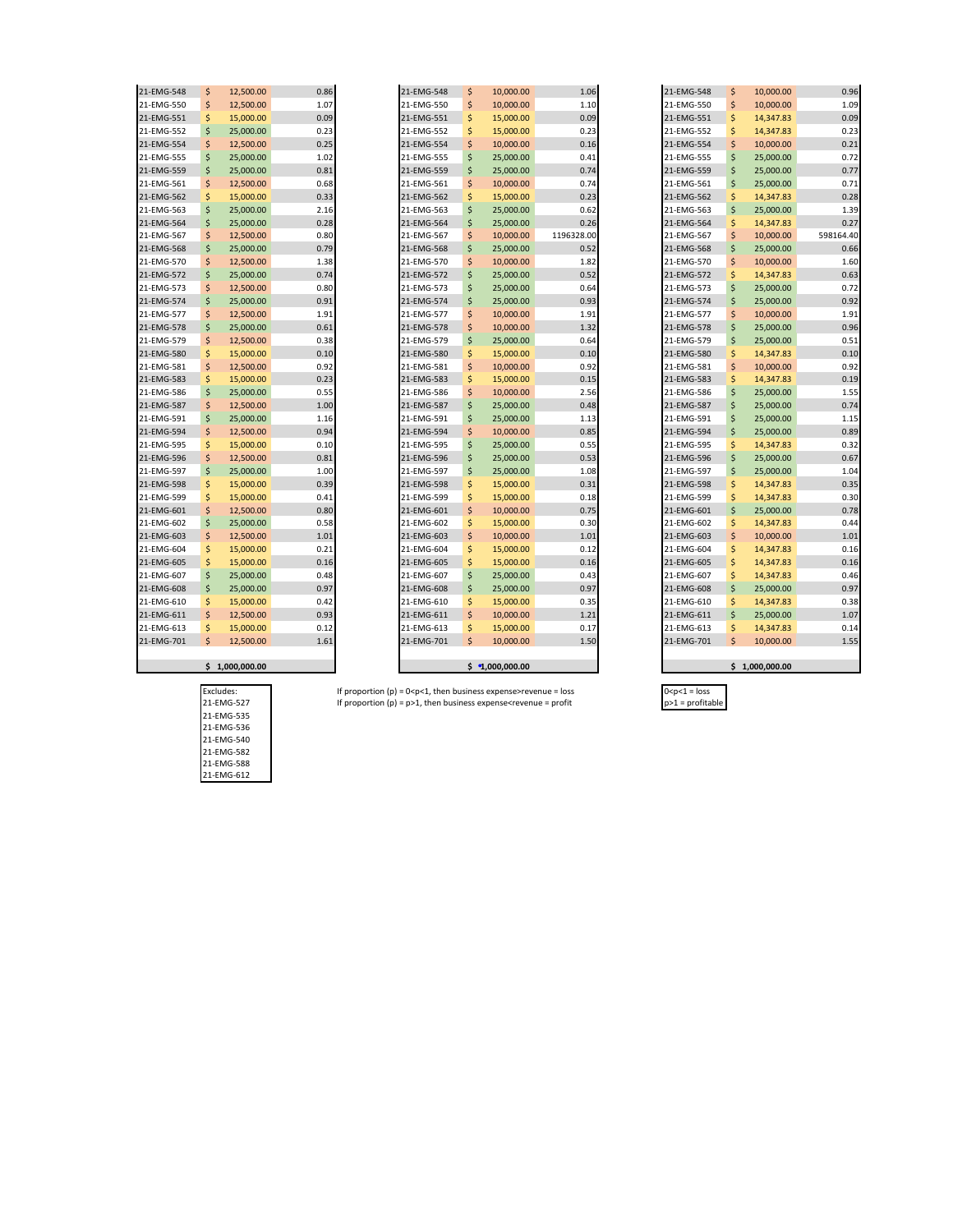| 21-EMG-548 | \$ | 12,500.00 | 0.86 |
|------------|----|-----------|------|
| 21-EMG-550 | \$ | 12,500.00 | 1.07 |
| 21-EMG-551 | \$ | 15,000.00 | 0.09 |
| 21-EMG-552 | \$ | 25,000.00 | 0.23 |
| 21-EMG-554 | \$ | 12,500.00 | 0.25 |
| 21-EMG-555 | \$ | 25,000.00 | 1.02 |
| 21-EMG-559 | \$ | 25,000.00 | 0.81 |
| 21-EMG-561 | \$ | 12,500.00 | 0.68 |
| 21-EMG-562 | \$ | 15,000.00 | 0.33 |
| 21-EMG-563 | \$ | 25,000.00 | 2.16 |
| 21-EMG-564 | \$ | 25,000.00 | 0.28 |
| 21-EMG-567 | \$ | 12,500.00 | 0.80 |
| 21-EMG-568 | \$ | 25,000.00 | 0.79 |
| 21-EMG-570 | \$ | 12,500.00 | 1.38 |
| 21-EMG-572 | \$ | 25,000.00 | 0.74 |
| 21-EMG-573 | \$ | 12,500.00 | 0.80 |
| 21-EMG-574 | \$ | 25,000.00 | 0.91 |
| 21-EMG-577 | \$ | 12,500.00 | 1.91 |
| 21-EMG-578 | \$ | 25,000.00 | 0.61 |
| 21-EMG-579 | \$ | 12,500.00 | 0.38 |
| 21-EMG-580 | \$ | 15,000.00 | 0.10 |
| 21-EMG-581 | \$ | 12,500.00 | 0.92 |
| 21-EMG-583 | \$ | 15,000.00 | 0.23 |
| 21-EMG-586 | \$ | 25,000.00 | 0.55 |
| 21-EMG-587 | \$ | 12,500.00 | 1.00 |
| 21-EMG-591 | \$ | 25,000.00 | 1.16 |
| 21-EMG-594 | \$ | 12,500.00 | 0.94 |
| 21-EMG-595 | \$ | 15,000.00 | 0.10 |
| 21-EMG-596 | \$ | 12,500.00 | 0.81 |
| 21-EMG-597 | \$ | 25,000.00 | 1.00 |
| 21-EMG-598 | \$ | 15,000.00 | 0.39 |
| 21-EMG-599 | \$ | 15,000.00 | 0.41 |
| 21-EMG-601 | \$ | 12,500.00 | 0.80 |
| 21-EMG-602 | \$ | 25,000.00 | 0.58 |
| 21-EMG-603 | \$ | 12,500.00 | 1.01 |
| 21-EMG-604 | \$ | 15,000.00 | 0.21 |
| 21-EMG-605 | \$ | 15,000.00 | 0.16 |
| 21-EMG-607 | \$ | 25,000.00 | 0.48 |
| 21-EMG-608 | \$ | 25,000.00 | 0.97 |
| 21-EMG-610 | \$ | 15,000.00 | 0.42 |
| 21-EMG-611 | \$ | 12,500.00 | 0.93 |
| 21-EMG-613 | \$ | 15,000.00 | 0.12 |
| 21-EMG-701 | Ś  | 12,500.00 | 1.61 |
|            |    |           |      |

 $\mathbf{r}$ 

| 21-EMG-548 | S  | 12.500.00 | 0.86 | 21-EMG-548 | \$                 | 10.000.00 | 1.06       | 21-EMG-548 | \$                 | 10.000.00 | 0.96      |
|------------|----|-----------|------|------------|--------------------|-----------|------------|------------|--------------------|-----------|-----------|
| 21-EMG-550 | \$ | 12,500.00 | 1.07 | 21-EMG-550 | \$                 | 10,000.00 | 1.10       | 21-EMG-550 | \$                 | 10,000.00 | 1.09      |
| 21-EMG-551 | \$ | 15,000.00 | 0.09 | 21-EMG-551 | \$                 | 15,000.00 | 0.09       | 21-EMG-551 | \$                 | 14,347.83 | 0.09      |
| 21-EMG-552 | Ś  | 25,000.00 | 0.23 | 21-EMG-552 | \$                 | 15,000.00 | 0.23       | 21-EMG-552 | \$                 | 14,347.83 | 0.23      |
| 21-EMG-554 | Ś  | 12,500.00 | 0.25 | 21-EMG-554 | \$                 | 10,000.00 | 0.16       | 21-EMG-554 | \$                 | 10,000.00 | 0.21      |
| 21-EMG-555 | Ś  | 25,000.00 | 1.02 | 21-EMG-555 | \$                 | 25,000.00 | 0.41       | 21-EMG-555 | \$                 | 25,000.00 | 0.72      |
| 21-EMG-559 | Ś  | 25,000.00 | 0.81 | 21-EMG-559 | \$                 | 25,000.00 | 0.74       | 21-EMG-559 | \$                 | 25,000.00 | 0.77      |
| 21-EMG-561 | Ś  | 12,500.00 | 0.68 | 21-EMG-561 | \$                 | 10,000.00 | 0.74       | 21-EMG-561 | \$                 | 25,000.00 | 0.71      |
| 21-EMG-562 | Ś  | 15,000.00 | 0.33 | 21-EMG-562 | \$                 | 15,000.00 | 0.23       | 21-EMG-562 | \$                 | 14,347.83 | 0.28      |
| 21-EMG-563 | Ś  | 25,000.00 | 2.16 | 21-EMG-563 | \$                 | 25,000.00 | 0.62       | 21-EMG-563 | \$                 | 25,000.00 | 1.39      |
| 21-EMG-564 | Ś  | 25,000.00 | 0.28 | 21-EMG-564 | \$                 | 25,000.00 | 0.26       | 21-EMG-564 | \$                 | 14,347.83 | 0.27      |
| 21-EMG-567 | Ś  | 12,500.00 | 0.80 | 21-EMG-567 | \$                 | 10,000.00 | 1196328.00 | 21-EMG-567 | \$                 | 10,000.00 | 598164.40 |
| 21-EMG-568 | Ś  | 25,000.00 | 0.79 | 21-EMG-568 | \$                 | 25,000.00 | 0.52       | 21-EMG-568 | \$                 | 25,000.00 | 0.66      |
| 21-EMG-570 | Ś  | 12,500.00 | 1.38 | 21-EMG-570 | \$                 | 10,000.00 | 1.82       | 21-EMG-570 | \$                 | 10,000.00 | 1.60      |
| 21-EMG-572 | Ś  | 25,000.00 | 0.74 | 21-EMG-572 | \$                 | 25,000.00 | 0.52       | 21-EMG-572 | Ś.                 | 14,347.83 | 0.63      |
| 21-EMG-573 | Ś  | 12,500.00 | 0.80 | 21-EMG-573 | \$                 | 25,000.00 | 0.64       | 21-EMG-573 | \$                 | 25,000.00 | 0.72      |
| 21-EMG-574 | Ś  | 25,000.00 | 0.91 | 21-EMG-574 | \$                 | 25,000.00 | 0.93       | 21-EMG-574 | \$                 | 25,000.00 | 0.92      |
| 21-EMG-577 | Ś  | 12,500.00 | 1.91 | 21-EMG-577 | \$                 | 10,000.00 | 1.91       | 21-EMG-577 | \$                 | 10,000.00 | 1.91      |
| 21-EMG-578 | Ś  | 25,000.00 | 0.61 | 21-EMG-578 | \$                 | 10,000.00 | 1.32       | 21-EMG-578 | \$                 | 25,000.00 | 0.96      |
| 21-EMG-579 | Ś  | 12,500.00 | 0.38 | 21-EMG-579 | \$                 | 25,000.00 | 0.64       | 21-EMG-579 | \$                 | 25,000.00 | 0.51      |
| 21-EMG-580 | \$ | 15,000.00 | 0.10 | 21-EMG-580 | \$                 | 15,000.00 | 0.10       | 21-EMG-580 | \$                 | 14,347.83 | 0.10      |
| 21-EMG-581 | Ś  | 12,500.00 | 0.92 | 21-EMG-581 | \$                 | 10,000.00 | 0.92       | 21-EMG-581 | \$                 | 10,000.00 | 0.92      |
| 21-EMG-583 | Ś  | 15,000.00 | 0.23 | 21-EMG-583 | \$                 | 15,000.00 | 0.15       | 21-EMG-583 | \$                 | 14,347.83 | 0.19      |
| 21-EMG-586 | Ś  | 25,000.00 | 0.55 | 21-EMG-586 | \$                 | 10,000.00 | 2.56       | 21-EMG-586 | \$                 | 25,000.00 | 1.55      |
| 21-EMG-587 | \$ | 12,500.00 | 1.00 | 21-EMG-587 | \$                 | 25,000.00 | 0.48       | 21-EMG-587 | \$                 | 25,000.00 | 0.74      |
| 21-EMG-591 | Ś  | 25,000.00 | 1.16 | 21-EMG-591 | \$                 | 25,000.00 | 1.13       | 21-EMG-591 | \$                 | 25,000.00 | 1.15      |
| 21-EMG-594 | \$ | 12,500.00 | 0.94 | 21-EMG-594 | \$                 | 10,000.00 | 0.85       | 21-EMG-594 | $\mathsf{\hat{S}}$ | 25,000.00 | 0.89      |
| 21-EMG-595 | Ś  | 15,000.00 | 0.10 | 21-EMG-595 | \$                 | 25,000.00 | 0.55       | 21-EMG-595 | \$                 | 14,347.83 | 0.32      |
| 21-EMG-596 | Ś  | 12,500.00 | 0.81 | 21-EMG-596 | \$                 | 25,000.00 | 0.53       | 21-EMG-596 | \$                 | 25,000.00 | 0.67      |
| 21-EMG-597 | Ś  | 25,000.00 | 1.00 | 21-EMG-597 | \$                 | 25,000.00 | 1.08       | 21-EMG-597 | \$                 | 25,000.00 | 1.04      |
| 21-EMG-598 | \$ | 15,000.00 | 0.39 | 21-EMG-598 | \$                 | 15,000.00 | 0.31       | 21-EMG-598 | \$                 | 14,347.83 | 0.35      |
| 21-EMG-599 | Ś  | 15,000.00 | 0.41 | 21-EMG-599 | \$                 | 15,000.00 | 0.18       | 21-EMG-599 | \$                 | 14,347.83 | 0.30      |
| 21-EMG-601 | \$ | 12,500.00 | 0.80 | 21-EMG-601 | \$                 | 10,000.00 | 0.75       | 21-EMG-601 | \$                 | 25,000.00 | 0.78      |
| 21-EMG-602 | Ś  | 25,000.00 | 0.58 | 21-EMG-602 | \$                 | 15,000.00 | 0.30       | 21-EMG-602 | \$                 | 14,347.83 | 0.44      |
| 21-EMG-603 | Ś  | 12,500.00 | 1.01 | 21-EMG-603 | \$                 | 10,000.00 | 1.01       | 21-EMG-603 | \$                 | 10,000.00 | 1.01      |
| 21-EMG-604 | \$ | 15,000.00 | 0.21 | 21-EMG-604 | \$                 | 15,000.00 | 0.12       | 21-EMG-604 | \$                 | 14,347.83 | 0.16      |
| 21-EMG-605 | Ś  | 15,000.00 | 0.16 | 21-EMG-605 | \$                 | 15,000.00 | 0.16       | 21-EMG-605 | \$                 | 14,347.83 | 0.16      |
| 21-EMG-607 | Ś  | 25,000.00 | 0.48 | 21-EMG-607 | \$                 | 25,000.00 | 0.43       | 21-EMG-607 | \$                 | 14,347.83 | 0.46      |
| 21-EMG-608 | Ś  | 25,000.00 | 0.97 | 21-EMG-608 | \$                 | 25,000.00 | 0.97       | 21-EMG-608 | Ś                  | 25,000.00 | 0.97      |
| 21-EMG-610 | Ś  | 15,000.00 | 0.42 | 21-EMG-610 | \$                 | 15,000.00 | 0.35       | 21-EMG-610 | \$                 | 14,347.83 | 0.38      |
| 21-EMG-611 | Ś  | 12,500.00 | 0.93 | 21-EMG-611 | \$                 | 10,000.00 | 1.21       | 21-EMG-611 | \$                 | 25,000.00 | 1.07      |
| 21-EMG-613 | S  | 15,000.00 | 0.12 | 21-EMG-613 | \$                 | 15,000.00 | 0.17       | 21-EMG-613 | \$                 | 14,347.83 | 0.14      |
| 21-EMG-701 | Ś  | 12,500.00 | 1.61 | 21-EMG-701 | $\mathsf{\hat{S}}$ | 10,000.00 | 1.50       | 21-EMG-701 | \$.                | 10,000.00 | 1.55      |
|            |    |           |      |            |                    |           |            |            |                    |           |           |
|            |    |           |      |            |                    |           |            |            |                    |           |           |

| 21-EMG-548 | \$<br>10,000.00    | 0.96      |
|------------|--------------------|-----------|
| 21-EMG-550 | \$<br>10,000.00    | 1.09      |
| 21-EMG-551 | \$<br>14,347.83    | 0.09      |
| 21-EMG-552 | \$<br>14,347.83    | 0.23      |
| 21-EMG-554 | \$<br>10,000.00    | 0.21      |
| 21-EMG-555 | \$<br>25,000.00    | 0.72      |
| 21-EMG-559 | \$<br>25,000.00    | 0.77      |
| 21-EMG-561 | \$<br>25,000.00    | 0.71      |
| 21-EMG-562 | \$<br>14,347.83    | 0.28      |
| 21-EMG-563 | \$<br>25,000.00    | 1.39      |
| 21-EMG-564 | \$<br>14,347.83    | 0.27      |
| 21-EMG-567 | \$<br>10,000.00    | 598164.40 |
| 21-EMG-568 | \$<br>25,000.00    | 0.66      |
| 21-EMG-570 | \$<br>10,000.00    | 1.60      |
| 21-EMG-572 | \$<br>14,347.83    | 0.63      |
| 21-EMG-573 | \$<br>25,000.00    | 0.72      |
| 21-EMG-574 | \$<br>25,000.00    | 0.92      |
| 21-EMG-577 | \$<br>10,000.00    | 1.91      |
| 21-EMG-578 | \$<br>25,000.00    | 0.96      |
| 21-EMG-579 | \$<br>25,000.00    | 0.51      |
| 21-EMG-580 | \$<br>14,347.83    | 0.10      |
| 21-EMG-581 | \$<br>10,000.00    | 0.92      |
| 21-EMG-583 | \$<br>14,347.83    | 0.19      |
| 21-EMG-586 | \$<br>25,000.00    | 1.55      |
| 21-EMG-587 | \$<br>25,000.00    | 0.74      |
| 21-EMG-591 | \$<br>25,000.00    | 1.15      |
| 21-EMG-594 | \$<br>25,000.00    | 0.89      |
| 21-EMG-595 | \$<br>14,347.83    | 0.32      |
| 21-EMG-596 | \$<br>25,000.00    | 0.67      |
| 21-EMG-597 | \$<br>25,000.00    | 1.04      |
| 21-EMG-598 | \$<br>14,347.83    | 0.35      |
| 21-EMG-599 | \$<br>14,347.83    | 0.30      |
| 21-EMG-601 | \$<br>25,000.00    | 0.78      |
| 21-EMG-602 | \$<br>14,347.83    | 0.44      |
| 21-EMG-603 | \$<br>10,000.00    | 1.01      |
| 21-EMG-604 | \$<br>14,347.83    | 0.16      |
| 21-EMG-605 | \$<br>14,347.83    | 0.16      |
| 21-EMG-607 | \$<br>14,347.83    | 0.46      |
| 21-EMG-608 | \$<br>25,000.00    | 0.97      |
| 21-EMG-610 | \$<br>14,347.83    | 0.38      |
| 21-EMG-611 | \$<br>25,000.00    | 1.07      |
| 21-EMG-613 | \$<br>14,347.83    | 0.14      |
| 21-EMG-701 | \$<br>10,000.00    | 1.55      |
|            |                    |           |
|            | \$<br>1,000,000.00 |           |

**\$ 1,000,000.00 \$ 1,000,000.00 \$ 1,000,000.00**

21-EMG-535 21-EMG-536 21-EMG-540 21-EMG-582 21-EMG-588 21-EMG-612

# Excludes: If proportion (p) = 0<p<1, then business expense>revenue = loss 0<p<1 = loss 21-EMG-527 If proportion (p) = p>1, then business expense<revenue = profit p>1 = profitable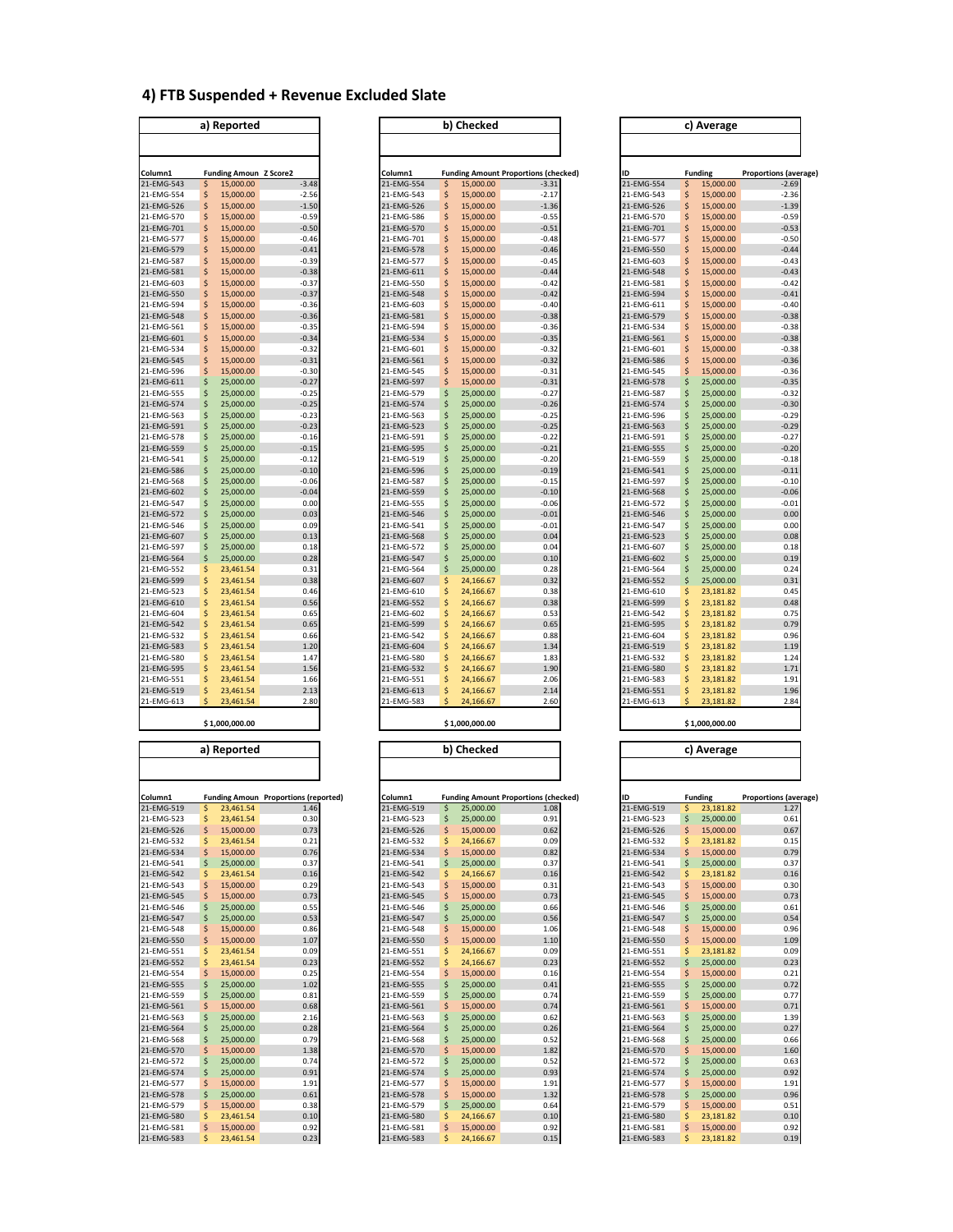#### **4) FTB Suspended + Revenue Excluded Slate**

|            |    | a) Reported          |          |
|------------|----|----------------------|----------|
|            |    |                      |          |
|            |    |                      |          |
| Column1    |    | <b>Funding Amoun</b> | Z Score2 |
| 21-EMG-543 | \$ | 15,000.00            | $-3.48$  |
| 21-EMG-554 | \$ | 15,000.00            | $-2.56$  |
| 21-EMG-526 | \$ | 15,000.00            | $-1.50$  |
| 21-EMG-570 | \$ | 15,000.00            | $-0.59$  |
| 21-EMG-701 | \$ | 15,000.00            | $-0.50$  |
| 21-EMG-577 | \$ | 15,000.00            | $-0.46$  |
| 21-EMG-579 | \$ | 15,000.00            | $-0.41$  |
| 21-EMG-587 | \$ | 15,000.00            | $-0.39$  |
| 21-EMG-581 | \$ | 15,000.00            | $-0.38$  |
| 21-EMG-603 | \$ | 15,000.00            | $-0.37$  |
| 21-EMG-550 | \$ | 15,000.00            | $-0.37$  |
| 21-EMG-594 | \$ | 15,000.00            | $-0.36$  |
| 21-EMG-548 | \$ | 15,000.00            | $-0.36$  |
| 21-EMG-561 | \$ | 15,000.00            | $-0.35$  |
| 21-EMG-601 | \$ | 15,000.00            | $-0.34$  |
| 21-EMG-534 | \$ | 15,000.00            | $-0.32$  |
| 21-EMG-545 | \$ | 15,000.00            | $-0.31$  |
| 21-EMG-596 | \$ | 15,000.00            | $-0.30$  |
| 21-EMG-611 | \$ | 25,000.00            | $-0.27$  |
| 21-EMG-555 | Ś  | 25,000.00            | $-0.25$  |
| 21-EMG-574 | \$ | 25,000.00            | $-0.25$  |
| 21-EMG-563 | \$ | 25,000.00            | $-0.23$  |
| 21-EMG-591 | \$ | 25,000.00            | $-0.23$  |
| 21-EMG-578 | \$ | 25,000.00            | $-0.16$  |
| 21-EMG-559 | \$ | 25,000.00            | $-0.15$  |
| 21-EMG-541 | \$ | 25,000.00            | $-0.12$  |
| 21-EMG-586 | \$ | 25.000.00            | $-0.10$  |
| 21-EMG-568 | \$ | 25,000.00            | $-0.06$  |
| 21-EMG-602 | \$ | 25,000.00            | $-0.04$  |
| 21-EMG-547 | \$ | 25,000.00            | 0.00     |
| 21-EMG-572 | \$ | 25,000.00            | 0.03     |
| 21-EMG-546 | \$ | 25,000.00            | 0.09     |
| 21-EMG-607 | \$ | 25,000.00            | 0.13     |
| 21-EMG-597 | \$ | 25,000.00            | 0.18     |
| 21-EMG-564 | \$ | 25,000.00            | 0.28     |
| 21-EMG-552 | \$ | 23,461.54            | 0.31     |
| 21-EMG-599 | \$ | 23,461.54            | 0.38     |
| 21-EMG-523 | \$ | 23,461.54            | 0.46     |
| 21-EMG-610 | \$ | 23,461.54            | 0.56     |
| 21-EMG-604 | \$ | 23,461.54            | 0.65     |
| 21-EMG-542 | \$ | 23,461.54            | 0.65     |
| 21-EMG-532 | \$ | 23,461.54            | 0.66     |
| 21-EMG-583 | \$ | 23,461.54            | 1.20     |
| 21-EMG-580 | \$ | 23,461.54            | 1.47     |
|            | \$ |                      |          |
| 21-EMG-595 | ś  | 23,461.54            | 1.56     |
| 21-EMG-551 | \$ | 23,461.54            | 1.66     |
| 21-EMG-519 | Ś  | 23,461.54            | 2.13     |
| 21-EMG-613 |    | 23,461.54            | 2.80     |

|  | \$1,000,000.00 |  |
|--|----------------|--|

|            | a) Reported |           |                                             |            |    | b) Checked |                                             |            |    | c) Average     |
|------------|-------------|-----------|---------------------------------------------|------------|----|------------|---------------------------------------------|------------|----|----------------|
| Column1    |             |           | <b>Funding Amoun Proportions (reported)</b> | Column1    |    |            | <b>Funding Amount Proportions (checked)</b> | ID         |    | <b>Funding</b> |
| 21-EMG-519 | Ś           | 23,461.54 | 1.46                                        | 21-EMG-519 | \$ | 25,000.00  | 1.08                                        | 21-EMG-519 | Ś  | 23,181.82      |
| 21-EMG-523 | \$          | 23,461.54 | 0.30                                        | 21-EMG-523 | \$ | 25,000.00  | 0.91                                        | 21-EMG-523 | \$ | 25,000.00      |
| 21-EMG-526 | Ś           | 15,000.00 | 0.73                                        | 21-EMG-526 | \$ | 15,000.00  | 0.62                                        | 21-EMG-526 | Ś  | 15,000.00      |
| 21-EMG-532 | Ś           | 23,461.54 | 0.21                                        | 21-EMG-532 | Ś  | 24,166.67  | 0.09                                        | 21-EMG-532 | Ś  | 23,181.82      |
| 21-EMG-534 | \$          | 15,000.00 | 0.76                                        | 21-EMG-534 | \$ | 15,000.00  | 0.82                                        | 21-EMG-534 | \$ | 15,000.00      |
| 21-EMG-541 | \$          | 25,000.00 | 0.37                                        | 21-EMG-541 | \$ | 25,000.00  | 0.37                                        | 21-EMG-541 | \$ | 25,000.00      |
| 21-EMG-542 | \$          | 23,461.54 | 0.16                                        | 21-EMG-542 | \$ | 24,166.67  | 0.16                                        | 21-EMG-542 | \$ | 23,181.82      |
| 21-EMG-543 | \$          | 15,000.00 | 0.29                                        | 21-EMG-543 | \$ | 15,000.00  | 0.31                                        | 21-EMG-543 | \$ | 15,000.00      |
| 21-EMG-545 | \$          | 15,000.00 | 0.73                                        | 21-EMG-545 | \$ | 15,000.00  | 0.73                                        | 21-EMG-545 | Ś  | 15,000.00      |
| 21-EMG-546 | Ś           | 25,000.00 | 0.55                                        | 21-EMG-546 | Ś  | 25,000.00  | 0.66                                        | 21-EMG-546 | Ś  | 25,000.00      |
| 21-EMG-547 | \$          | 25,000.00 | 0.53                                        | 21-EMG-547 | \$ | 25,000.00  | 0.56                                        | 21-EMG-547 | \$ | 25,000.00      |
| 21-EMG-548 | \$          | 15,000.00 | 0.86                                        | 21-EMG-548 | \$ | 15,000.00  | 1.06                                        | 21-EMG-548 | \$ | 15,000.00      |
| 21-EMG-550 | \$          | 15,000.00 | 1.07                                        | 21-EMG-550 | \$ | 15,000.00  | 1.10                                        | 21-EMG-550 | Ś  | 15,000.00      |
| 21-EMG-551 | \$          | 23,461.54 | 0.09                                        | 21-EMG-551 | \$ | 24,166.67  | 0.09                                        | 21-EMG-551 | \$ | 23,181.82      |
| 21-EMG-552 | \$          | 23,461.54 | 0.23                                        | 21-EMG-552 | \$ | 24,166.67  | 0.23                                        | 21-EMG-552 | \$ | 25,000.00      |
| 21-EMG-554 | \$          | 15,000.00 | 0.25                                        | 21-EMG-554 | \$ | 15,000.00  | 0.16                                        | 21-EMG-554 | \$ | 15,000.00      |
| 21-EMG-555 | \$          | 25,000.00 | 1.02                                        | 21-EMG-555 | \$ | 25,000.00  | 0.41                                        | 21-EMG-555 | Ś  | 25,000.00      |
| 21-EMG-559 | Ś           | 25,000.00 | 0.81                                        | 21-EMG-559 | \$ | 25,000.00  | 0.74                                        | 21-EMG-559 | Ś  | 25,000.00      |
| 21-EMG-561 | \$          | 15,000.00 | 0.68                                        | 21-EMG-561 | \$ | 15,000.00  | 0.74                                        | 21-EMG-561 | \$ | 15,000.00      |
| 21-EMG-563 | \$          | 25,000.00 | 2.16                                        | 21-EMG-563 | \$ | 25,000.00  | 0.62                                        | 21-EMG-563 | \$ | 25,000.00      |
| 21-EMG-564 | \$          | 25,000.00 | 0.28                                        | 21-EMG-564 | \$ | 25,000.00  | 0.26                                        | 21-EMG-564 | \$ | 25,000.00      |
| 21-EMG-568 | \$          | 25,000.00 | 0.79                                        | 21-EMG-568 | \$ | 25,000.00  | 0.52                                        | 21-EMG-568 | \$ | 25,000.00      |
| 21-EMG-570 | \$          | 15,000.00 | 1.38                                        | 21-EMG-570 | \$ | 15,000.00  | 1.82                                        | 21-EMG-570 | Ś  | 15,000.00      |
| 21-EMG-572 | \$          | 25,000.00 | 0.74                                        | 21-EMG-572 | \$ | 25,000.00  | 0.52                                        | 21-EMG-572 | Ś  | 25,000.00      |
| 21-EMG-574 | Ś           | 25,000.00 | 0.91                                        | 21-EMG-574 | \$ | 25,000.00  | 0.93                                        | 21-EMG-574 | Ś  | 25,000.00      |
| 21-EMG-577 | \$          | 15,000.00 | 1.91                                        | 21-EMG-577 | \$ | 15,000.00  | 1.91                                        | 21-EMG-577 | \$ | 15,000.00      |
| 21-EMG-578 | \$          | 25,000.00 | 0.61                                        | 21-EMG-578 | \$ | 15,000.00  | 1.32                                        | 21-EMG-578 | \$ | 25,000.00      |
| 21-EMG-579 | \$          | 15,000.00 | 0.38                                        | 21-EMG-579 | \$ | 25,000.00  | 0.64                                        | 21-EMG-579 | \$ | 15,000.00      |
| 21-EMG-580 | \$          | 23,461.54 | 0.10                                        | 21-EMG-580 | Ś  | 24,166.67  | 0.10                                        | 21-EMG-580 | Ś  | 23,181.82      |
| 21-EMG-581 | Ś           | 15,000.00 | 0.92                                        | 21-EMG-581 | Ś  | 15,000.00  | 0.92                                        | 21-EMG-581 |    | 15,000.00      |

| a) Reported |    |                               |         | b) Checked |    |                                             |         | c) Average |    |                |                              |
|-------------|----|-------------------------------|---------|------------|----|---------------------------------------------|---------|------------|----|----------------|------------------------------|
|             |    |                               |         |            |    |                                             |         |            |    |                |                              |
| Column1     |    | <b>Funding Amoun Z Score2</b> |         | Column1    |    | <b>Funding Amount Proportions (checked)</b> |         | ID         |    | <b>Funding</b> | <b>Proportions (average)</b> |
| 21-EMG-543  | \$ | 15,000.00                     | $-3.48$ | 21-EMG-554 | \$ | 15.000.00                                   | $-3.31$ | 21-EMG-554 | \$ | 15,000.00      | $-2.69$                      |
| 21-EMG-554  | \$ | 15,000.00                     | $-2.56$ | 21-EMG-543 | \$ | 15,000.00                                   | $-2.17$ | 21-EMG-543 | \$ | 15,000.00      | $-2.36$                      |
| 21-EMG-526  | \$ | 15,000.00                     | $-1.50$ | 21-EMG-526 | Ś  | 15,000.00                                   | $-1.36$ | 21-EMG-526 | \$ | 15,000.00      | $-1.39$                      |
| 21-EMG-570  | \$ | 15,000.00                     | $-0.59$ | 21-EMG-586 | Ś  | 15,000.00                                   | $-0.55$ | 21-EMG-570 | \$ | 15,000.00      | $-0.59$                      |
| 21-EMG-701  | \$ | 15,000.00                     | $-0.50$ | 21-EMG-570 | Ś  | 15,000.00                                   | $-0.51$ | 21-EMG-701 | \$ | 15,000.00      | $-0.53$                      |
| 21-EMG-577  | \$ | 15,000.00                     | $-0.46$ | 21-EMG-701 | Ś  | 15,000.00                                   | $-0.48$ | 21-EMG-577 | \$ | 15,000.00      | $-0.50$                      |
| 21-EMG-579  | \$ | 15,000.00                     | $-0.41$ | 21-EMG-578 | S  | 15,000.00                                   | $-0.46$ | 21-EMG-550 | \$ | 15,000.00      | $-0.44$                      |
| 21-EMG-587  | \$ | 15,000.00                     | $-0.39$ | 21-EMG-577 | Ś  | 15,000.00                                   | $-0.45$ | 21-EMG-603 | \$ | 15,000.00      | $-0.43$                      |
| 21-EMG-581  | \$ | 15,000.00                     | $-0.38$ | 21-EMG-611 | Ś  | 15,000.00                                   | $-0.44$ | 21-EMG-548 | \$ | 15,000.00      | $-0.43$                      |
| 21-EMG-603  | \$ | 15,000.00                     | $-0.37$ | 21-EMG-550 | Ś  | 15,000.00                                   | $-0.42$ | 21-EMG-581 | \$ | 15,000.00      | $-0.42$                      |
| 21-EMG-550  | \$ | 15,000.00                     | $-0.37$ | 21-EMG-548 | Ś  | 15,000.00                                   | $-0.42$ | 21-EMG-594 | \$ | 15,000.00      | $-0.41$                      |
| 21-EMG-594  | \$ | 15,000.00                     | $-0.36$ | 21-EMG-603 | Ś  | 15,000.00                                   | $-0.40$ | 21-EMG-611 | \$ | 15,000.00      | $-0.40$                      |
| 21-EMG-548  | \$ | 15,000.00                     | $-0.36$ | 21-EMG-581 | Ś  | 15,000.00                                   | $-0.38$ | 21-EMG-579 | \$ | 15,000.00      | $-0.38$                      |
| 21-EMG-561  | \$ | 15,000.00                     | $-0.35$ | 21-EMG-594 | Ś  | 15,000.00                                   | $-0.36$ | 21-EMG-534 | \$ | 15,000.00      | $-0.38$                      |
| 21-EMG-601  | \$ | 15,000.00                     | $-0.34$ | 21-EMG-534 | Ś  | 15,000.00                                   | $-0.35$ | 21-EMG-561 | \$ | 15,000.00      | $-0.38$                      |
| 21-EMG-534  | \$ | 15,000.00                     | $-0.32$ | 21-EMG-601 | Ś  | 15,000.00                                   | $-0.32$ | 21-EMG-601 | \$ | 15,000.00      | $-0.38$                      |
| 21-EMG-545  | \$ | 15,000.00                     | $-0.31$ | 21-EMG-561 | Ś  | 15,000.00                                   | $-0.32$ | 21-EMG-586 | \$ | 15,000.00      | $-0.36$                      |
| 21-EMG-596  | \$ | 15,000.00                     | $-0.30$ | 21-EMG-545 | Ś  | 15,000.00                                   | $-0.31$ | 21-EMG-545 | \$ | 15,000.00      | $-0.36$                      |
| 21-EMG-611  | \$ | 25,000.00                     | $-0.27$ | 21-EMG-597 | Ś  | 15,000.00                                   | $-0.31$ | 21-EMG-578 | \$ | 25,000.00      | $-0.35$                      |
| 21-EMG-555  | \$ | 25,000.00                     | $-0.25$ | 21-EMG-579 | S  | 25,000.00                                   | $-0.27$ | 21-EMG-587 | \$ | 25,000.00      | $-0.32$                      |
| 21-EMG-574  | \$ | 25,000.00                     | $-0.25$ | 21-EMG-574 | Ś  | 25,000.00                                   | $-0.26$ | 21-EMG-574 | \$ | 25,000.00      | $-0.30$                      |
| 21-EMG-563  | \$ | 25,000.00                     | $-0.23$ | 21-EMG-563 | Ś  | 25,000.00                                   | $-0.25$ | 21-EMG-596 | \$ | 25,000.00      | $-0.29$                      |
| 21-EMG-591  | \$ | 25,000.00                     | $-0.23$ | 21-EMG-523 | Ś  | 25,000.00                                   | $-0.25$ | 21-EMG-563 | \$ | 25,000.00      | $-0.29$                      |
| 21-EMG-578  | \$ | 25,000.00                     | $-0.16$ | 21-EMG-591 | Ś  | 25,000.00                                   | $-0.22$ | 21-EMG-591 | \$ | 25,000.00      | $-0.27$                      |
| 21-EMG-559  | \$ | 25,000.00                     | $-0.15$ | 21-EMG-595 | Ś  | 25,000.00                                   | $-0.21$ | 21-EMG-555 | \$ | 25,000.00      | $-0.20$                      |
| 21-EMG-541  | \$ | 25,000.00                     | $-0.12$ | 21-EMG-519 | \$ | 25,000.00                                   | $-0.20$ | 21-EMG-559 | \$ | 25,000.00      | $-0.18$                      |
| 21-EMG-586  | \$ | 25,000.00                     | $-0.10$ | 21-EMG-596 | Ś  | 25,000.00                                   | $-0.19$ | 21-EMG-541 | \$ | 25,000.00      | $-0.11$                      |
| 21-EMG-568  | \$ | 25,000.00                     | $-0.06$ | 21-EMG-587 | \$ | 25,000.00                                   | $-0.15$ | 21-EMG-597 | \$ | 25,000.00      | $-0.10$                      |
| 21-EMG-602  | \$ | 25,000.00                     | $-0.04$ | 21-EMG-559 | Ś  | 25,000.00                                   | $-0.10$ | 21-EMG-568 | \$ | 25,000.00      | $-0.06$                      |
| 21-EMG-547  | \$ | 25,000.00                     | 0.00    | 21-EMG-555 | \$ | 25,000.00                                   | $-0.06$ | 21-EMG-572 | \$ | 25,000.00      | $-0.01$                      |
| 21-EMG-572  | \$ | 25,000.00                     | 0.03    | 21-EMG-546 | Ś  | 25,000.00                                   | $-0.01$ | 21-EMG-546 | \$ | 25,000.00      | 0.00                         |
| 21-EMG-546  | \$ | 25,000.00                     | 0.09    | 21-EMG-541 | \$ | 25,000.00                                   | $-0.01$ | 21-EMG-547 | \$ | 25,000.00      | 0.00                         |
| 21-EMG-607  | \$ | 25,000.00                     | 0.13    | 21-EMG-568 | Ś  | 25,000.00                                   | 0.04    | 21-EMG-523 | \$ | 25,000.00      | 0.08                         |
| 21-EMG-597  | \$ | 25,000.00                     | 0.18    | 21-EMG-572 | \$ | 25,000.00                                   | 0.04    | 21-EMG-607 | \$ | 25,000.00      | 0.18                         |
| 21-EMG-564  | \$ | 25,000.00                     | 0.28    | 21-EMG-547 | Ś  | 25,000.00                                   | 0.10    | 21-EMG-602 | \$ | 25,000.00      | 0.19                         |
| 21-EMG-552  | \$ | 23,461.54                     | 0.31    | 21-EMG-564 | Ś  | 25,000.00                                   | 0.28    | 21-EMG-564 | \$ | 25,000.00      | 0.24                         |
| 21-EMG-599  | \$ | 23,461.54                     | 0.38    | 21-EMG-607 | S  | 24,166.67                                   | 0.32    | 21-EMG-552 | \$ | 25,000.00      | 0.31                         |
| 21-EMG-523  | \$ | 23,461.54                     | 0.46    | 21-EMG-610 | Ś  | 24,166.67                                   | 0.38    | 21-EMG-610 | \$ | 23,181.82      | 0.45                         |
| 21-EMG-610  | \$ | 23,461.54                     | 0.56    | 21-EMG-552 | Ś  | 24,166.67                                   | 0.38    | 21-EMG-599 | \$ | 23,181.82      | 0.48                         |
| 21-EMG-604  | \$ | 23,461.54                     | 0.65    | 21-EMG-602 | Ś  | 24,166.67                                   | 0.53    | 21-EMG-542 | \$ | 23,181.82      | 0.75                         |
| 21-EMG-542  | \$ | 23,461.54                     | 0.65    | 21-EMG-599 | Ś  | 24,166.67                                   | 0.65    | 21-EMG-595 | \$ | 23,181.82      | 0.79                         |
| 21-EMG-532  | \$ | 23,461.54                     | 0.66    | 21-EMG-542 | Ś  | 24,166.67                                   | 0.88    | 21-EMG-604 | \$ | 23,181.82      | 0.96                         |
| 21-EMG-583  | \$ | 23,461.54                     | 1.20    | 21-EMG-604 | Ś  | 24,166.67                                   | 1.34    | 21-EMG-519 | \$ | 23,181.82      | 1.19                         |
| 21-EMG-580  | \$ | 23,461.54                     | 1.47    | 21-EMG-580 | Ś  | 24,166.67                                   | 1.83    | 21-EMG-532 | \$ | 23,181.82      | 1.24                         |
| 21-EMG-595  | \$ | 23,461.54                     | 1.56    | 21-EMG-532 | Ś  | 24,166.67                                   | 1.90    | 21-EMG-580 | Ś  | 23,181.82      | 1.71                         |
| 21-EMG-551  | Ś  | 23,461.54                     | 1.66    | 21-EMG-551 | Ś  | 24,166.67                                   | 2.06    | 21-EMG-583 | \$ | 23,181.82      | 1.91                         |
| 21-EMG-519  | \$ | 23,461.54                     | 2.13    | 21-EMG-613 | Ś  | 24,166.67                                   | 2.14    | 21-EMG-551 | \$ | 23,181.82      | 1.96                         |
| 21-EMG-613  | Ś  | 23,461.54                     | 2.80    | 21-EMG-583 | Ś  | 24,166.67                                   | 2.60    | 21-EMG-613 | Ś. | 23,181.82      | 2.84                         |

| ,,,,,,,,,,,, |
|--------------|
|              |
|              |
| b) Checked   |
|              |
|              |

| Column1    |    |           | <b>Funding Amoun Proportions (reported)</b> | Column1    |   | <b>Funding Amount Proportions (checked)</b> |      |  | ID         |    | <b>Funding</b> | <b>Proportions (average)</b> |
|------------|----|-----------|---------------------------------------------|------------|---|---------------------------------------------|------|--|------------|----|----------------|------------------------------|
| 21-EMG-519 | s. | 23,461.54 | 1.46                                        | 21-EMG-519 | S | 25,000.00                                   | 1.08 |  | 21-EMG-519 | \$ | 23,181.82      | 1.27                         |
| 21-EMG-523 |    | 23,461.54 | 0.30                                        | 21-EMG-523 |   | 25,000.00                                   | 0.91 |  | 21-EMG-523 | \$ | 25,000.00      | 0.61                         |
| 21-EMG-526 |    | 15,000.00 | 0.73                                        | 21-EMG-526 |   | 15,000.00                                   | 0.62 |  | 21-EMG-526 | S  | 15,000.00      | 0.67                         |
| 21-EMG-532 |    | 23,461.54 | 0.21                                        | 21-EMG-532 |   | 24,166.67                                   | 0.09 |  | 21-EMG-532 | s  | 23,181.82      | 0.15                         |
| 21-EMG-534 |    | 15,000,00 | 0.76                                        | 21-EMG-534 |   | 15,000,00                                   | 0.82 |  | 21-EMG-534 | S  | 15,000.00      | 0.79                         |
| 21-EMG-541 |    | 25,000.00 | 0.37                                        | 21-EMG-541 |   | 25,000,00                                   | 0.37 |  | 21-EMG-541 | S  | 25,000,00      | 0.37                         |
| 21-EMG-542 | s  | 23,461.54 | 0.16                                        | 21-EMG-542 |   | 24.166.67                                   | 0.16 |  | 21-EMG-542 | s  | 23.181.82      | 0.16                         |
| 21-EMG-543 |    | 15,000.00 | 0.29                                        | 21-EMG-543 |   | 15,000,00                                   | 0.31 |  | 21-EMG-543 | \$ | 15,000,00      | 0.30                         |
| 21-EMG-545 |    | 15,000.00 | 0.73                                        | 21-EMG-545 |   | 15,000,00                                   | 0.73 |  | 21-EMG-545 | S  | 15,000.00      | 0.73                         |
| 21-EMG-546 |    | 25,000.00 | 0.55                                        | 21-EMG-546 |   | 25,000,00                                   | 0.66 |  | 21-EMG-546 | S  | 25,000.00      | 0.61                         |
| 21-EMG-547 |    | 25,000.00 | 0.53                                        | 21-EMG-547 |   | 25,000.00                                   | 0.56 |  | 21-EMG-547 | Ś  | 25,000.00      | 0.54                         |
| 21-EMG-548 |    | 15,000.00 | 0.86                                        | 21-EMG-548 |   | 15,000.00                                   | 1.06 |  | 21-EMG-548 | Ś  | 15,000.00      | 0.96                         |
| 21-EMG-550 |    | 15,000.00 | 1.07                                        | 21-EMG-550 |   | 15,000.00                                   | 1.10 |  | 21-EMG-550 | S  | 15,000.00      | 1.09                         |
| 21-EMG-551 |    | 23,461.54 | 0.09                                        | 21-EMG-551 |   | 24,166.67                                   | 0.09 |  | 21-EMG-551 | \$ | 23,181.82      | 0.09                         |
| 21-EMG-552 |    | 23,461.54 | 0.23                                        | 21-EMG-552 |   | 24,166.67                                   | 0.23 |  | 21-EMG-552 | \$ | 25,000.00      | 0.23                         |
| 21-EMG-554 |    | 15,000.00 | 0.25                                        | 21-EMG-554 |   | 15,000.00                                   | 0.16 |  | 21-EMG-554 | S  | 15,000.00      | 0.21                         |
| 21-EMG-555 |    | 25,000.00 | 1.02                                        | 21-EMG-555 |   | 25,000,00                                   | 0.41 |  | 21-EMG-555 | S  | 25,000.00      | 0.72                         |
| 21-EMG-559 |    | 25,000.00 | 0.81                                        | 21-EMG-559 | S | 25,000,00                                   | 0.74 |  | 21-EMG-559 | \$ | 25,000.00      | 0.77                         |
| 21-EMG-561 |    | 15,000,00 | 0.68                                        | 21-EMG-561 |   | 15,000,00                                   | 0.74 |  | 21-EMG-561 | S  | 15,000.00      | 0.71                         |
| 21-EMG-563 |    | 25,000.00 | 2.16                                        | 21-EMG-563 |   | 25,000,00                                   | 0.62 |  | 21-EMG-563 | S  | 25,000.00      | 1.39                         |
| 21-EMG-564 |    | 25,000.00 | 0.28                                        | 21-EMG-564 |   | 25,000.00                                   | 0.26 |  | 21-EMG-564 | Ś  | 25,000.00      | 0.27                         |
| 21-EMG-568 |    | 25,000.00 | 0.79                                        | 21-EMG-568 |   | 25,000,00                                   | 0.52 |  | 21-EMG-568 | s  | 25,000,00      | 0.66                         |
| 21-EMG-570 |    | 15,000.00 | 1.38                                        | 21-EMG-570 |   | 15,000,00                                   | 1.82 |  | 21-EMG-570 | S  | 15,000,00      | 1.60                         |
| 21-EMG-572 |    | 25,000.00 | 0.74                                        | 21-EMG-572 |   | 25,000.00                                   | 0.52 |  | 21-EMG-572 | \$ | 25,000.00      | 0.63                         |
| 21-EMG-574 |    | 25,000.00 | 0.91                                        | 21-EMG-574 |   | 25,000.00                                   | 0.93 |  | 21-EMG-574 | S  | 25,000.00      | 0.92                         |
| 21-EMG-577 |    | 15,000.00 | 1.91                                        | 21-EMG-577 |   | 15,000.00                                   | 1.91 |  | 21-EMG-577 | Ś  | 15,000.00      | 1.91                         |
| 21-EMG-578 |    | 25,000.00 | 0.61                                        | 21-EMG-578 |   | 15,000.00                                   | 1.32 |  | 21-EMG-578 | S  | 25,000.00      | 0.96                         |
| 21-EMG-579 |    | 15,000.00 | 0.38                                        | 21-EMG-579 |   | 25,000.00                                   | 0.64 |  | 21-EMG-579 | \$ | 15,000.00      | 0.51                         |
| 21-EMG-580 |    | 23,461.54 | 0.10                                        | 21-EMG-580 |   | 24,166.67                                   | 0.10 |  | 21-EMG-580 | S  | 23,181.82      | 0.10                         |
| 21-EMG-581 |    | 15,000.00 | 0.92                                        | 21-EMG-581 |   | 15,000.00                                   | 0.92 |  | 21-EMG-581 | S  | 15,000.00      | 0.92                         |
| 21-EMG-583 |    | 23.461.54 | 0.23                                        | 21-EMG-583 |   | 24.166.67                                   | 0.15 |  | 21-FMG-583 |    | 23.181.82      | 0.19                         |

|            |    | c) Average     |                             |
|------------|----|----------------|-----------------------------|
|            |    |                |                             |
| ID         |    | <b>Funding</b> | <b>Proportions (average</b> |
| 21-EMG-554 | \$ | 15,000.00      | $-2.69$                     |
| 21-EMG-543 | \$ | 15,000.00      | $-2.36$                     |
| 21-EMG-526 | \$ | 15,000.00      | $-1.39$                     |
| 21-EMG-570 | \$ | 15,000.00      | $-0.59$                     |
| 21-EMG-701 | Ś  | 15,000.00      | $-0.53$                     |
| 21-EMG-577 | \$ | 15,000.00      | $-0.50$                     |
| 21-EMG-550 | \$ | 15,000.00      | $-0.44$                     |
| 21-EMG-603 | \$ | 15,000.00      | $-0.43$                     |
| 21-EMG-548 | \$ | 15,000.00      | $-0.43$                     |
| 21-EMG-581 | \$ | 15,000.00      | $-0.42$                     |
| 21-EMG-594 | \$ | 15,000.00      | $-0.41$                     |
| 21-EMG-611 | \$ | 15,000.00      | $-0.40$                     |
| 21-EMG-579 | \$ | 15,000.00      | $-0.38$                     |
| 21-EMG-534 | Ś  | 15,000.00      | $-0.38$                     |
| 21-EMG-561 | \$ | 15,000.00      | $-0.38$                     |
| 21-EMG-601 | \$ | 15,000.00      | $-0.38$                     |
| 21-EMG-586 | Ś  | 15,000.00      | $-0.36$                     |
| 21-EMG-545 | \$ | 15,000.00      | $-0.36$                     |
| 21-EMG-578 | \$ | 25,000.00      | $-0.35$                     |
| 21-EMG-587 | \$ | 25,000.00      | $-0.32$                     |
| 21-EMG-574 | \$ | 25,000.00      | $-0.30$                     |
| 21-EMG-596 | \$ | 25.000.00      | $-0.29$                     |
| 21-EMG-563 | \$ | 25,000.00      | $-0.29$                     |
| 21-EMG-591 | Ś  | 25,000.00      | $-0.27$                     |
| 21-EMG-555 | \$ | 25,000.00      | $-0.20$                     |
| 21-EMG-559 | Ś  | 25,000.00      | $-0.18$                     |
| 21-EMG-541 | \$ | 25,000.00      | $-0.11$                     |
| 21-EMG-597 | \$ | 25,000.00      | $-0.10$                     |
| 21-EMG-568 | \$ | 25,000.00      | $-0.06$                     |
| 21-EMG-572 | \$ | 25,000.00      | $-0.01$                     |
| 21-EMG-546 | \$ | 25,000.00      | 0.00                        |
| 21-EMG-547 | \$ | 25,000.00      | 0.00                        |
| 21-EMG-523 | \$ | 25,000.00      | 0.08                        |
| 21-EMG-607 | \$ | 25.000.00      | 0.18                        |
| 21-EMG-602 | \$ | 25,000.00      | 0.19                        |
| 21-EMG-564 | \$ | 25,000.00      | 0.24                        |
| 21-EMG-552 | \$ | 25,000.00      | 0.31                        |
| 21-EMG-610 | \$ | 23,181.82      | 0.45                        |
| 21-EMG-599 | \$ | 23,181.82      | 0.48                        |
| 21-EMG-542 | \$ | 23,181.82      | 0.75                        |
| 21-EMG-595 | \$ | 23,181.82      | 0.79                        |
| 21-EMG-604 | \$ | 23,181.82      | 0.96                        |
| 21-EMG-519 | \$ | 23,181.82      | 1.19                        |
| 21-EMG-532 | \$ | 23,181.82      | 1.24                        |
| 21-EMG-580 | \$ | 23,181.82      | 1.71                        |
| 21-EMG-583 | \$ | 23,181.82      | 1.91                        |
| 21-EMG-551 | \$ | 23,181.82      | 1.96                        |
| 21-EMG-613 | \$ | 23,181.82      | 2.84                        |
|            |    |                |                             |

| c) Average |
|------------|
|            |

| ID         | <b>Funding</b>  | <b>Proportions (average)</b> |
|------------|-----------------|------------------------------|
| 21-EMG-519 | \$<br>23.181.82 | 1.27                         |
| 21-EMG-523 | \$<br>25,000.00 | 0.61                         |
| 21-EMG-526 | \$<br>15,000.00 | 0.67                         |
| 21-EMG-532 | \$<br>23,181.82 | 0.15                         |
| 21-EMG-534 | \$<br>15.000.00 | 0.79                         |
| 21-EMG-541 | \$<br>25,000.00 | 0.37                         |
| 21-EMG-542 | \$<br>23,181.82 | 0.16                         |
| 21-EMG-543 | \$<br>15,000.00 | 0.30                         |
| 21-EMG-545 | \$<br>15.000.00 | 0.73                         |
| 21-EMG-546 | \$<br>25,000.00 | 0.61                         |
| 21-EMG-547 | \$<br>25,000.00 | 0.54                         |
| 21-EMG-548 | \$<br>15,000.00 | 0.96                         |
| 21-EMG-550 | \$<br>15,000.00 | 1.09                         |
| 21-EMG-551 | \$<br>23,181.82 | 0.09                         |
| 21-EMG-552 | \$<br>25,000.00 | 0.23                         |
| 21-EMG-554 | \$<br>15,000.00 | 0.21                         |
| 21-EMG-555 | \$<br>25,000.00 | 0.72                         |
| 21-EMG-559 | \$<br>25,000.00 | 0.77                         |
| 21-EMG-561 | \$<br>15,000.00 | 0.71                         |
| 21-EMG-563 | \$<br>25,000.00 | 1.39                         |
| 21-EMG-564 | \$<br>25,000.00 | 0.27                         |
| 21-EMG-568 | \$<br>25,000.00 | 0.66                         |
| 21-EMG-570 | \$<br>15.000.00 | 1.60                         |
| 21-EMG-572 | \$<br>25,000.00 | 0.63                         |
| 21-EMG-574 | \$<br>25,000.00 | 0.92                         |
| 21-EMG-577 | \$<br>15,000.00 | 1.91                         |
| 21-EMG-578 | \$<br>25,000.00 | 0.96                         |
| 21-EMG-579 | \$<br>15,000.00 | 0.51                         |
| 21-EMG-580 | \$<br>23,181.82 | 0.10                         |
| 21-EMG-581 | \$<br>15,000.00 | 0.92                         |
| 21-EMG-583 | \$<br>23.181.82 | 0.19                         |